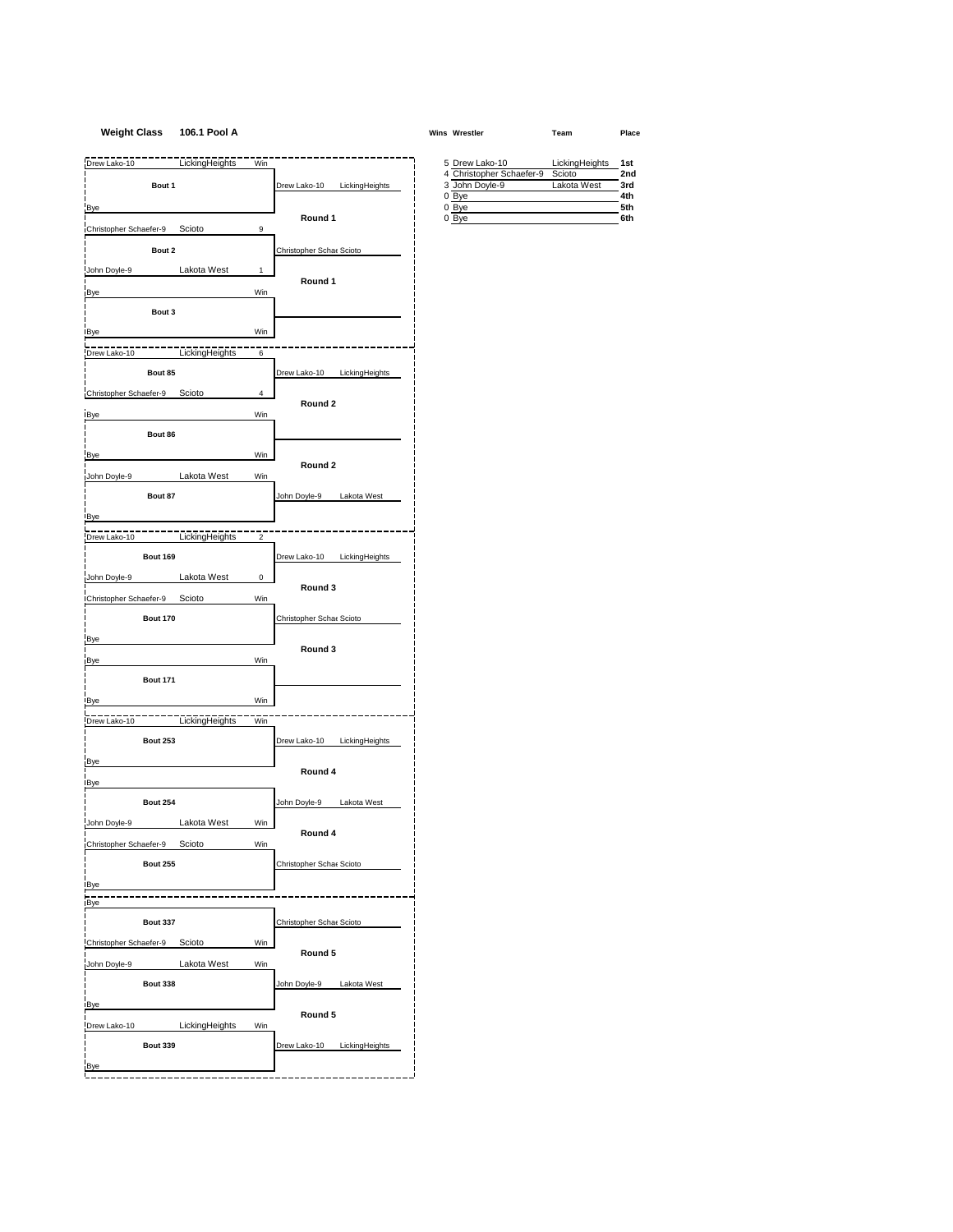## **Weight Class 106.1 Pool A Wins Wrestler Team Place**

| Drew Lako-10<br>LickingHeights   | Win |                                | 5 Drew Lako-10           | LickingHeights | 1st        |
|----------------------------------|-----|--------------------------------|--------------------------|----------------|------------|
|                                  |     |                                | 4 Christopher Schaefer-9 | Scioto         | 2nc        |
| Bout 1                           |     | Drew Lako-10<br>LickingHeights | 3 John Doyle-9<br>0 Bye  | Lakota West    | 3rd<br>4th |
| <b>Bye</b>                       |     |                                | 0 Bye                    |                | 5th        |
| Christopher Schaefer-9 Scioto    | 9   | Round 1                        | 0 Bye                    |                | 6th        |
|                                  |     |                                |                          |                |            |
| Bout 2                           |     | Christopher Schae Scioto       |                          |                |            |
| Lakota West<br>John Doyle-9      | 1   | Round 1                        |                          |                |            |
| Bye                              | Win |                                |                          |                |            |
| г<br>Bout 3                      |     |                                |                          |                |            |
| Bye                              | Win |                                |                          |                |            |
|                                  |     |                                |                          |                |            |
| LickingHeights<br>Drew Lako-10   | 6   |                                |                          |                |            |
| Bout 85                          |     | Drew Lako-10<br>LickingHeights |                          |                |            |
| Christopher Schaefer-9 Scioto    | 4   |                                |                          |                |            |
| Bye                              | Win | Round 2                        |                          |                |            |
|                                  |     |                                |                          |                |            |
| Bout 86                          |     |                                |                          |                |            |
| Bye                              | Win |                                |                          |                |            |
| John Doyle-9<br>Lakota West      | Win | Round 2                        |                          |                |            |
| L<br>Bout 87                     |     | John Doyle-9<br>Lakota West    |                          |                |            |
|                                  |     |                                |                          |                |            |
| Bye                              |     |                                |                          |                |            |
| LickingHeights<br>Drew Lako-10   | 2   |                                |                          |                |            |
| <b>Bout 169</b>                  |     | Drew Lako-10 LickingHeights    |                          |                |            |
| John Doyle-9<br>Lakota West      | 0   |                                |                          |                |            |
|                                  |     | Round 3                        |                          |                |            |
| Christopher Schaefer-9<br>Scioto | Win |                                |                          |                |            |
| <b>Bout 170</b>                  |     | Christopher Schae Scioto       |                          |                |            |
| Bye                              |     |                                |                          |                |            |
| Bye                              | Win | Round 3                        |                          |                |            |
| г<br>ı.                          |     |                                |                          |                |            |
| <b>Bout 171</b>                  |     |                                |                          |                |            |
| Bye                              | Win |                                |                          |                |            |
| LickingHeights<br>Drew Lako-10   | Win |                                |                          |                |            |
| <b>Bout 253</b>                  |     | Drew Lako-10<br>LickingHeights |                          |                |            |
| Bye                              |     |                                |                          |                |            |
|                                  |     | Round 4                        |                          |                |            |
| Bye                              |     |                                |                          |                |            |
| <b>Bout 254</b>                  |     | John Doyle-9<br>Lakota West    |                          |                |            |
| John Doyle-9<br>Lakota West      | Win |                                |                          |                |            |
| Christopher Schaefer-9<br>Scioto | Win | Round 4                        |                          |                |            |
|                                  |     |                                |                          |                |            |
| <b>Bout 255</b>                  |     | Christopher Schae Scioto       |                          |                |            |
| Bye                              |     |                                |                          |                |            |
| Bye                              |     |                                |                          |                |            |
| <b>Bout 337</b>                  |     | Christopher Schae Scioto       |                          |                |            |
| Christopher Schaefer-9<br>Scioto | Win |                                |                          |                |            |
|                                  |     | Round 5                        |                          |                |            |
| John Doyle-9<br>Lakota West      | Win |                                |                          |                |            |
| <b>Bout 338</b>                  |     | John Doyle-9<br>Lakota West    |                          |                |            |
| Bye                              |     |                                |                          |                |            |
| LickingHeights<br>Drew Lako-10   | Win | Round 5                        |                          |                |            |
|                                  |     |                                |                          |                |            |
| <b>Bout 339</b>                  |     | Drew Lako-10<br>LickingHeights |                          |                |            |
| Bye<br>ı                         |     |                                |                          |                |            |

|                          | 5 Drew Lako-10           | LickingHeights<br>1st |
|--------------------------|--------------------------|-----------------------|
|                          | 4 Christopher Schaefer-9 | 2nd<br>Scioto         |
| ako-10<br>LickingHeights | 3 John Dovle-9           | Lakota West<br>3rd    |
|                          | 0 Bye                    | 4th                   |
|                          | 0 Bye                    | 5th                   |
| Round 1                  | 0 Bve                    | 6th                   |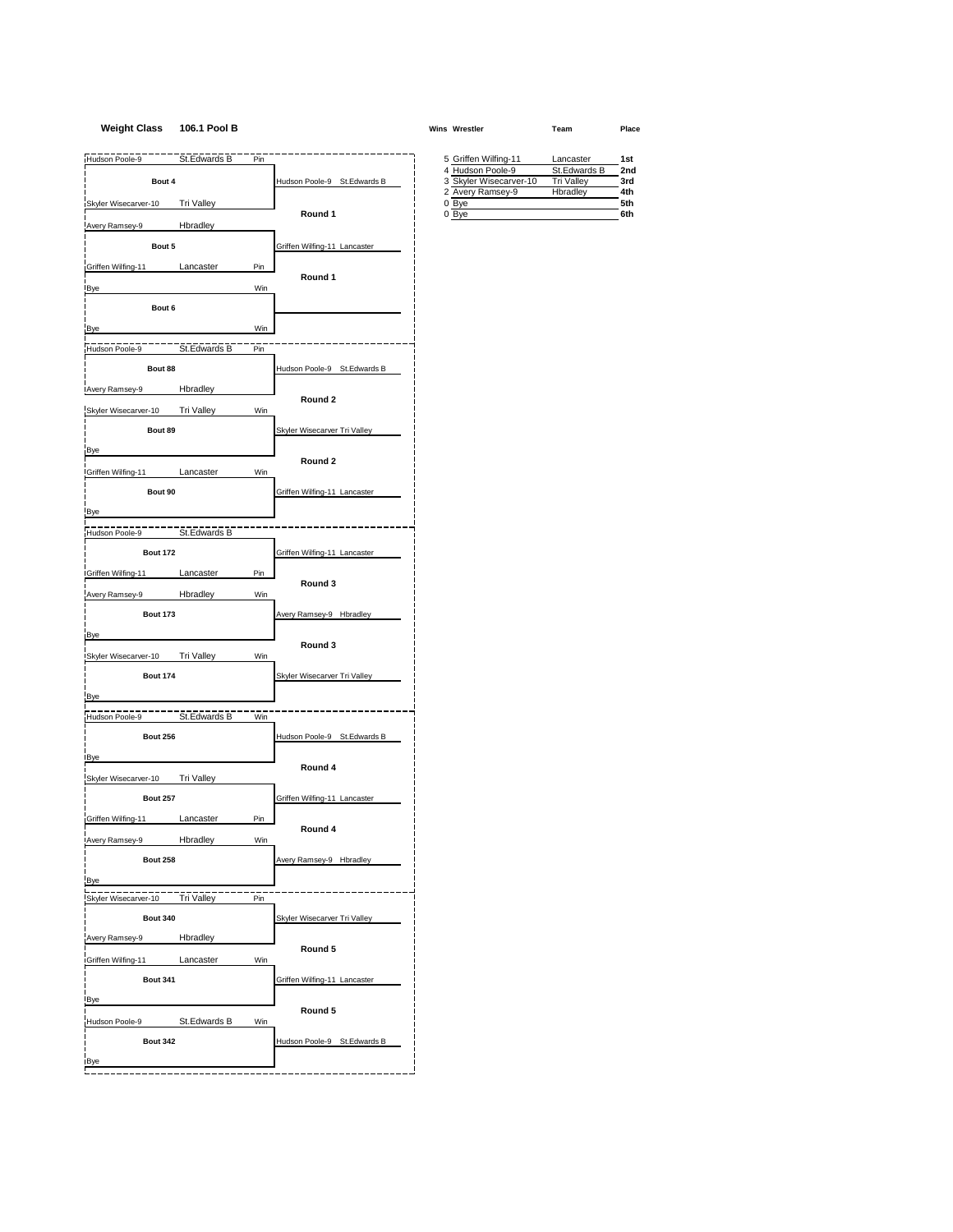#### **Weight Class 106.1 Pool B Wins Wrestler Team Place**

Hudson Poole-9 St.Edwards B Pin 5 Griffen Wilfing-11 Lancaster **1st Bout 4 Hudson Poole-9** St.Edwards B Skyler Wisecarver-10 Tri Valley **Round 1** Avery Ramsey-9 Hbradley **Bout 5** Griffen Wilfing-11 Lancaster Griffen Wilfing-11 Lancaster Pin **Round 1** i<br>Bye Win **Bout 6** Bye Win Hudson Poole-9 St.Edwards B Pin **Bout 88 Hudson Poole-9 St.Edwards B** Avery Ramsey-9 Hbradley **Round 2** Skyler Wisecarver-10 Tri Valley Win **Bout 89** Skyler Wisecarver Tri Valley Bye **Round 2** Griffen Wilfing-11 Lancaster Win **Bout 90** Griffen Wilfing-11 Lancaster Bye Hudson Poole-9 St.Edwards B **Bout 172** Griffen Wilfing-11 Lancaster Griffen Wilfing-11 Lancaster Pin **Round 3** Avery Ramsey-9 Hbradley Win **Bout 173** Avery Ramsey-9 Hbradley Bye **Round 3** Skyler Wisecarver-10 Tri Valley Win **Bout 174** Skyler Wisecarver Tri Valley Bye Hudson Poole-9 St.Edwards B Win **Bout 256 Hudson Poole-9 St.Edwards B** Bye **Round 4** Skyler Wisecarver-10 Tri Valley **Bout 257** Griffen Wilfing-11 Lancaster Griffen Wilfing-11 Lancaster Pin **Round 4** Avery Ramsey-9 Hbradley Win **Bout 258** Avery Ramsey-9 Hbradley Bye Skyler Wisecarver-10 Tri Valley Pin **Bout 340** Skyler Wisecarver Tri Valley Avery Ramsey-9 Hbradley **Round 5 Griffen Wilfing-11** Lancaster Win **Bout 341** Griffen Wilfing-11 Lancaster Bye **Round 5** Hudson Poole-9 St.Edwards B Win **Bout 342 Hudson Poole-9 St.Edwards B** Bye

| 5 Griffen Wilfing-11   | Lancaster         | 1st |
|------------------------|-------------------|-----|
| 4 Hudson Poole-9       | St.Edwards B      | 2nd |
| 3 Skyler Wisecarver-10 | <b>Tri Valley</b> | 3rd |
| 2 Avery Ramsey-9       | Hbradley          | 4th |
| 0 Bye                  |                   | 5th |
| 0 Bve                  |                   | 6th |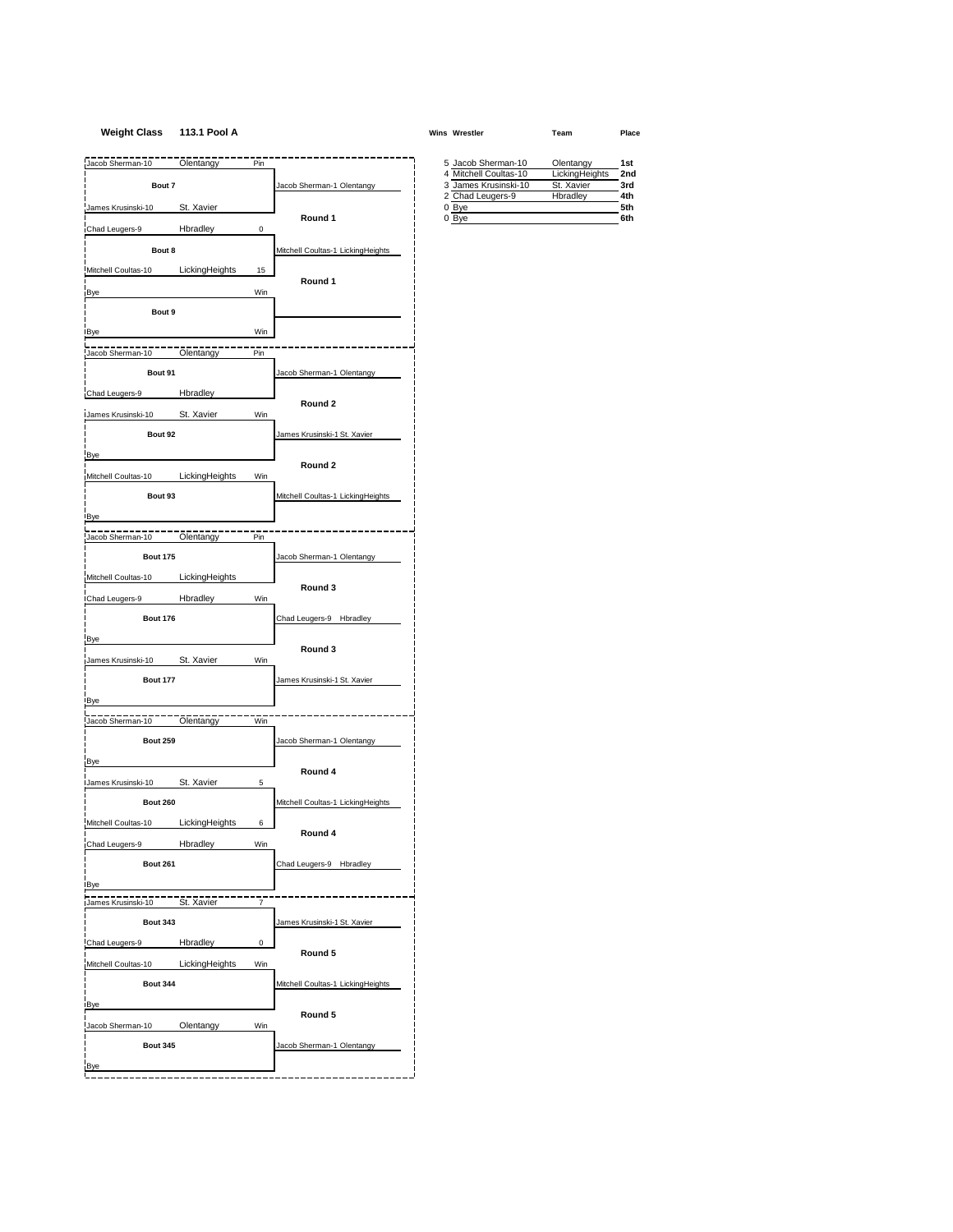## **Weight Class 113.1 Pool A Wins Wrestler Team Place**

| Jacob Sherman-10<br>Olentangy<br>Pin         |                                                | 5 Jacob Sherman-10                                                | Olentangy                                | 1st               |
|----------------------------------------------|------------------------------------------------|-------------------------------------------------------------------|------------------------------------------|-------------------|
| Bout 7                                       | Jacob Sherman-1 Olentangy                      | 4 Mitchell Coultas-10<br>3 James Krusinski-10<br>2 Chad Leugers-9 | LickingHeights<br>St. Xavier<br>Hbradley | 2nc<br>3rd<br>4th |
| James Krusinski-10<br>St. Xavier             | Round 1                                        | 0 Bye<br>0 Bye                                                    |                                          | 5th<br>6th        |
| Chad Leugers-9<br>Hbradley<br>0              |                                                |                                                                   |                                          |                   |
| Bout 8                                       | Mitchell Coultas-1 LickingHeights              |                                                                   |                                          |                   |
| LickingHeights<br>Mitchell Coultas-10<br>15  | Round 1                                        |                                                                   |                                          |                   |
| Win<br>Bye<br>г                              |                                                |                                                                   |                                          |                   |
| Bout 9                                       |                                                |                                                                   |                                          |                   |
| Win<br>Bye                                   |                                                |                                                                   |                                          |                   |
| Olentangy<br>Jacob Sherman-10<br>Pin         |                                                |                                                                   |                                          |                   |
| Bout 91                                      | Jacob Sherman-1 Olentangy                      |                                                                   |                                          |                   |
| Chad Leugers-9<br>Hbradley                   |                                                |                                                                   |                                          |                   |
| St. Xavier<br>Win<br>James Krusinski-10      | Round 2                                        |                                                                   |                                          |                   |
| Bout 92                                      | James Krusinski-1 St. Xavier                   |                                                                   |                                          |                   |
| Bye                                          |                                                |                                                                   |                                          |                   |
| Mitchell Coultas-10<br>LickingHeights<br>Win | Round 2                                        |                                                                   |                                          |                   |
| Bout 93                                      | Mitchell Coultas-1 LickingHeights              |                                                                   |                                          |                   |
| <b>Bye</b>                                   |                                                |                                                                   |                                          |                   |
| Jacob Sherman-10<br>Olentangy<br>Pin         |                                                |                                                                   |                                          |                   |
| <b>Bout 175</b>                              | Jacob Sherman-1 Olentangy                      |                                                                   |                                          |                   |
| Mitchell Coultas-10<br>LickingHeights        |                                                |                                                                   |                                          |                   |
| Hbradley<br>Win<br>Chad Leugers-9            | Round 3                                        |                                                                   |                                          |                   |
| <b>Bout 176</b>                              | Chad Leugers-9 Hbradley                        |                                                                   |                                          |                   |
| Bye                                          |                                                |                                                                   |                                          |                   |
|                                              | Round 3                                        |                                                                   |                                          |                   |
| James Krusinski-10<br>Win<br>St. Xavier      |                                                |                                                                   |                                          |                   |
| <b>Bout 177</b>                              | James Krusinski-1 St. Xavier                   |                                                                   |                                          |                   |
| <b>Bye</b>                                   |                                                |                                                                   |                                          |                   |
| Olentangy<br>Win<br>Jacob Sherman-10         |                                                |                                                                   |                                          |                   |
| <b>Bout 259</b>                              | Jacob Sherman-1 Olentangy                      |                                                                   |                                          |                   |
| <b>Bye</b>                                   | Round 4                                        |                                                                   |                                          |                   |
| James Krusinski-10<br>St. Xavier<br>5        |                                                |                                                                   |                                          |                   |
| <b>Bout 260</b>                              | Mitchell Coultas-1 <sup>,</sup> LickingHeights |                                                                   |                                          |                   |
| Mitchell Coultas-10<br>LickingHeights<br>6   | Round 4                                        |                                                                   |                                          |                   |
| Chad Leugers-9<br>Hbradley<br>Win            |                                                |                                                                   |                                          |                   |
| <b>Bout 261</b>                              | Chad Leugers-9 Hbradley                        |                                                                   |                                          |                   |
| Bye                                          |                                                |                                                                   |                                          |                   |
| St. Xavier<br>James Krusinski-10             |                                                |                                                                   |                                          |                   |
| <b>Bout 343</b>                              | James Krusinski-1 St. Xavier                   |                                                                   |                                          |                   |
| Hbradley<br>Chad Leugers-9<br>0              | Round 5                                        |                                                                   |                                          |                   |
| Mitchell Coultas-10<br>LickingHeights<br>Win |                                                |                                                                   |                                          |                   |
| <b>Bout 344</b>                              | Mitchell Coultas-1 LickingHeights              |                                                                   |                                          |                   |
| Bye                                          | Round 5                                        |                                                                   |                                          |                   |
| Olentangy<br>Jacob Sherman-10<br>Win         |                                                |                                                                   |                                          |                   |
| <b>Bout 345</b>                              | Jacob Sherman-1 Olentangy                      |                                                                   |                                          |                   |
| Bye                                          |                                                |                                                                   |                                          |                   |
|                                              |                                                |                                                                   |                                          |                   |

| 5 Jacob Sherman-10    | Olentangy      | 1st             |
|-----------------------|----------------|-----------------|
| 4 Mitchell Coultas-10 | LickingHeights | 2 <sub>nd</sub> |
| 3 James Krusinski-10  | St. Xavier     | 3rd             |
| 2 Chad Leugers-9      | Hbradley       | 4th             |
| 0 Bye                 |                | 5th             |
|                       |                | <b>Gth</b>      |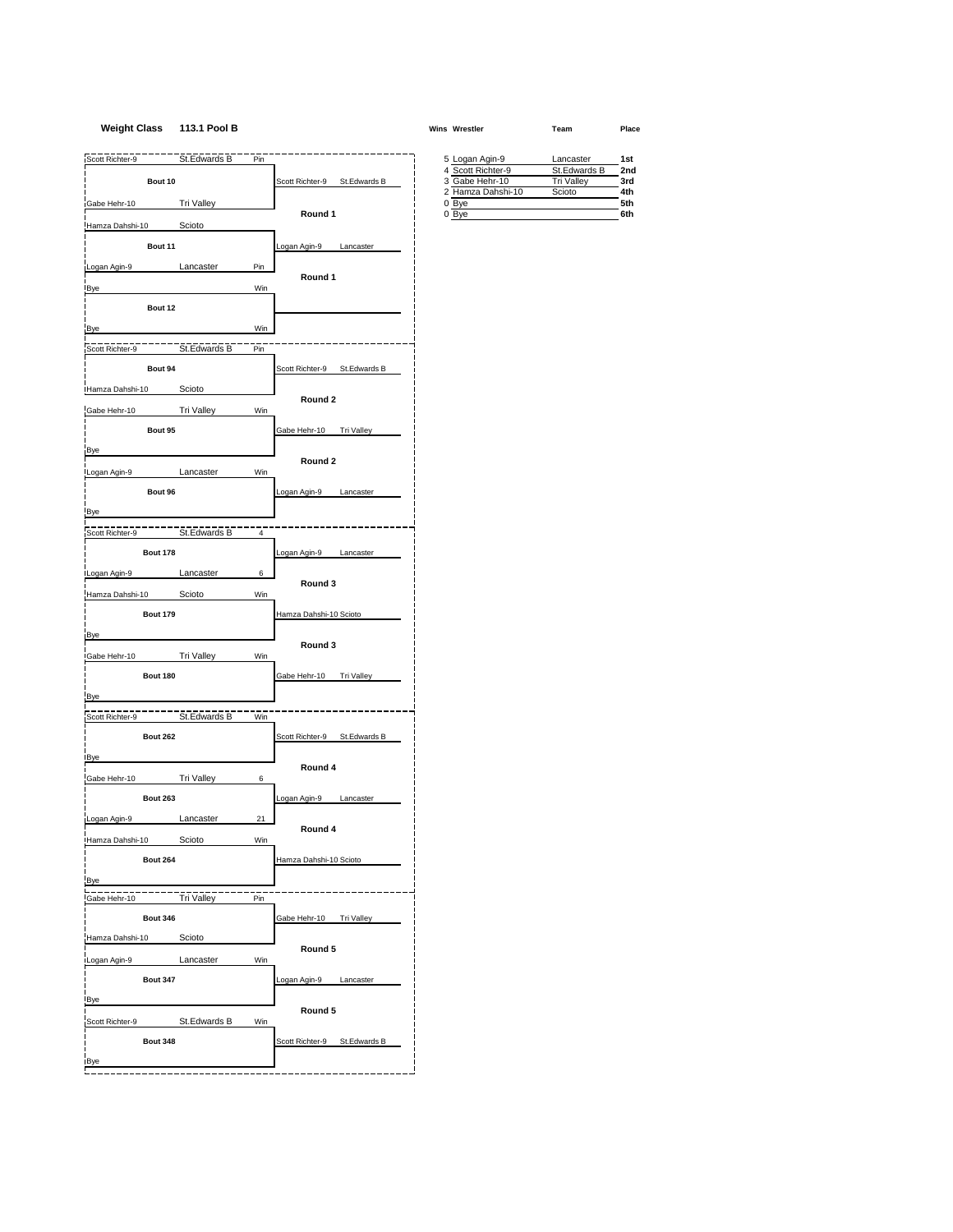Bye

Bye

Bye

Bye

Bye

Bye

Bye

Hamza Dahshi-10 Scioto

Logan Agin-9 Lancaster Win

Scott Richter-9 St.Edwards B Win

**Weight Class 113.1 Pool B Wins Wrestler Team Place** Scott Richter-9 St.Edwards B Pin 5 Logan Agin-9 Lancaster **1st Bout 10** Scott Richter-9 St.Edwards B Gabe Hehr-10 **Tri Valley Round 1** Hamza Dahshi-10 Scioto **Bout 11** Logan Agin-9 Lancaster Logan Agin-9 Lancaster Pin **Round 1** i<br>Bye Win **Bout 12** Bye Win Scott Richter-9 St.Edwards B Pin **Bout 94** Scott Richter-9 St.Edwards B Hamza Dahshi-10 Scioto **Round 2** Gabe Hehr-10 Tri Valley Win **Bout 95** Gabe Hehr-10 Tri Valley **Round 2** Logan Agin-9 Lancaster Win **Bout 96 Logan Agin-9 Lancaster** Scott Richter-9 St.Edwards B 4 **Bout 178** Logan Agin-9 Lancaster Logan Agin-9 Lancaster 6 **Round 3** Hamza Dahshi-10 Scioto Win **Bout 179 Hamza Dahshi-10 Scioto Round 3** Gabe Hehr-10 Tri Valley Win **Bout 180** Gabe Hehr-10 Tri Valley Scott Richter-9 St.Edwards B Win **Bout 262** Scott Richter-9 St.Edwards B **Round 4** Gabe Hehr-10 Tri Valley 6 **Bout 263** Logan Agin-9 Lancaster Logan Agin-9 Lancaster 21 **Round 4** Hamza Dahshi-10 Scioto Win **Bout 264** Hamza Dahshi-10 Scioto Gabe Hehr-10 Tri Valley Pin **Bout 346** Gabe Hehr-10 Tri Valley

**Round 5**

**Round 5**

**Bout 347** Logan Agin-9 Lancaster

**Bout 348** Scott Richter-9 St.Edwards B

Bye

| 5 Logan Agin-9    | Lancaster         | 1st |
|-------------------|-------------------|-----|
| 4 Scott Richter-9 | St.Edwards B      | 2nd |
| 3 Gabe Hehr-10    | <b>Tri Vallev</b> | 3rd |
| 2 Hamza Dahshi-10 | Scioto            | 4th |
| 0 Bye             |                   | 5th |
| 0 Bve             |                   | 6th |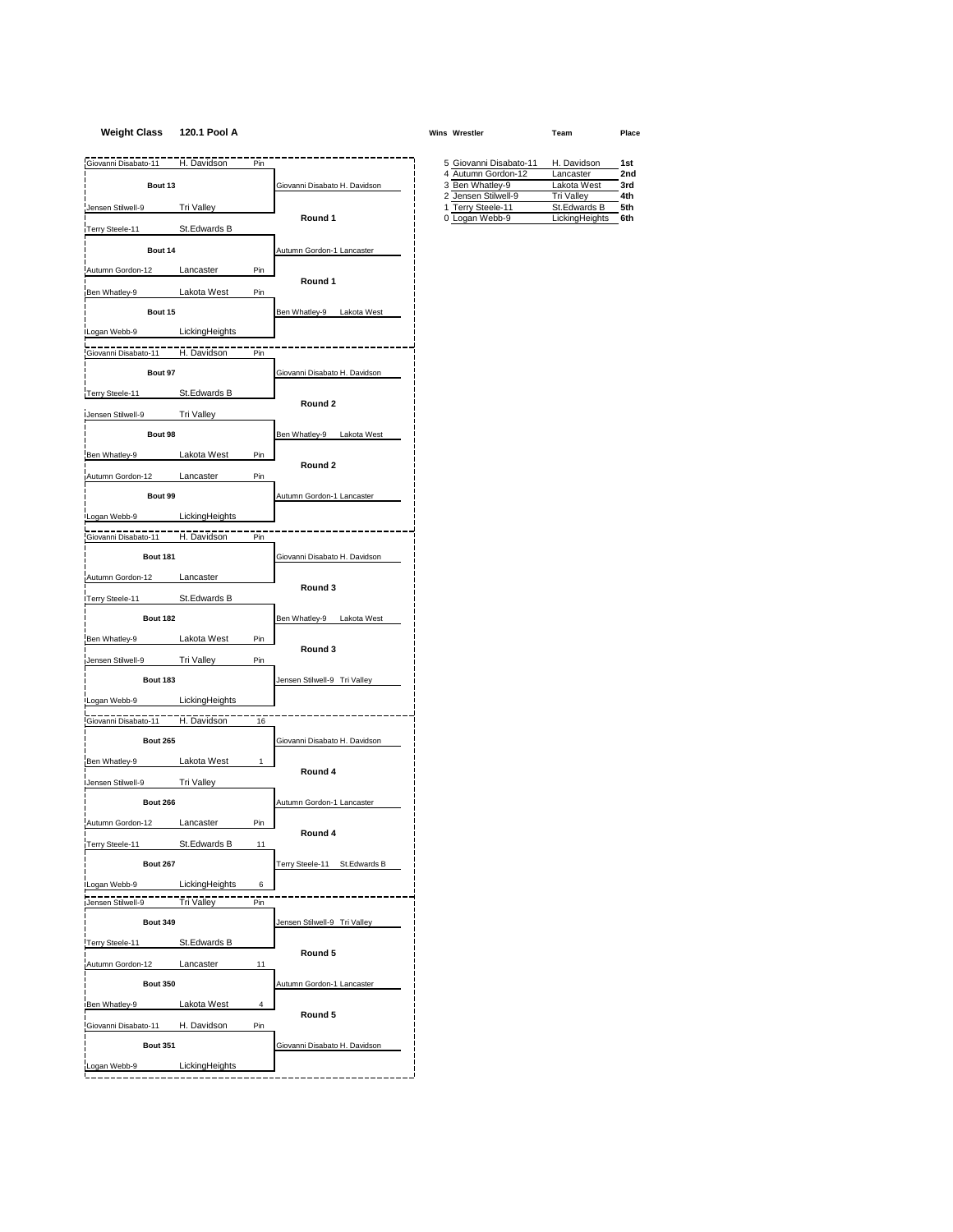## **Weight Class 120.1 Pool A Wins Wrestler Team Place**

| Giovanni Disabato-11 | H. Davidson       | Pin |                               | 5 Giovanni Disabato-11                 | H. Davidson                      | 1st        |
|----------------------|-------------------|-----|-------------------------------|----------------------------------------|----------------------------------|------------|
|                      |                   |     |                               | 4 Autumn Gordon-12                     | Lancaster                        | 2nc        |
| Bout 13              |                   |     | Giovanni Disabato H. Davidson | 3 Ben Whatley-9<br>2 Jensen Stilwell-9 | Lakota West<br><b>Tri Valley</b> | 3rd<br>4th |
| Jensen Stilwell-9    | Tri Valley        |     |                               | 1 Terry Steele-11                      | St.Edwards B                     | 5th        |
| Terry Steele-11      | St.Edwards B      |     | Round 1                       | 0 Logan Webb-9                         | LickingHeights                   | 6th        |
| Bout 14              |                   |     | Autumn Gordon-1 Lancaster     |                                        |                                  |            |
| Autumn Gordon-12     | Lancaster         | Pin |                               |                                        |                                  |            |
|                      |                   |     | Round 1                       |                                        |                                  |            |
| Ben Whatley-9        | Lakota West       | Pin |                               |                                        |                                  |            |
| Bout 15              |                   |     | Ben Whatley-9<br>Lakota West  |                                        |                                  |            |
| Logan Webb-9         | LickingHeights    |     |                               |                                        |                                  |            |
| Giovanni Disabato-11 | H. Davidson       | Pin |                               |                                        |                                  |            |
| Bout 97              |                   |     | Giovanni Disabato H. Davidson |                                        |                                  |            |
| Terry Steele-11      | St.Edwards B      |     |                               |                                        |                                  |            |
|                      |                   |     | Round 2                       |                                        |                                  |            |
| Jensen Stilwell-9    | Tri Valley        |     |                               |                                        |                                  |            |
| Bout 98              |                   |     | Ben Whatley-9 Lakota West     |                                        |                                  |            |
| Ben Whatley-9        | Lakota West       | Pin |                               |                                        |                                  |            |
| Autumn Gordon-12     | Lancaster         | Pin | Round 2                       |                                        |                                  |            |
| Bout 99              |                   |     | Autumn Gordon-1 Lancaster     |                                        |                                  |            |
|                      | LickingHeights    |     |                               |                                        |                                  |            |
| Logan Webb-9         |                   |     |                               |                                        |                                  |            |
| Giovanni Disabato-11 | H. Davidson       | Pin |                               |                                        |                                  |            |
| <b>Bout 181</b>      |                   |     | Giovanni Disabato H. Davidson |                                        |                                  |            |
| Autumn Gordon-12     | Lancaster         |     |                               |                                        |                                  |            |
| Terry Steele-11      | St.Edwards B      |     | Round 3                       |                                        |                                  |            |
| <b>Bout 182</b>      |                   |     | Ben Whatley-9 Lakota West     |                                        |                                  |            |
|                      |                   |     |                               |                                        |                                  |            |
| Ben Whatley-9        | Lakota West       | Pin | Round 3                       |                                        |                                  |            |
| Jensen Stilwell-9    | Tri Valley        | Pin |                               |                                        |                                  |            |
| <b>Bout 183</b>      |                   |     | Jensen Stilwell-9 Tri Valley  |                                        |                                  |            |
| Logan Webb-9         | LickingHeights    |     |                               |                                        |                                  |            |
| Giovanni Disabato-11 | H. Davidson       | 16  |                               |                                        |                                  |            |
| <b>Bout 265</b>      |                   |     | Giovanni Disabato H. Davidson |                                        |                                  |            |
|                      |                   |     |                               |                                        |                                  |            |
| Ben Whatley-9        | Lakota West       | 1   | Round 4                       |                                        |                                  |            |
| Jensen Stilwell-9    | <b>Tri Valley</b> |     |                               |                                        |                                  |            |
| <b>Bout 266</b>      |                   |     | Autumn Gordon-1 Lancaster     |                                        |                                  |            |
| Autumn Gordon-12     | Lancaster         | Pin |                               |                                        |                                  |            |
| Terry Steele-11      | St.Edwards B      | 11  | Round 4                       |                                        |                                  |            |
|                      |                   |     |                               |                                        |                                  |            |
| <b>Bout 267</b>      |                   |     | Terry Steele-11 St.Edwards B  |                                        |                                  |            |
| Logan Webb-9         | LickingHeights    | 6   |                               |                                        |                                  |            |
| Jensen Stilwell-9    | Tri Valley        | Pin |                               |                                        |                                  |            |
| <b>Bout 349</b>      |                   |     | Jensen Stilwell-9 Tri Valley  |                                        |                                  |            |
| Terry Steele-11      | St.Edwards B      |     |                               |                                        |                                  |            |
| Autumn Gordon-12     | Lancaster         | 11  | Round 5                       |                                        |                                  |            |
|                      |                   |     |                               |                                        |                                  |            |
| <b>Bout 350</b>      |                   |     | Autumn Gordon-1 Lancaster     |                                        |                                  |            |
| Ben Whatley-9        | Lakota West       | 4   | Round 5                       |                                        |                                  |            |
| Giovanni Disabato-11 | H. Davidson       | Pin |                               |                                        |                                  |            |
| <b>Bout 351</b>      |                   |     | Giovanni Disabato H. Davidson |                                        |                                  |            |
| Logan Webb-9         | LickingHeights    |     |                               |                                        |                                  |            |
|                      |                   |     |                               |                                        |                                  |            |

|                         | 5 Giovanni Disabato-11 | H. Davidson       | 1st |
|-------------------------|------------------------|-------------------|-----|
|                         | 4 Autumn Gordon-12     | Lancaster         | 2nd |
| ni Disabato H. Davidson | 3 Ben Whatley-9        | Lakota West       | 3rd |
|                         | 2 Jensen Stilwell-9    | <b>Tri Vallev</b> | 4th |
|                         | 1 Terry Steele-11      | St.Edwards B      | 5th |
| Round 1                 | 0 Logan Webb-9         | LickingHeights    | 6th |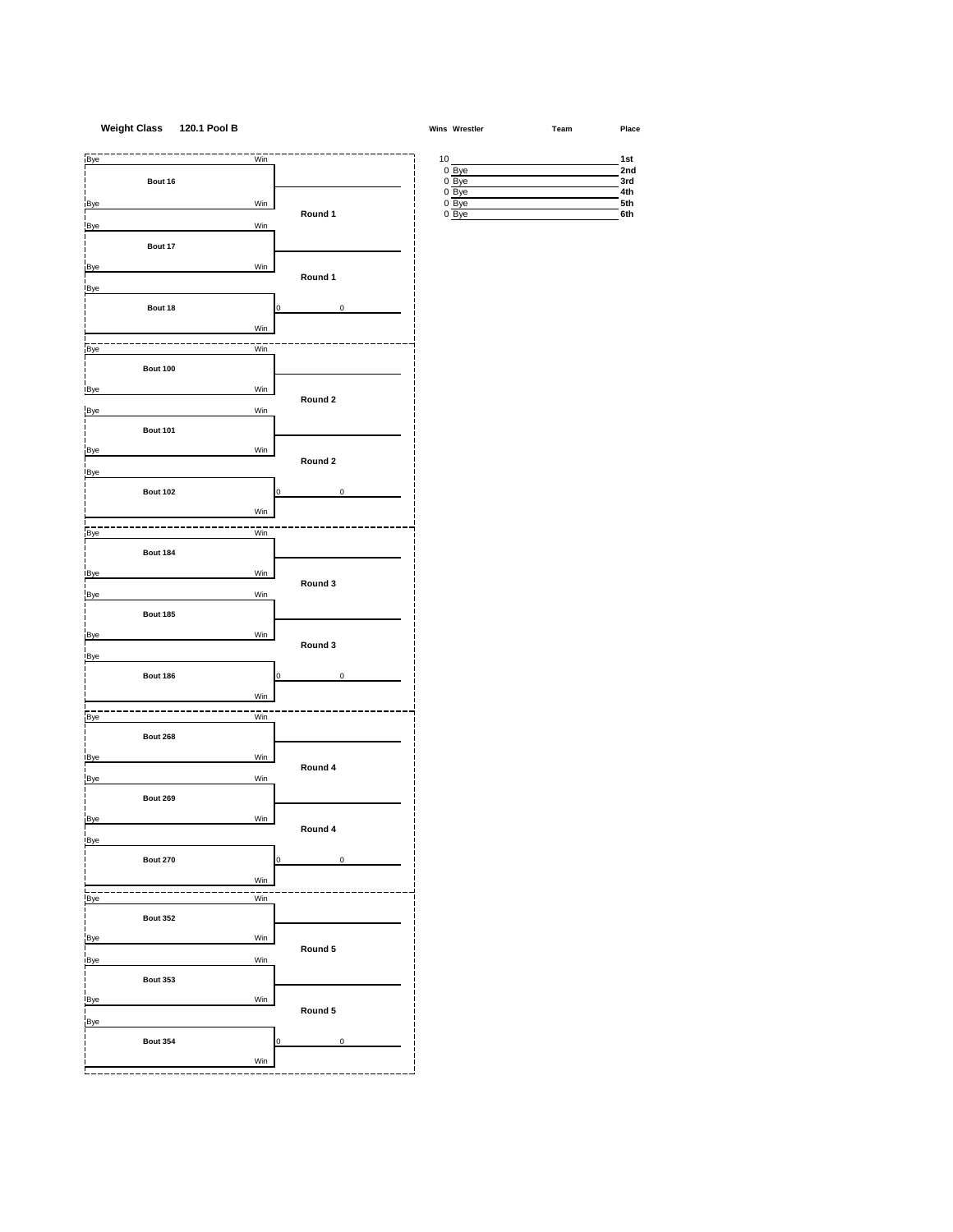#### **Weight Class 120.1 Pool B Wins Wrestler Team Place**



|       | 1st |
|-------|-----|
| 0 Bye | 2nd |
| 0 Bye | 3rd |
| 0 Bye | 4th |
| 0 Bye | 5th |
| 0 Bye | 6th |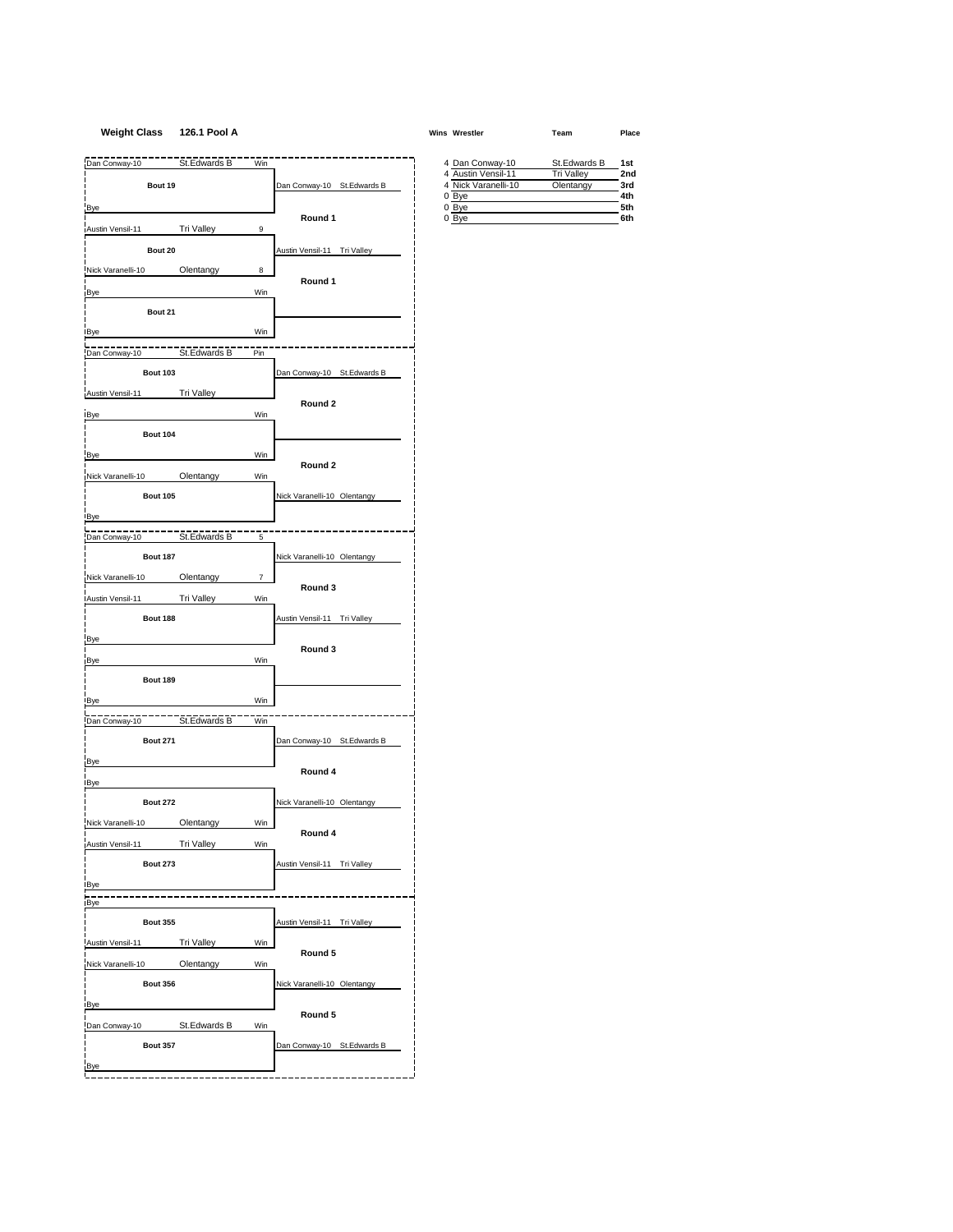## **Weight Class 126.1 Pool A Wins Wrestler Team Place**

| Dan Conway-10                     | St.Edwards B<br>Win         |                             | 4 Dan Conway-10<br>4 Austin Vensil-11 | St.Edwards B<br>Tri Valley |
|-----------------------------------|-----------------------------|-----------------------------|---------------------------------------|----------------------------|
| Bout 19                           |                             | Dan Conway-10 St.Edwards B  | 4 Nick Varanelli-10                   | Olentangy                  |
| Bye                               |                             |                             | 0 Bye<br>0 Bye                        |                            |
|                                   |                             | Round 1                     | 0 Bye                                 |                            |
| Austin Vensil-11 Tri Valley       | 9                           |                             |                                       |                            |
| Bout 20                           |                             | Austin Vensil-11 Tri Valley |                                       |                            |
| Nick Varanelli-10                 | Olentangy<br>8              |                             |                                       |                            |
| Bye                               | Win                         | Round 1                     |                                       |                            |
| Bout 21                           |                             |                             |                                       |                            |
| Bye                               | Win                         |                             |                                       |                            |
| Dan Conway-10 ----- St. Edwards B |                             |                             |                                       |                            |
|                                   | Pin                         |                             |                                       |                            |
| <b>Bout 103</b>                   |                             | Dan Conway-10 St.Edwards B  |                                       |                            |
| Austin Vensil-11 Tri Valley       |                             | Round 2                     |                                       |                            |
| <b>Bye</b>                        | Win                         |                             |                                       |                            |
| <b>Bout 104</b>                   |                             |                             |                                       |                            |
| Bye                               | Win                         |                             |                                       |                            |
| Nick Varanelli-10 Olentangy       | Win                         | Round 2                     |                                       |                            |
| <b>Bout 105</b>                   |                             | Nick Varanelli-10 Olentangy |                                       |                            |
|                                   |                             |                             |                                       |                            |
| <b>Bye</b>                        |                             |                             |                                       |                            |
| Dan Conway-10 St.Edwards B        | 5                           |                             |                                       |                            |
| <b>Bout 187</b>                   |                             | Nick Varanelli-10 Olentangy |                                       |                            |
| Nick Varanelli-10                 | Olentangy<br>$\overline{7}$ |                             |                                       |                            |
| Austin Vensil-11                  | <b>Tri Valley</b><br>Win    | Round 3                     |                                       |                            |
| <b>Bout 188</b>                   |                             | Austin Vensil-11 Tri Valley |                                       |                            |
|                                   |                             |                             |                                       |                            |
| Bye                               |                             | Round 3                     |                                       |                            |
| Bye                               | Win                         |                             |                                       |                            |
| <b>Bout 189</b>                   |                             |                             |                                       |                            |
| Bye                               | Win                         |                             |                                       |                            |
| Dan Conway-10 ----- St. Edwards B | Win                         |                             |                                       |                            |
| <b>Bout 271</b>                   |                             | Dan Conway-10 St.Edwards B  |                                       |                            |
| Bye                               |                             |                             |                                       |                            |
|                                   |                             | Round 4                     |                                       |                            |
| Bye                               |                             |                             |                                       |                            |
| <b>Bout 272</b>                   |                             | Nick Varanelli-10 Olentangy |                                       |                            |
| Nick Varanelli-10                 | Olentangy<br>Win            | Round 4                     |                                       |                            |
| Austin Vensil-11                  | <b>Tri Valley</b><br>Win    |                             |                                       |                            |
| <b>Bout 273</b>                   |                             | Austin Vensil-11 Tri Valley |                                       |                            |
| <b>Bye</b>                        |                             |                             |                                       |                            |
| Bye                               |                             |                             |                                       |                            |
| <b>Bout 355</b>                   |                             | Austin Vensil-11 Tri Valley |                                       |                            |
| Austin Vensil-11                  | <b>Tri Valley</b><br>Win    |                             |                                       |                            |
|                                   |                             | Round 5                     |                                       |                            |
| Nick Varanelli-10                 | Olentangy<br>Win            |                             |                                       |                            |
| <b>Bout 356</b>                   |                             | Nick Varanelli-10 Olentangy |                                       |                            |
| Bye                               |                             | Round 5                     |                                       |                            |
| Dan Conway-10                     | St.Edwards B<br>Win         |                             |                                       |                            |
|                                   |                             | Dan Conway-10 St.Edwards B  |                                       |                            |
| <b>Bout 357</b>                   |                             |                             |                                       |                            |

| 4 Dan Conway-10     | St.Edwards B      | 1st             |
|---------------------|-------------------|-----------------|
| 4 Austin Vensil-11  | <b>Tri Vallev</b> | 2 <sub>nd</sub> |
| 4 Nick Varanelli-10 | Olentangy         | 3rd             |
| 0 Bye               |                   | 4th             |
| 0 Bye               |                   | 5th             |
| <b>R</b> ve         |                   | 6th             |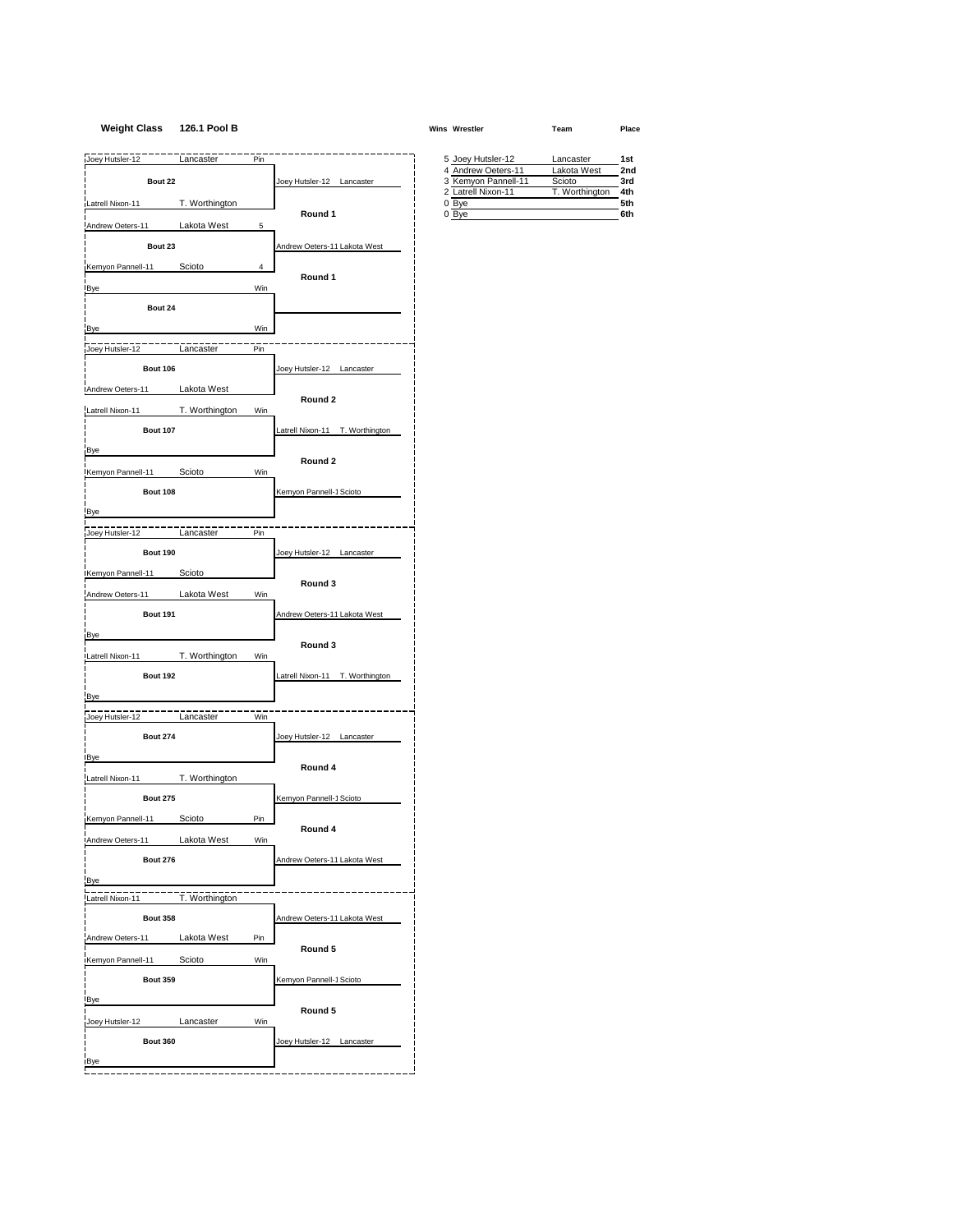#### **Weight Class 126.1 Pool B Wins Wrestler Team Place**

Joey Hutsler-12 Lancaster Pin 5 Joey Hutsler-12 Lancaster **1st Bout 22 Joey Hutsler-12** Lancaster Latrell Nixon-11 **T. Worthington Round 1** Andrew Oeters-11 Lakota West 5 **Bout 23** Andrew Oeters-11 Lakota West Kemyon Pannell-11 Scioto 4 **Round 1** i<br>Bye Win **Bout 24** Bye Win Joey Hutsler-12 Lancaster Pin **Bout 106 Joey Hutsler-12** Lancaster Andrew Oeters-11 Lakota West **Round 2** Latrell Nixon-11 T. Worthington Win **Bout 107** Latrell Nixon-11 T. Worthington Bye **Round 2** Kemyon Pannell-11 Scioto Win Bout 108 Kemyon Pannell-1 Scioto Bye Joey Hutsler-12 Lancaster Pin **Bout 190 CONTERNATE:** Joey Hutsler-12 Lancaster Kemyon Pannell-11 Scioto **Round 3** Andrew Oeters-11 Lakota West Win **Bout 191** Andrew Oeters-11 Lakota West Bye **Round 3 Latrell Nixon-11** T. Worthington Win Bout 192 **Latrell Nixon-11** T. Worthington Bye Joey Hutsler-12 Lancaster Win **Bout 274 Joey Hutsler-12** Lancaster Bye **Round 4** Latrell Nixon-11 T. Worthington **Bout 275** Kemyon Pannell-1 Scioto Kemyon Pannell-11 Scioto Pin **Round 4** Andrew Oeters-11 Lakota West Win **Bout 276** Andrew Oeters-11 Lakota West Bye Latrell Nixon-11 T. Worthington **Bout 358** Andrew Oeters-11 Lakota West Andrew Oeters-11 Lakota West Pin **Round 5** Kemyon Pannell-11 Scioto Win Bout 359 Kemyon Pannell-1 Scioto Bye **Round 5** Joey Hutsler-12 Lancaster Win **Bout 360** Joey Hutsler-12 Lancaster

Bye

| 5 Joey Hutsler-12   | Lancaster      | 1st |
|---------------------|----------------|-----|
| 4 Andrew Oeters-11  | Lakota West    | 2nd |
| 3 Kemyon Pannell-11 | Scioto         | 3rd |
| 2 Latrell Nixon-11  | T. Worthington | 4th |
| 0 Bye               |                | 5th |
| 0 Bve               |                | 6th |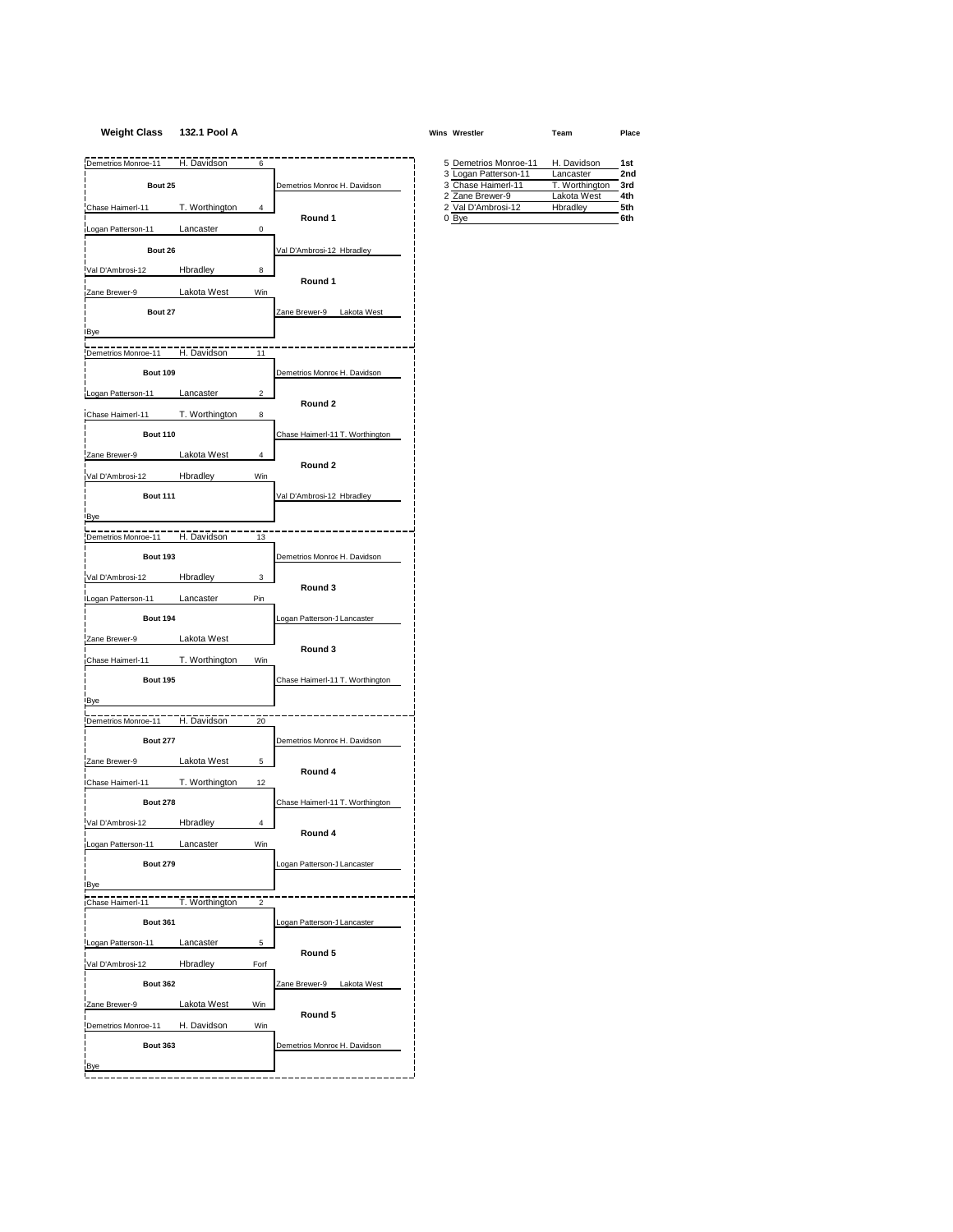# **Weight Class 132.1 Pool A Wins Wrestler Team Place**

| 5 Demetrios Monroe-11 | H. Davidson    | 1st             |
|-----------------------|----------------|-----------------|
| 3 Logan Patterson-11  | Lancaster      | 2 <sub>nd</sub> |
| 3 Chase Haimerl-11    | T. Worthington | 3rd             |
| 2 Zane Brewer-9       | Lakota West    | 4th             |
| 2 Val D'Ambrosi-12    | Hbradlev       | 5th             |
|                       |                | ---             |

| Demetrios Monroe-11<br>H. Davidson<br>5 Demetrios Monroe-11<br>H. Davidson<br>6<br>3 Logan Patterson-11<br>Lancaster<br>3 Chase Haimerl-11<br>T. Worthington<br>Bout 25<br>Demetrios Monroe H. Davidson<br>2 Zane Brewer-9<br>Lakota West<br>2 Val D'Ambrosi-12<br>Chase Haimerl-11<br>T. Worthington<br>$\sqrt{4}$<br>Hbradley<br>Round 1<br>0 Bye<br>0<br>Logan Patterson-11<br>Lancaster<br>Bout 26<br>Val D'Ambrosi-12 Hbradley<br>Val D'Ambrosi-12<br>Hbradley<br>8<br>Round 1<br>Lakota West<br>Zane Brewer-9<br>Win<br>Bout 27<br>Zane Brewer-9<br>Lakota West<br>Bye<br>Demetrios Monroe-11<br>H. Davidson<br>11<br><b>Bout 109</b><br>Demetrios Monroe H. Davidson<br>$\mathbf 2$<br>Logan Patterson-11<br>Lancaster<br>Round 2<br>T. Worthington<br>Chase Haimerl-11<br>8<br><b>Bout 110</b><br>Chase Haimerl-11 T. Worthington<br>Lakota West<br>Zane Brewer-9<br>4<br>Round 2<br>Hbradley<br>Win<br><b>Bout 111</b><br>Val D'Ambrosi-12 Hbradley<br>Bye<br>Demetrios Monroe-11<br>H. Davidson<br>13<br><b>Bout 193</b><br>Demetrios Monroe H. Davidson<br>Val D'Ambrosi-12<br>Hbradley<br>3<br>Round 3<br>Lancaster<br>Pin<br><b>Bout 194</b><br>Logan Patterson-1 Lancaster<br>Lakota West<br>Zane Brewer-9<br>Round 3<br>Chase Haimerl-11<br>T. Worthington<br>Win<br><b>Bout 195</b><br>Chase Haimerl-11 T. Worthington<br><b>Bye</b><br>H. Davidson<br>20<br><b>Bout 277</b><br>Demetrios Monroe H. Davidson<br>Lakota West<br>Zane Brewer-9<br>$\,$ 5 $\,$<br>Round 4 | 1st<br>2nc<br>3rd<br>4th<br>5th<br>6th |
|----------------------------------------------------------------------------------------------------------------------------------------------------------------------------------------------------------------------------------------------------------------------------------------------------------------------------------------------------------------------------------------------------------------------------------------------------------------------------------------------------------------------------------------------------------------------------------------------------------------------------------------------------------------------------------------------------------------------------------------------------------------------------------------------------------------------------------------------------------------------------------------------------------------------------------------------------------------------------------------------------------------------------------------------------------------------------------------------------------------------------------------------------------------------------------------------------------------------------------------------------------------------------------------------------------------------------------------------------------------------------------------------------------------------------------------------------------------------------------------|----------------------------------------|
|                                                                                                                                                                                                                                                                                                                                                                                                                                                                                                                                                                                                                                                                                                                                                                                                                                                                                                                                                                                                                                                                                                                                                                                                                                                                                                                                                                                                                                                                                        |                                        |
|                                                                                                                                                                                                                                                                                                                                                                                                                                                                                                                                                                                                                                                                                                                                                                                                                                                                                                                                                                                                                                                                                                                                                                                                                                                                                                                                                                                                                                                                                        |                                        |
|                                                                                                                                                                                                                                                                                                                                                                                                                                                                                                                                                                                                                                                                                                                                                                                                                                                                                                                                                                                                                                                                                                                                                                                                                                                                                                                                                                                                                                                                                        |                                        |
|                                                                                                                                                                                                                                                                                                                                                                                                                                                                                                                                                                                                                                                                                                                                                                                                                                                                                                                                                                                                                                                                                                                                                                                                                                                                                                                                                                                                                                                                                        |                                        |
|                                                                                                                                                                                                                                                                                                                                                                                                                                                                                                                                                                                                                                                                                                                                                                                                                                                                                                                                                                                                                                                                                                                                                                                                                                                                                                                                                                                                                                                                                        |                                        |
|                                                                                                                                                                                                                                                                                                                                                                                                                                                                                                                                                                                                                                                                                                                                                                                                                                                                                                                                                                                                                                                                                                                                                                                                                                                                                                                                                                                                                                                                                        |                                        |
|                                                                                                                                                                                                                                                                                                                                                                                                                                                                                                                                                                                                                                                                                                                                                                                                                                                                                                                                                                                                                                                                                                                                                                                                                                                                                                                                                                                                                                                                                        |                                        |
|                                                                                                                                                                                                                                                                                                                                                                                                                                                                                                                                                                                                                                                                                                                                                                                                                                                                                                                                                                                                                                                                                                                                                                                                                                                                                                                                                                                                                                                                                        |                                        |
|                                                                                                                                                                                                                                                                                                                                                                                                                                                                                                                                                                                                                                                                                                                                                                                                                                                                                                                                                                                                                                                                                                                                                                                                                                                                                                                                                                                                                                                                                        |                                        |
|                                                                                                                                                                                                                                                                                                                                                                                                                                                                                                                                                                                                                                                                                                                                                                                                                                                                                                                                                                                                                                                                                                                                                                                                                                                                                                                                                                                                                                                                                        |                                        |
|                                                                                                                                                                                                                                                                                                                                                                                                                                                                                                                                                                                                                                                                                                                                                                                                                                                                                                                                                                                                                                                                                                                                                                                                                                                                                                                                                                                                                                                                                        |                                        |
|                                                                                                                                                                                                                                                                                                                                                                                                                                                                                                                                                                                                                                                                                                                                                                                                                                                                                                                                                                                                                                                                                                                                                                                                                                                                                                                                                                                                                                                                                        |                                        |
|                                                                                                                                                                                                                                                                                                                                                                                                                                                                                                                                                                                                                                                                                                                                                                                                                                                                                                                                                                                                                                                                                                                                                                                                                                                                                                                                                                                                                                                                                        |                                        |
|                                                                                                                                                                                                                                                                                                                                                                                                                                                                                                                                                                                                                                                                                                                                                                                                                                                                                                                                                                                                                                                                                                                                                                                                                                                                                                                                                                                                                                                                                        |                                        |
|                                                                                                                                                                                                                                                                                                                                                                                                                                                                                                                                                                                                                                                                                                                                                                                                                                                                                                                                                                                                                                                                                                                                                                                                                                                                                                                                                                                                                                                                                        |                                        |
| Val D'Ambrosi-12                                                                                                                                                                                                                                                                                                                                                                                                                                                                                                                                                                                                                                                                                                                                                                                                                                                                                                                                                                                                                                                                                                                                                                                                                                                                                                                                                                                                                                                                       |                                        |
|                                                                                                                                                                                                                                                                                                                                                                                                                                                                                                                                                                                                                                                                                                                                                                                                                                                                                                                                                                                                                                                                                                                                                                                                                                                                                                                                                                                                                                                                                        |                                        |
| Demetrios Monroe-11                                                                                                                                                                                                                                                                                                                                                                                                                                                                                                                                                                                                                                                                                                                                                                                                                                                                                                                                                                                                                                                                                                                                                                                                                                                                                                                                                                                                                                                                    |                                        |
| Logan Patterson-11                                                                                                                                                                                                                                                                                                                                                                                                                                                                                                                                                                                                                                                                                                                                                                                                                                                                                                                                                                                                                                                                                                                                                                                                                                                                                                                                                                                                                                                                     |                                        |
|                                                                                                                                                                                                                                                                                                                                                                                                                                                                                                                                                                                                                                                                                                                                                                                                                                                                                                                                                                                                                                                                                                                                                                                                                                                                                                                                                                                                                                                                                        |                                        |
|                                                                                                                                                                                                                                                                                                                                                                                                                                                                                                                                                                                                                                                                                                                                                                                                                                                                                                                                                                                                                                                                                                                                                                                                                                                                                                                                                                                                                                                                                        |                                        |
|                                                                                                                                                                                                                                                                                                                                                                                                                                                                                                                                                                                                                                                                                                                                                                                                                                                                                                                                                                                                                                                                                                                                                                                                                                                                                                                                                                                                                                                                                        |                                        |
|                                                                                                                                                                                                                                                                                                                                                                                                                                                                                                                                                                                                                                                                                                                                                                                                                                                                                                                                                                                                                                                                                                                                                                                                                                                                                                                                                                                                                                                                                        |                                        |
|                                                                                                                                                                                                                                                                                                                                                                                                                                                                                                                                                                                                                                                                                                                                                                                                                                                                                                                                                                                                                                                                                                                                                                                                                                                                                                                                                                                                                                                                                        |                                        |
|                                                                                                                                                                                                                                                                                                                                                                                                                                                                                                                                                                                                                                                                                                                                                                                                                                                                                                                                                                                                                                                                                                                                                                                                                                                                                                                                                                                                                                                                                        |                                        |
|                                                                                                                                                                                                                                                                                                                                                                                                                                                                                                                                                                                                                                                                                                                                                                                                                                                                                                                                                                                                                                                                                                                                                                                                                                                                                                                                                                                                                                                                                        |                                        |
|                                                                                                                                                                                                                                                                                                                                                                                                                                                                                                                                                                                                                                                                                                                                                                                                                                                                                                                                                                                                                                                                                                                                                                                                                                                                                                                                                                                                                                                                                        |                                        |
|                                                                                                                                                                                                                                                                                                                                                                                                                                                                                                                                                                                                                                                                                                                                                                                                                                                                                                                                                                                                                                                                                                                                                                                                                                                                                                                                                                                                                                                                                        |                                        |
|                                                                                                                                                                                                                                                                                                                                                                                                                                                                                                                                                                                                                                                                                                                                                                                                                                                                                                                                                                                                                                                                                                                                                                                                                                                                                                                                                                                                                                                                                        |                                        |
|                                                                                                                                                                                                                                                                                                                                                                                                                                                                                                                                                                                                                                                                                                                                                                                                                                                                                                                                                                                                                                                                                                                                                                                                                                                                                                                                                                                                                                                                                        |                                        |
|                                                                                                                                                                                                                                                                                                                                                                                                                                                                                                                                                                                                                                                                                                                                                                                                                                                                                                                                                                                                                                                                                                                                                                                                                                                                                                                                                                                                                                                                                        |                                        |
|                                                                                                                                                                                                                                                                                                                                                                                                                                                                                                                                                                                                                                                                                                                                                                                                                                                                                                                                                                                                                                                                                                                                                                                                                                                                                                                                                                                                                                                                                        |                                        |
|                                                                                                                                                                                                                                                                                                                                                                                                                                                                                                                                                                                                                                                                                                                                                                                                                                                                                                                                                                                                                                                                                                                                                                                                                                                                                                                                                                                                                                                                                        |                                        |
|                                                                                                                                                                                                                                                                                                                                                                                                                                                                                                                                                                                                                                                                                                                                                                                                                                                                                                                                                                                                                                                                                                                                                                                                                                                                                                                                                                                                                                                                                        |                                        |
| Chase Haimerl-11<br>T. Worthington<br>12                                                                                                                                                                                                                                                                                                                                                                                                                                                                                                                                                                                                                                                                                                                                                                                                                                                                                                                                                                                                                                                                                                                                                                                                                                                                                                                                                                                                                                               |                                        |
| <b>Bout 278</b><br>Chase Haimerl-11 T. Worthington                                                                                                                                                                                                                                                                                                                                                                                                                                                                                                                                                                                                                                                                                                                                                                                                                                                                                                                                                                                                                                                                                                                                                                                                                                                                                                                                                                                                                                     |                                        |
| Hbradley<br>Val D'Ambrosi-12<br>4                                                                                                                                                                                                                                                                                                                                                                                                                                                                                                                                                                                                                                                                                                                                                                                                                                                                                                                                                                                                                                                                                                                                                                                                                                                                                                                                                                                                                                                      |                                        |
| Round 4<br>Logan Patterson-11<br>Win<br>Lancaster                                                                                                                                                                                                                                                                                                                                                                                                                                                                                                                                                                                                                                                                                                                                                                                                                                                                                                                                                                                                                                                                                                                                                                                                                                                                                                                                                                                                                                      |                                        |
| <b>Bout 279</b><br>Logan Patterson-1 Lancaster                                                                                                                                                                                                                                                                                                                                                                                                                                                                                                                                                                                                                                                                                                                                                                                                                                                                                                                                                                                                                                                                                                                                                                                                                                                                                                                                                                                                                                         |                                        |
| Bye                                                                                                                                                                                                                                                                                                                                                                                                                                                                                                                                                                                                                                                                                                                                                                                                                                                                                                                                                                                                                                                                                                                                                                                                                                                                                                                                                                                                                                                                                    |                                        |
| Chase Haimerl-11 T. Worthington<br>$\overline{2}$                                                                                                                                                                                                                                                                                                                                                                                                                                                                                                                                                                                                                                                                                                                                                                                                                                                                                                                                                                                                                                                                                                                                                                                                                                                                                                                                                                                                                                      |                                        |
|                                                                                                                                                                                                                                                                                                                                                                                                                                                                                                                                                                                                                                                                                                                                                                                                                                                                                                                                                                                                                                                                                                                                                                                                                                                                                                                                                                                                                                                                                        |                                        |
| <b>Bout 361</b><br>Logan Patterson-1 Lancaster                                                                                                                                                                                                                                                                                                                                                                                                                                                                                                                                                                                                                                                                                                                                                                                                                                                                                                                                                                                                                                                                                                                                                                                                                                                                                                                                                                                                                                         |                                        |
| Logan Patterson-11<br>Lancaster<br>5<br>Round 5                                                                                                                                                                                                                                                                                                                                                                                                                                                                                                                                                                                                                                                                                                                                                                                                                                                                                                                                                                                                                                                                                                                                                                                                                                                                                                                                                                                                                                        |                                        |
| Hbradley<br>Val D'Ambrosi-12<br>Forf                                                                                                                                                                                                                                                                                                                                                                                                                                                                                                                                                                                                                                                                                                                                                                                                                                                                                                                                                                                                                                                                                                                                                                                                                                                                                                                                                                                                                                                   |                                        |
| Zane Brewer-9 Lakota West<br><b>Bout 362</b>                                                                                                                                                                                                                                                                                                                                                                                                                                                                                                                                                                                                                                                                                                                                                                                                                                                                                                                                                                                                                                                                                                                                                                                                                                                                                                                                                                                                                                           |                                        |
| Zane Brewer-9<br>Lakota West<br>Win                                                                                                                                                                                                                                                                                                                                                                                                                                                                                                                                                                                                                                                                                                                                                                                                                                                                                                                                                                                                                                                                                                                                                                                                                                                                                                                                                                                                                                                    |                                        |
| Round 5<br>Demetrios Monroe-11<br>Win<br>H. Davidson                                                                                                                                                                                                                                                                                                                                                                                                                                                                                                                                                                                                                                                                                                                                                                                                                                                                                                                                                                                                                                                                                                                                                                                                                                                                                                                                                                                                                                   |                                        |
| <b>Bout 363</b><br>Demetrios Monroe H. Davidson                                                                                                                                                                                                                                                                                                                                                                                                                                                                                                                                                                                                                                                                                                                                                                                                                                                                                                                                                                                                                                                                                                                                                                                                                                                                                                                                                                                                                                        |                                        |
|                                                                                                                                                                                                                                                                                                                                                                                                                                                                                                                                                                                                                                                                                                                                                                                                                                                                                                                                                                                                                                                                                                                                                                                                                                                                                                                                                                                                                                                                                        |                                        |
| Bye                                                                                                                                                                                                                                                                                                                                                                                                                                                                                                                                                                                                                                                                                                                                                                                                                                                                                                                                                                                                                                                                                                                                                                                                                                                                                                                                                                                                                                                                                    |                                        |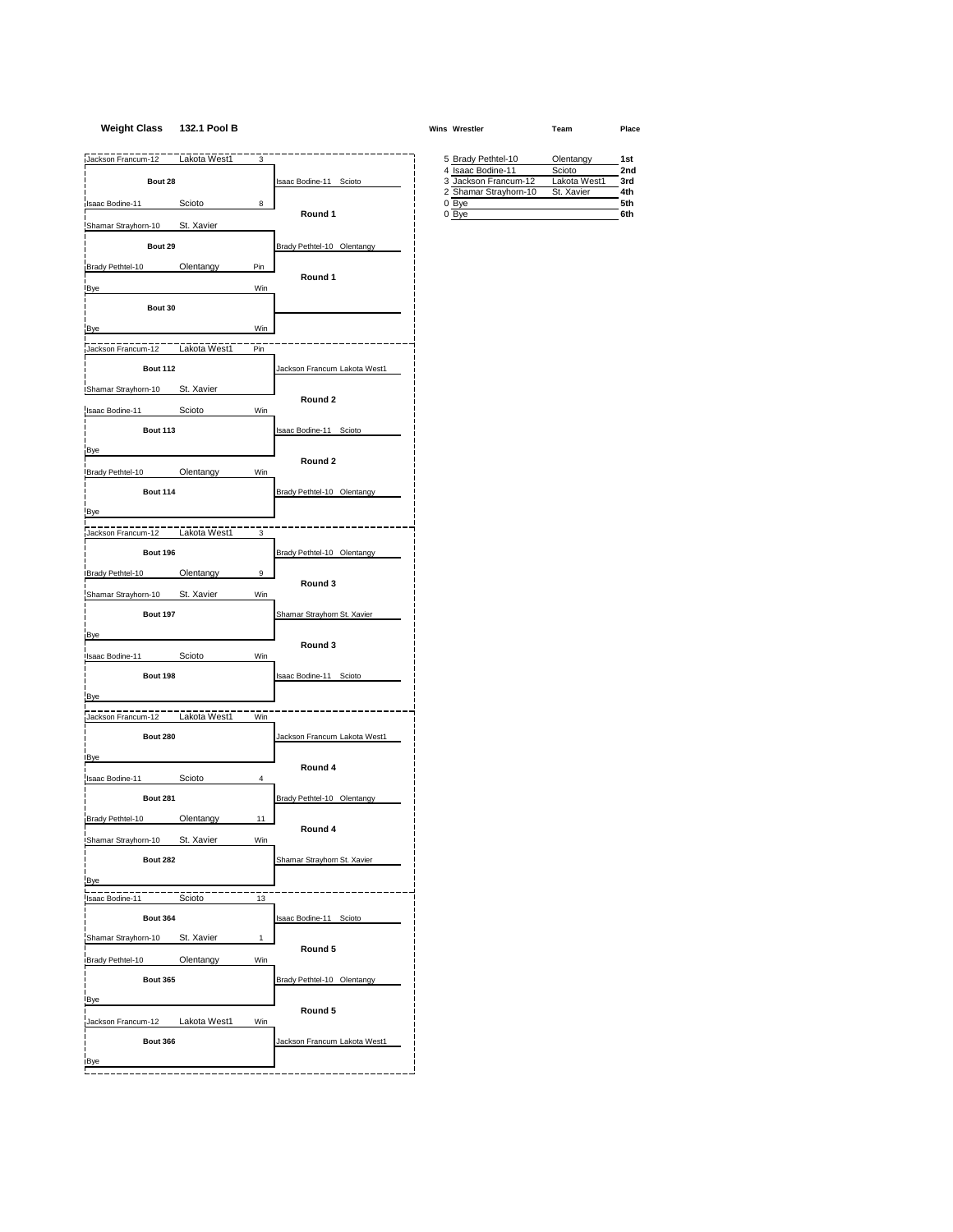# **Weight Class 132.1 Pool B Wins Wrestler Team Place**

| Jackson Francum-12     | Lakota West1 | 3   |                                  | 5 Brady Pethtel-10<br>Olentangy      | 1st |
|------------------------|--------------|-----|----------------------------------|--------------------------------------|-----|
|                        |              |     |                                  | 4 Isaac Bodine-11<br>Scioto          | 2nc |
| Bout 28                |              |     | <b>Isaac Bodine-11</b><br>Scioto | 3 Jackson Francum-12<br>Lakota West1 | 3rd |
|                        |              |     |                                  | 2 Shamar Strayhorn-10<br>St. Xavier  | 4th |
| <b>Isaac Bodine-11</b> | Scioto       | 8   |                                  | 0 Bye                                | 5th |
|                        |              |     | Round 1                          | 0 Bye                                | 6th |
| Shamar Strayhorn-10    | St. Xavier   |     |                                  |                                      |     |
| Bout 29                |              |     | Brady Pethtel-10 Olentangy       |                                      |     |
| Brady Pethtel-10       | Olentangy    | Pin | Round 1                          |                                      |     |
| Bve                    |              | Win |                                  |                                      |     |

| Bout 28                         |                     | Isaac Bodine-11 Scioto       |         | 3 Jackson Francum-12  | Lakota West1 | 3rd        |
|---------------------------------|---------------------|------------------------------|---------|-----------------------|--------------|------------|
| <b>Isaac Bodine-11</b>          | Scioto<br>8         |                              | $0$ Bye | 2 Shamar Strayhorn-10 | St. Xavier   | 4th<br>5th |
| Shamar Strayhorn-10             | St. Xavier          | Round 1                      | $0$ Bye |                       |              | 6th        |
|                                 |                     |                              |         |                       |              |            |
| Bout 29                         |                     | Brady Pethtel-10 Olentangy   |         |                       |              |            |
| Brady Pethtel-10                | Olentangy<br>Pin    | Round 1                      |         |                       |              |            |
| Bye                             | Win                 |                              |         |                       |              |            |
| Bout 30                         |                     |                              |         |                       |              |            |
| Bye                             | Win                 |                              |         |                       |              |            |
| Jackson Francum-12              | Lakota West1<br>Pin |                              |         |                       |              |            |
| <b>Bout 112</b>                 |                     | Jackson Francum Lakota West1 |         |                       |              |            |
| Shamar Strayhorn-10 St. Xavier  |                     |                              |         |                       |              |            |
| <b>Isaac Bodine-11</b>          | Scioto<br>Win       | Round 2                      |         |                       |              |            |
| <b>Bout 113</b>                 |                     | Isaac Bodine-11 Scioto       |         |                       |              |            |
|                                 |                     |                              |         |                       |              |            |
| Bye                             |                     | Round 2                      |         |                       |              |            |
| Brady Pethtel-10 Olentangy      | Win                 |                              |         |                       |              |            |
| <b>Bout 114</b>                 |                     | Brady Pethtel-10 Olentangy   |         |                       |              |            |
| Bye                             |                     |                              |         |                       |              |            |
| Jackson Francum-12 Lakota West1 | 3                   |                              |         |                       |              |            |
| <b>Bout 196</b>                 |                     | Brady Pethtel-10 Olentangy   |         |                       |              |            |
| Brady Pethtel-10                | Olentangy<br>9      |                              |         |                       |              |            |
| Shamar Strayhorn-10             | St. Xavier<br>Win   | Round 3                      |         |                       |              |            |
| <b>Bout 197</b>                 |                     | Shamar Strayhorn St. Xavier  |         |                       |              |            |
| Bye                             |                     |                              |         |                       |              |            |
|                                 |                     | Round 3                      |         |                       |              |            |
| <b>Isaac Bodine-11</b>          | Scioto<br>Win       |                              |         |                       |              |            |
| <b>Bout 198</b>                 |                     | Isaac Bodine-11 Scioto       |         |                       |              |            |
| Bye                             |                     |                              |         |                       |              |            |
| Jackson Francum-12              | Lakota West1<br>Win |                              |         |                       |              |            |
| <b>Bout 280</b>                 |                     | Jackson Francum Lakota West1 |         |                       |              |            |
| Bye                             |                     |                              |         |                       |              |            |
| <b>Isaac Bodine-11</b>          | Scioto<br>4         | Round 4                      |         |                       |              |            |
| <b>Bout 281</b>                 |                     | Brady Pethtel-10 Olentangy   |         |                       |              |            |
| Brady Pethtel-10                | Olentangy<br>11     |                              |         |                       |              |            |
| Shamar Strayhorn-10             | St. Xavier<br>Win   | Round 4                      |         |                       |              |            |
| <b>Bout 282</b>                 |                     | Shamar Strayhorn St. Xavier  |         |                       |              |            |
|                                 |                     |                              |         |                       |              |            |
| Bye<br><b>Isaac Bodine-11</b>   | Scioto<br>13        |                              |         |                       |              |            |
| <b>Bout 364</b>                 |                     | Isaac Bodine-11 Scioto       |         |                       |              |            |
|                                 |                     |                              |         |                       |              |            |
| Shamar Strayhorn-10             | St. Xavier<br>1     | Round 5                      |         |                       |              |            |
| Brady Pethtel-10                | Olentangy<br>Win    |                              |         |                       |              |            |
| <b>Bout 365</b>                 |                     | Brady Pethtel-10 Olentangy   |         |                       |              |            |
| Bye                             |                     | Round 5                      |         |                       |              |            |
| Jackson Francum-12              | Lakota West1<br>Win |                              |         |                       |              |            |
| <b>Bout 366</b>                 |                     | Jackson Francum Lakota West1 |         |                       |              |            |
| <b>Bye</b>                      |                     |                              |         |                       |              |            |
| г                               |                     |                              |         |                       |              |            |

| 5 Brady Pethtel-10    | Olentangy    | 1st        |
|-----------------------|--------------|------------|
| 4 Isaac Bodine-11     | Scioto       | 2nd        |
| 3 Jackson Francum-12  | Lakota West1 | 3rd        |
| 2 Shamar Strayhorn-10 | St. Xavier   | 4th        |
| 0 Bye                 |              | 5th        |
| <b>B</b> ve           |              | <b>Ath</b> |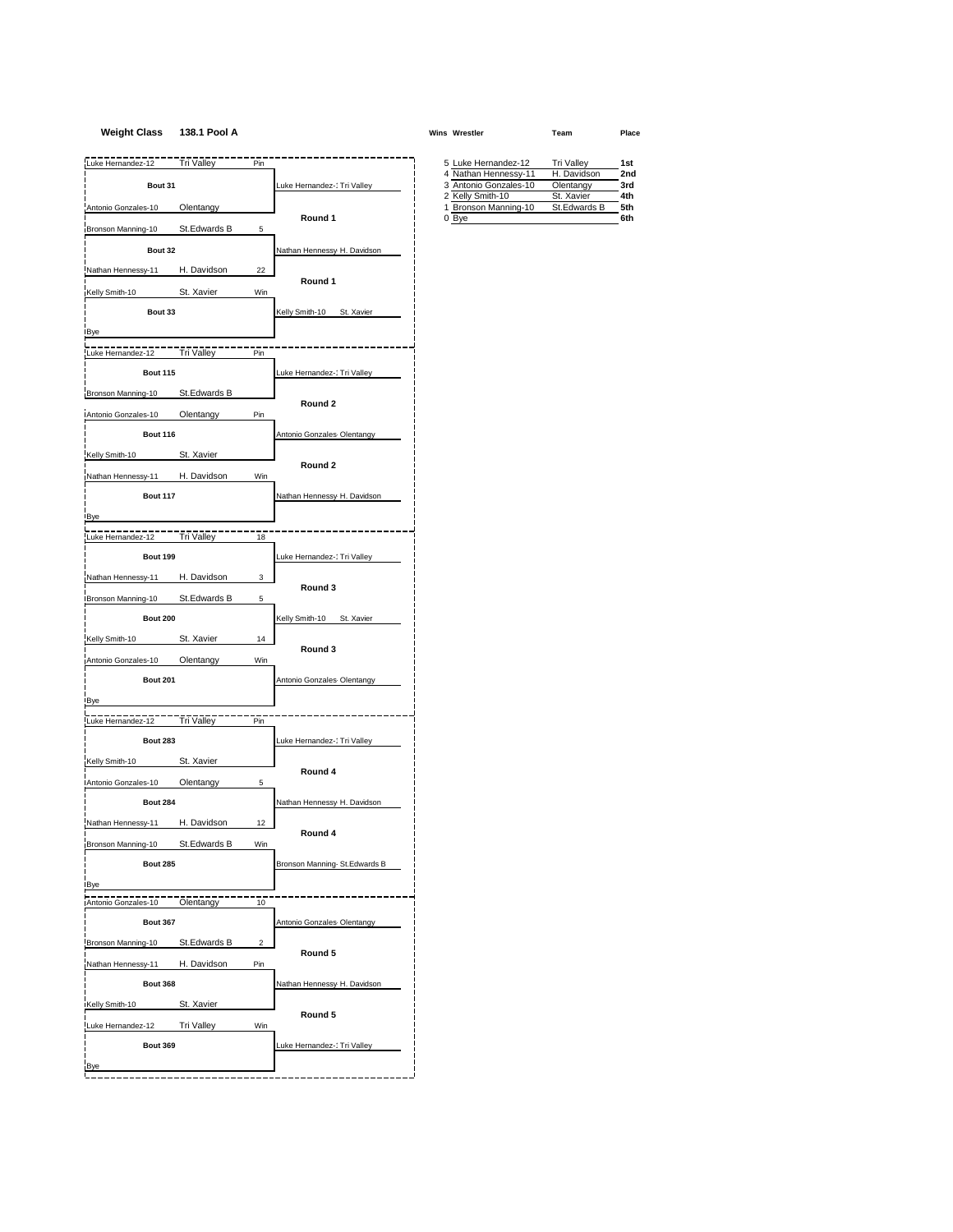# **Weight Class 138.1 Pool A Wins Wrestler Team Place**

| Luke Hernandez-12   | Tri Valley<br>Pin        |                              | 5 Luke Hernandez-12                           | <b>Tri Valley</b>          |
|---------------------|--------------------------|------------------------------|-----------------------------------------------|----------------------------|
| Bout 31             |                          | Luke Hernandez-1 Tri Valley  | 4 Nathan Hennessy-11<br>3 Antonio Gonzales-10 | H. Davidson<br>Olentangy   |
| Antonio Gonzales-10 | Olentangy                |                              | 2 Kelly Smith-10<br>1 Bronson Manning-10      | St. Xavier<br>St.Edwards B |
| Bronson Manning-10  | St.Edwards B<br>5        | Round 1                      | 0 Bye                                         |                            |
| Bout 32             |                          | Nathan Hennessy H. Davidson  |                                               |                            |
|                     | H. Davidson              |                              |                                               |                            |
| Nathan Hennessy-11  | 22                       | Round 1                      |                                               |                            |
| Kelly Smith-10      | St. Xavier<br>Win        |                              |                                               |                            |
| Bout 33             |                          | Kelly Smith-10<br>St. Xavier |                                               |                            |
| Bye                 |                          |                              |                                               |                            |
| Luke Hernandez-12   | <b>Tri Valley</b><br>Pin |                              |                                               |                            |
| <b>Bout 115</b>     |                          | Luke Hernandez-1 Tri Valley  |                                               |                            |
| Bronson Manning-10  | St.Edwards B             | Round 2                      |                                               |                            |
| Antonio Gonzales-10 | Olentangy<br>Pin         |                              |                                               |                            |
| <b>Bout 116</b>     |                          | Antonio Gonzales Olentangy   |                                               |                            |
| Kelly Smith-10      | St. Xavier               | Round 2                      |                                               |                            |
| Nathan Hennessy-11  | H. Davidson<br>Win       |                              |                                               |                            |
| <b>Bout 117</b>     |                          | Nathan Hennessy H. Davidson  |                                               |                            |
| Bye                 |                          |                              |                                               |                            |
| Luke Hernandez-12   | Tri Valley<br>18         |                              |                                               |                            |
| <b>Bout 199</b>     |                          | Luke Hernandez-1 Tri Valley  |                                               |                            |
| Nathan Hennessy-11  | H. Davidson<br>3         | Round 3                      |                                               |                            |
| Bronson Manning-10  | St.Edwards B<br>5        |                              |                                               |                            |
| <b>Bout 200</b>     |                          | Kelly Smith-10<br>St. Xavier |                                               |                            |
| Kelly Smith-10      | St. Xavier<br>14         |                              |                                               |                            |
| Antonio Gonzales-10 | Win<br>Olentangy         | Round 3                      |                                               |                            |
| <b>Bout 201</b>     |                          | Antonio Gonzales Olentangy   |                                               |                            |
| Bye                 |                          |                              |                                               |                            |
| Luke Hernandez-12   | <b>Tri Valley</b><br>Pin |                              |                                               |                            |
| <b>Bout 283</b>     |                          | Luke Hernandez-1 Tri Valley  |                                               |                            |
| Kelly Smith-10      | St. Xavier               |                              |                                               |                            |
| Antonio Gonzales-10 | Olentangy<br>5           | Round 4                      |                                               |                            |
| <b>Bout 284</b>     |                          | Nathan Hennessy H. Davidson  |                                               |                            |
| Nathan Hennessy-11  | H. Davidson<br>12        |                              |                                               |                            |
| Bronson Manning-10  | St.Edwards B<br>Win      | Round 4                      |                                               |                            |
| <b>Bout 285</b>     |                          | Bronson Manning-St.Edwards B |                                               |                            |
| Bye                 |                          |                              |                                               |                            |
| Antonio Gonzales-10 | Olentangy<br>10          |                              |                                               |                            |
| <b>Bout 367</b>     |                          | Antonio Gonzales Olentangy   |                                               |                            |
| Bronson Manning-10  | St.Edwards B<br>2        |                              |                                               |                            |
| Nathan Hennessy-11  | H. Davidson<br>Pin       | Round 5                      |                                               |                            |
| <b>Bout 368</b>     |                          | Nathan Hennessy H. Davidson  |                                               |                            |
| Kelly Smith-10      | St. Xavier               |                              |                                               |                            |
|                     |                          | Round 5                      |                                               |                            |
| Luke Hernandez-12   | <b>Tri Valley</b><br>Win |                              |                                               |                            |
| <b>Bout 369</b>     |                          | Luke Hernandez-1 Tri Valley  |                                               |                            |
| Bye                 |                          |                              |                                               |                            |
|                     |                          |                              |                                               |                            |

| 5 Luke Hernandez-12   | <b>Tri Vallev</b> | 1st             |
|-----------------------|-------------------|-----------------|
| 4 Nathan Hennessy-11  | H. Davidson       | 2 <sub>nd</sub> |
| 3 Antonio Gonzales-10 | Olentangy         | 3rd             |
| 2 Kelly Smith-10      | St. Xavier        | 4th             |
| 1 Bronson Manning-10  | St.Edwards B      | 5th             |
|                       |                   | C+h             |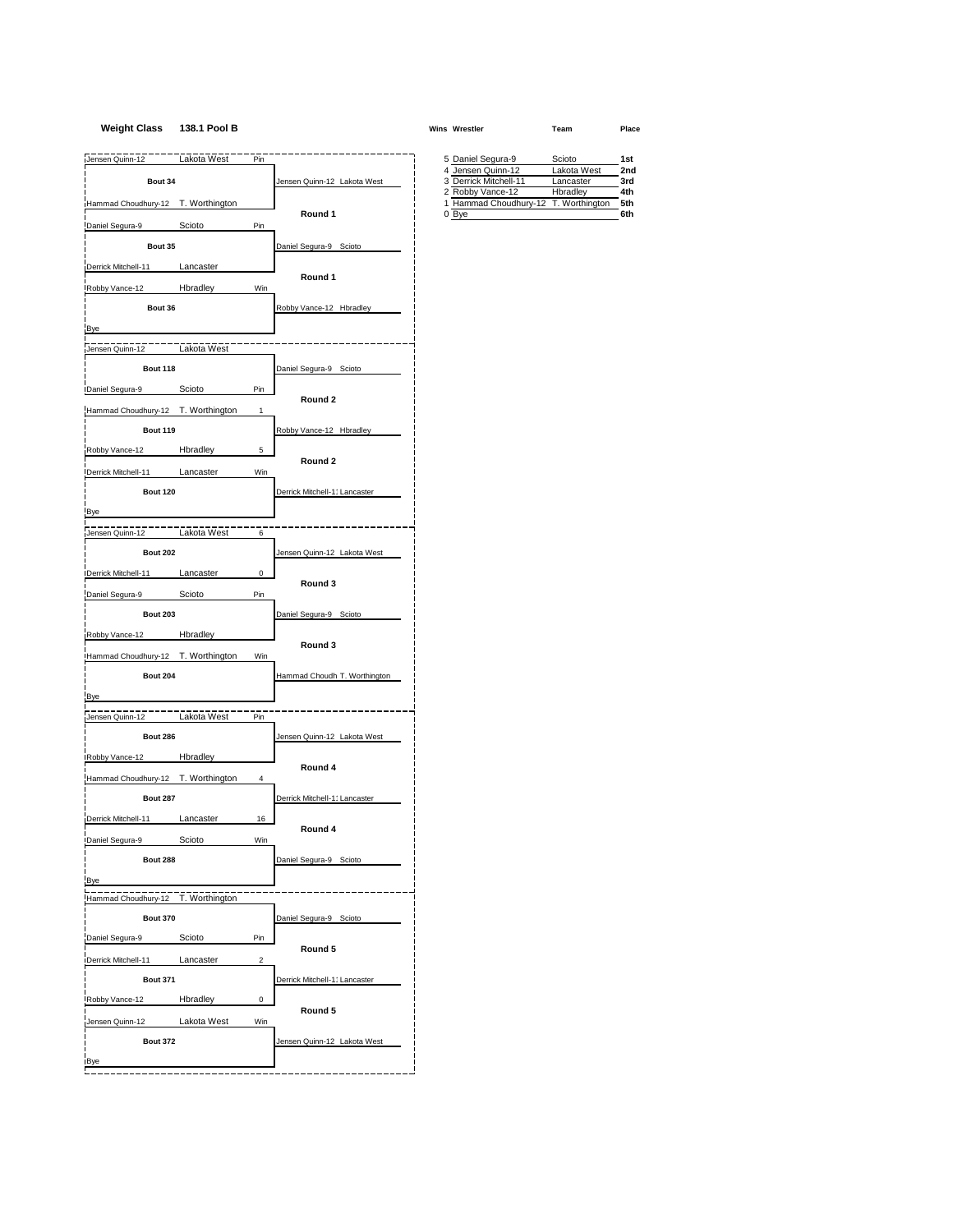# **Weight Class 138.1 Pool B Wins Wrestler Team Place**

| Jensen Quinn-12 | akota West | Pin |                             | 5 Daniel Segura-9     | Scioto      | 1st |
|-----------------|------------|-----|-----------------------------|-----------------------|-------------|-----|
|                 |            |     |                             | Jensen Quinn-12       | Lakota West | 2nd |
| Bout 34         |            |     | Jensen Quinn-12 Lakota West | 3 Derrick Mitchell-11 | _ancaster   | 3rd |
|                 |            |     |                             | 2 Robby Vance-12      | Hbradlev    | 4th |

|                                    |                    |                               | 4 Jensen Quinn-12     | Lakota West                                      | 2nd        |
|------------------------------------|--------------------|-------------------------------|-----------------------|--------------------------------------------------|------------|
| Bout 34                            |                    | Jensen Quinn-12 Lakota West   | 3 Derrick Mitchell-11 | Lancaster                                        | 3rd        |
| Hammad Choudhury-12 T. Worthington |                    |                               | 2 Robby Vance-12      | Hbradley<br>1 Hammad Choudhury-12 T. Worthington | 4th<br>5th |
|                                    |                    | Round 1                       | 0 Bye                 |                                                  | 6th        |
| Daniel Segura-9                    | Scioto<br>Pin      |                               |                       |                                                  |            |
| Bout 35                            |                    | Daniel Segura-9 Scioto        |                       |                                                  |            |
| Derrick Mitchell-11                | Lancaster          |                               |                       |                                                  |            |
| Robby Vance-12                     | Hbradley<br>Win    | Round 1                       |                       |                                                  |            |
|                                    |                    |                               |                       |                                                  |            |
| Bout 36                            |                    | Robby Vance-12 Hbradley       |                       |                                                  |            |
| Bye                                |                    |                               |                       |                                                  |            |
| Jensen Quinn-12                    | Lakota West        |                               |                       |                                                  |            |
| <b>Bout 118</b>                    |                    | Daniel Segura-9 Scioto        |                       |                                                  |            |
| Daniel Segura-9 Scioto             | Pin                |                               |                       |                                                  |            |
|                                    |                    | Round 2                       |                       |                                                  |            |
| Hammad Choudhury-12 T. Worthington | 1                  |                               |                       |                                                  |            |
| <b>Bout 119</b>                    |                    | Robby Vance-12 Hbradley       |                       |                                                  |            |
| Robby Vance-12                     | Hbradley<br>5      |                               |                       |                                                  |            |
| Derrick Mitchell-11                | Lancaster<br>Win   | Round 2                       |                       |                                                  |            |
|                                    |                    |                               |                       |                                                  |            |
| <b>Bout 120</b>                    |                    | Derrick Mitchell-11 Lancaster |                       |                                                  |            |
| Bye                                |                    |                               |                       |                                                  |            |
| Jensen Quinn-12                    | Lakota West<br>6   |                               |                       |                                                  |            |
| <b>Bout 202</b>                    |                    | Jensen Quinn-12 Lakota West   |                       |                                                  |            |
| Derrick Mitchell-11                | 0<br>Lancaster     |                               |                       |                                                  |            |
|                                    |                    | Round 3                       |                       |                                                  |            |
| Daniel Segura-9                    | Scioto<br>Pin      |                               |                       |                                                  |            |
| <b>Bout 203</b>                    |                    | Daniel Segura-9 Scioto        |                       |                                                  |            |
| Robby Vance-12 Hbradley            |                    |                               |                       |                                                  |            |
| Hammad Choudhury-12 T. Worthington | Win                | Round 3                       |                       |                                                  |            |
|                                    |                    |                               |                       |                                                  |            |
| <b>Bout 204</b>                    |                    | Hammad Choudh T. Worthington  |                       |                                                  |            |
| <b>Bye</b>                         |                    |                               |                       |                                                  |            |
| Jensen Quinn-12                    | Lakota West<br>Pin |                               |                       |                                                  |            |
| <b>Bout 286</b>                    |                    | Jensen Quinn-12 Lakota West   |                       |                                                  |            |
| Robby Vance-12 Hbradley            |                    |                               |                       |                                                  |            |
|                                    |                    | Round 4                       |                       |                                                  |            |
| Hammad Choudhury-12 T. Worthington | 4                  |                               |                       |                                                  |            |
| <b>Bout 287</b>                    |                    | Derrick Mitchell-11 Lancaster |                       |                                                  |            |
| Derrick Mitchell-11 Lancaster      | 16                 |                               |                       |                                                  |            |
| Daniel Segura-9                    | Scioto<br>Win      | Round 4                       |                       |                                                  |            |
| <b>Bout 288</b>                    |                    |                               |                       |                                                  |            |
|                                    |                    | Daniel Segura-9 Scioto        |                       |                                                  |            |
| Bye                                |                    |                               |                       |                                                  |            |
| Hammad Choudhury-12 T. Worthington |                    |                               |                       |                                                  |            |
| <b>Bout 370</b>                    |                    | Daniel Segura-9 Scioto        |                       |                                                  |            |
| Daniel Segura-9                    | Scioto<br>Pin      |                               |                       |                                                  |            |
|                                    | $\boldsymbol{2}$   | Round 5                       |                       |                                                  |            |
| Derrick Mitchell-11                | Lancaster          |                               |                       |                                                  |            |
| <b>Bout 371</b>                    |                    | Derrick Mitchell-11 Lancaster |                       |                                                  |            |
| Robby Vance-12                     | Hbradley<br>0      | Round 5                       |                       |                                                  |            |
| Jensen Quinn-12                    | Lakota West<br>Win |                               |                       |                                                  |            |
| <b>Bout 372</b>                    |                    | Jensen Quinn-12 Lakota West   |                       |                                                  |            |
|                                    |                    |                               |                       |                                                  |            |
| Bye                                |                    |                               |                       |                                                  |            |

|                                   | $1.001$ and $7.00$ |  |
|-----------------------------------|--------------------|--|
| ammad Choudhury-12 T. Worthington |                    |  |
| $\overline{10}$                   |                    |  |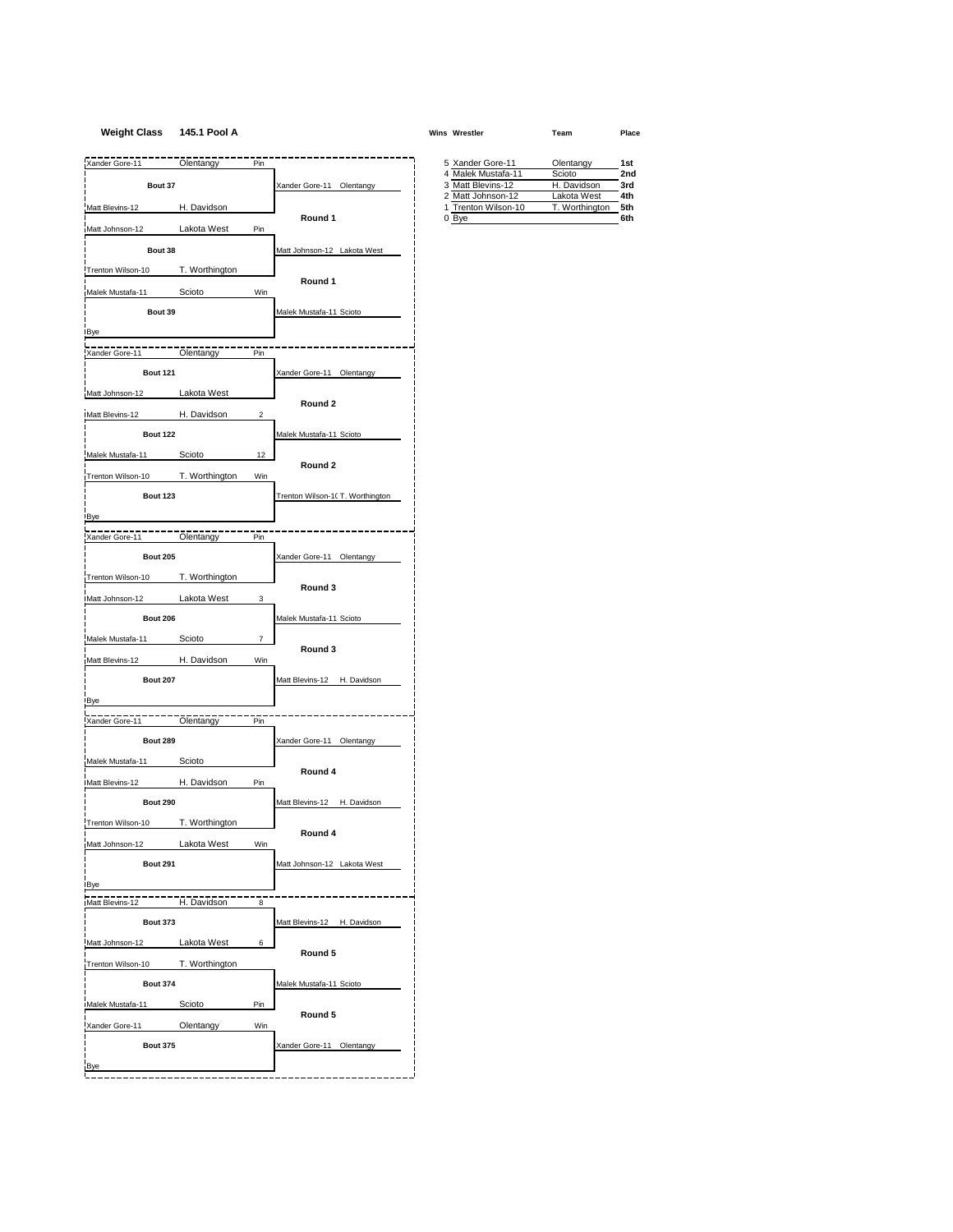# **Weight Class 145.1 Pool A Wins Wrestler Team Place**

| Xander Gore-11    | Olentangy      | Pin |                                 |       | 5 Xander Gore-11                        | Olentangy             | 1st        |
|-------------------|----------------|-----|---------------------------------|-------|-----------------------------------------|-----------------------|------------|
| Bout 37           |                |     | Xander Gore-11 Olentangy        |       | 4 Malek Mustafa-11<br>3 Matt Blevins-12 | Scioto<br>H. Davidson | 2nc<br>3rd |
|                   |                |     |                                 |       | 2 Matt Johnson-12                       | Lakota West           | 4th        |
| Matt Blevins-12   | H. Davidson    |     |                                 |       | 1 Trenton Wilson-10                     | T. Worthington        | 5th        |
| Matt Johnson-12   | Lakota West    | Pin | Round 1                         | 0 Bye |                                         |                       | 6th        |
|                   |                |     |                                 |       |                                         |                       |            |
| Bout 38           |                |     | Matt Johnson-12 Lakota West     |       |                                         |                       |            |
| Trenton Wilson-10 | T. Worthington |     |                                 |       |                                         |                       |            |
| Malek Mustafa-11  | Scioto         | Win | Round 1                         |       |                                         |                       |            |
| Bout 39           |                |     |                                 |       |                                         |                       |            |
|                   |                |     | Malek Mustafa-11 Scioto         |       |                                         |                       |            |
| Bye               |                |     |                                 |       |                                         |                       |            |
| Xander Gore-11    | Olentangy      | Pin |                                 |       |                                         |                       |            |
| <b>Bout 121</b>   |                |     | Xander Gore-11 Olentangy        |       |                                         |                       |            |
|                   |                |     |                                 |       |                                         |                       |            |
| Matt Johnson-12   | Lakota West    |     | Round 2                         |       |                                         |                       |            |
| Matt Blevins-12   | H. Davidson    | 2   |                                 |       |                                         |                       |            |
| <b>Bout 122</b>   |                |     | Malek Mustafa-11 Scioto         |       |                                         |                       |            |
|                   |                |     |                                 |       |                                         |                       |            |
| Malek Mustafa-11  | Scioto         | 12  | Round 2                         |       |                                         |                       |            |
| Trenton Wilson-10 | T. Worthington | Win |                                 |       |                                         |                       |            |
| <b>Bout 123</b>   |                |     | Trenton Wilson-1CT. Worthington |       |                                         |                       |            |
|                   |                |     |                                 |       |                                         |                       |            |
| Bye               |                |     |                                 |       |                                         |                       |            |
| Xander Gore-11    | Olentangy      | Pin |                                 |       |                                         |                       |            |
| <b>Bout 205</b>   |                |     | Xander Gore-11 Olentangy        |       |                                         |                       |            |
|                   |                |     |                                 |       |                                         |                       |            |
| Trenton Wilson-10 | T. Worthington |     | Round 3                         |       |                                         |                       |            |
| Matt Johnson-12   | Lakota West    | 3   |                                 |       |                                         |                       |            |
| <b>Bout 206</b>   |                |     | Malek Mustafa-11 Scioto         |       |                                         |                       |            |
| Malek Mustafa-11  | Scioto         | 7   |                                 |       |                                         |                       |            |
|                   |                |     | Round 3                         |       |                                         |                       |            |
| Matt Blevins-12   | H. Davidson    | Win |                                 |       |                                         |                       |            |
| <b>Bout 207</b>   |                |     | Matt Blevins-12 H. Davidson     |       |                                         |                       |            |
| Bye               |                |     |                                 |       |                                         |                       |            |
|                   |                |     |                                 |       |                                         |                       |            |
| Xander Gore-11    | Olentangy      | Pin |                                 |       |                                         |                       |            |
| <b>Bout 289</b>   |                |     | Xander Gore-11 Olentangy        |       |                                         |                       |            |
| Malek Mustafa-11  | Scioto         |     |                                 |       |                                         |                       |            |
|                   |                |     | Round 4                         |       |                                         |                       |            |
| Matt Blevins-12   | H. Davidson    | Pin |                                 |       |                                         |                       |            |
| <b>Bout 290</b>   |                |     | Matt Blevins-12 H. Davidson     |       |                                         |                       |            |
| Trenton Wilson-10 | T. Worthington |     |                                 |       |                                         |                       |            |
|                   |                |     | Round 4                         |       |                                         |                       |            |
| Matt Johnson-12   | Lakota West    | Win |                                 |       |                                         |                       |            |
| <b>Bout 291</b>   |                |     | Matt Johnson-12 Lakota West     |       |                                         |                       |            |
| Bye               |                |     |                                 |       |                                         |                       |            |
| Matt Blevins-12   | H. Davidson    | 8   |                                 |       |                                         |                       |            |
| <b>Bout 373</b>   |                |     | Matt Blevins-12 H. Davidson     |       |                                         |                       |            |
|                   |                |     |                                 |       |                                         |                       |            |
| Matt Johnson-12   | Lakota West    | 6   | Round 5                         |       |                                         |                       |            |
| Trenton Wilson-10 | T. Worthington |     |                                 |       |                                         |                       |            |
| <b>Bout 374</b>   |                |     | Malek Mustafa-11 Scioto         |       |                                         |                       |            |
|                   |                |     |                                 |       |                                         |                       |            |
| Malek Mustafa-11  | Scioto         | Pin |                                 |       |                                         |                       |            |
| Xander Gore-11    | Olentangy      | Win | Round 5                         |       |                                         |                       |            |
| <b>Bout 375</b>   |                |     |                                 |       |                                         |                       |            |
|                   |                |     | Xander Gore-11 Olentangy        |       |                                         |                       |            |
| Bye               |                |     |                                 |       |                                         |                       |            |
| ∟                 |                |     |                                 |       |                                         |                       |            |

| 5 Xander Gore-11    | Olentangy      | 1st |
|---------------------|----------------|-----|
| 4 Malek Mustafa-11  | Scioto         | 2nd |
| 3 Matt Blevins-12   | H. Davidson    | 3rd |
| 2 Matt Johnson-12   | Lakota West    | 4th |
| 1 Trenton Wilson-10 | T. Worthington | 5th |
|                     |                | ۵÷h |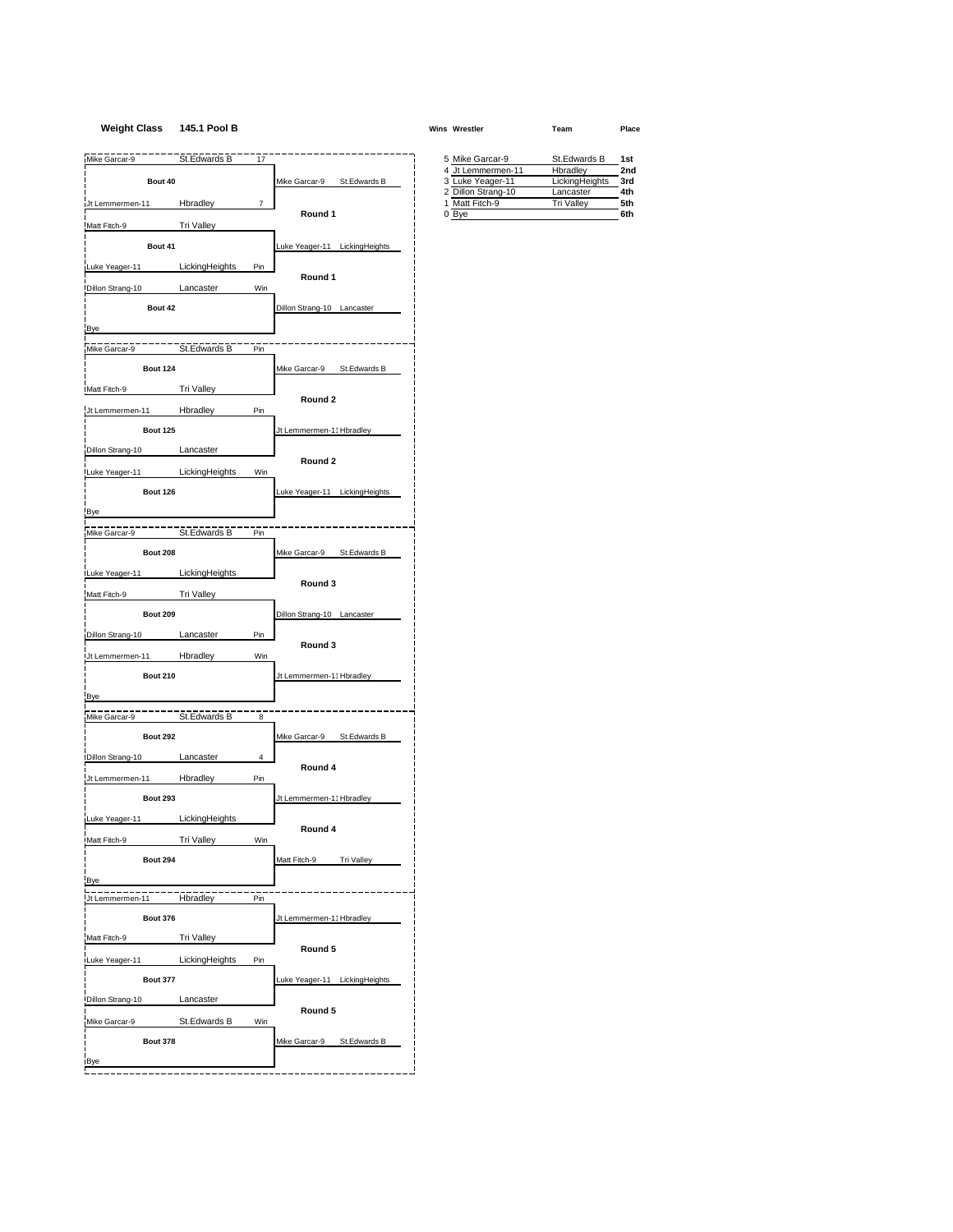# **Weight Class 145.1 Pool B Wins Wrestler Team Place**

| Mike Garcar-9    | St.Edwards B      | 17  |                               | 5 Mike Garcar-9                       | St.Edwards B                   | 1st        |
|------------------|-------------------|-----|-------------------------------|---------------------------------------|--------------------------------|------------|
| Bout 40          |                   |     | Mike Garcar-9<br>St.Edwards B | 4 Jt Lemmermen-11<br>3 Luke Yeager-11 | Hbradley<br>LickingHeights     | 2nc<br>3rd |
| Jt Lemmermen-11  | Hbradley          | 7   |                               | 2 Dillon Strang-10<br>1 Matt Fitch-9  | Lancaster<br><b>Tri Valley</b> | 4th<br>5th |
| Matt Fitch-9     | <b>Tri Valley</b> |     | Round 1                       | 0 Bye                                 |                                | 6th        |
|                  |                   |     |                               |                                       |                                |            |
| Bout 41          |                   |     | Luke Yeager-11 LickingHeights |                                       |                                |            |
| Luke Yeager-11   | LickingHeights    | Pin | Round 1                       |                                       |                                |            |
| Dillon Strang-10 | Lancaster         | Win |                               |                                       |                                |            |
| Bout 42          |                   |     | Dillon Strang-10 Lancaster    |                                       |                                |            |
| Bye              |                   |     |                               |                                       |                                |            |
| Mike Garcar-9    | St.Edwards B      | Pin |                               |                                       |                                |            |
| <b>Bout 124</b>  |                   |     | Mike Garcar-9<br>St.Edwards B |                                       |                                |            |
| Matt Fitch-9     | <b>Tri Valley</b> |     | Round 2                       |                                       |                                |            |
| Jt Lemmermen-11  | Hbradley          | Pin |                               |                                       |                                |            |
| <b>Bout 125</b>  |                   |     | Jt Lemmermen-11 Hbradley      |                                       |                                |            |
| Dillon Strang-10 | Lancaster         |     |                               |                                       |                                |            |
| Luke Yeager-11   | LickingHeights    | Win | Round 2                       |                                       |                                |            |
| <b>Bout 126</b>  |                   |     | Luke Yeager-11 LickingHeights |                                       |                                |            |
| Bye              |                   |     |                               |                                       |                                |            |
| Mike Garcar-9    | St.Edwards B      | Pin |                               |                                       |                                |            |
| <b>Bout 208</b>  |                   |     | Mike Garcar-9<br>St.Edwards B |                                       |                                |            |
| Luke Yeager-11   | LickingHeights    |     |                               |                                       |                                |            |
| Matt Fitch-9     | <b>Tri Valley</b> |     | Round 3                       |                                       |                                |            |
| <b>Bout 209</b>  |                   |     | Dillon Strang-10 Lancaster    |                                       |                                |            |
| Dillon Strang-10 | Lancaster         | Pin |                               |                                       |                                |            |
| Jt Lemmermen-11  |                   | Win | Round 3                       |                                       |                                |            |
| <b>Bout 210</b>  | Hbradley          |     |                               |                                       |                                |            |
|                  |                   |     | Jt Lemmermen-11 Hbradley      |                                       |                                |            |
| <b>Bye</b>       |                   |     |                               |                                       |                                |            |
| Mike Garcar-9    | St.Edwards B      | 8   |                               |                                       |                                |            |
| <b>Bout 292</b>  |                   |     | Mike Garcar-9<br>St.Edwards B |                                       |                                |            |
| Dillon Strang-10 | Lancaster         | 4   | Round 4                       |                                       |                                |            |
| Jt Lemmermen-11  | Hbradley          | Pin |                               |                                       |                                |            |
| <b>Bout 293</b>  |                   |     | Jt Lemmermen-11 Hbradley      |                                       |                                |            |
| Luke Yeager-11   | LickingHeights    |     | Round 4                       |                                       |                                |            |
| Matt Fitch-9     | <b>Tri Valley</b> | Win |                               |                                       |                                |            |
| <b>Bout 294</b>  |                   |     | Matt Fitch-9<br>Tri Valley    |                                       |                                |            |
| Bye              |                   |     |                               |                                       |                                |            |
| Jt Lemmermen-11  | Hbradley          | Pin |                               |                                       |                                |            |
| <b>Bout 376</b>  |                   |     | Jt Lemmermen-11 Hbradley      |                                       |                                |            |
| Matt Fitch-9     | <b>Tri Valley</b> |     | Round 5                       |                                       |                                |            |
| Luke Yeager-11   | LickingHeights    | Pin |                               |                                       |                                |            |
| <b>Bout 377</b>  |                   |     | Luke Yeager-11 LickingHeights |                                       |                                |            |
| Dillon Strang-10 | Lancaster         |     |                               |                                       |                                |            |
| Mike Garcar-9    | St.Edwards B      | Win | Round 5                       |                                       |                                |            |
| <b>Bout 378</b>  |                   |     | Mike Garcar-9<br>St.Edwards B |                                       |                                |            |
|                  |                   |     |                               |                                       |                                |            |

|                         | 5 Mike Garcar-9    | St.Edwards B      | 1st |
|-------------------------|--------------------|-------------------|-----|
|                         | 4 Jt Lemmermen-11  | Hbradlev          | 2nd |
| St.Edwards B<br>arcar-9 | 3 Luke Yeager-11   | LickingHeights    | 3rd |
|                         | 2 Dillon Strang-10 | Lancaster         | 4th |
|                         | 1 Matt Fitch-9     | <b>Tri Vallev</b> | 5th |
| Round 1                 | 0 Bye              |                   | 6th |
|                         |                    |                   |     |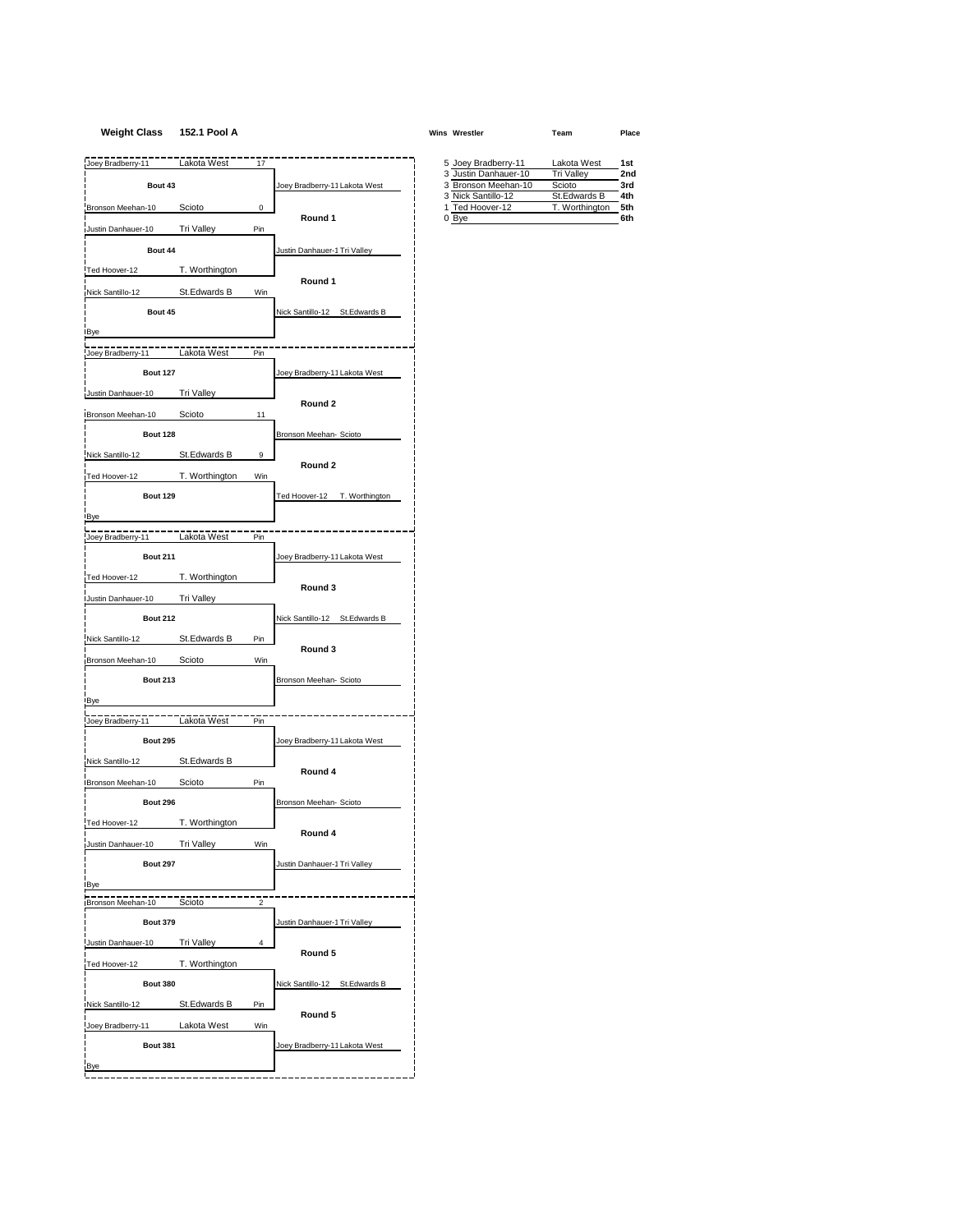# **Weight Class 152.1 Pool A Wins Wrestler Team Place**

|                        | 5 Joev Bradberry-11  | Lakota West       | 1st |
|------------------------|----------------------|-------------------|-----|
|                        | 3 Justin Danhauer-10 | <b>Tri Vallev</b> | 2nd |
| adberry-11 Lakota West | 3 Bronson Meehan-10  | Scioto            | 3rd |
|                        | 3 Nick Santillo-12   | St.Edwards B      | 4th |
|                        | 1 Ted Hoover-12      | T. Worthington    | 5th |
| Round 1                | 0 Bye                |                   | 6th |

| Joey Bradberry-11             | Lakota West<br>17            |                               | 5 Joey Bradberry-11                         | Lakota West                 |
|-------------------------------|------------------------------|-------------------------------|---------------------------------------------|-----------------------------|
| Bout 43                       |                              | Joey Bradberry-11 Lakota West | 3 Justin Danhauer-10<br>3 Bronson Meehan-10 | <b>Tri Valley</b><br>Scioto |
|                               |                              |                               | 3 Nick Santillo-12                          | St.Edwards B                |
| Bronson Meehan-10             | 0<br>Scioto                  | Round 1                       | 1 Ted Hoover-12<br>0 Bye                    | T. Worthington              |
| Justin Danhauer-10            | Tri Valley<br>Pin            |                               |                                             |                             |
| Bout 44                       |                              | Justin Danhauer-1 Tri Valley  |                                             |                             |
| Ted Hoover-12                 | T. Worthington               |                               |                                             |                             |
| Nick Santillo-12              | St.Edwards B<br>Win          | Round 1                       |                                             |                             |
| Bout 45                       |                              | Nick Santillo-12 St.Edwards B |                                             |                             |
| <b>Bye</b>                    |                              |                               |                                             |                             |
| Joey Bradberry-11 Lakota West | Pin                          |                               |                                             |                             |
|                               |                              |                               |                                             |                             |
| <b>Bout 127</b>               |                              | Joey Bradberry-11 Lakota West |                                             |                             |
| Justin Danhauer-10            | Tri Valley                   | Round 2                       |                                             |                             |
| Bronson Meehan-10             | Scioto<br>11                 |                               |                                             |                             |
| <b>Bout 128</b>               |                              | Bronson Meehan- Scioto        |                                             |                             |
| Nick Santillo-12              | St.Edwards B<br>9            |                               |                                             |                             |
| Ted Hoover-12                 | T. Worthington<br>Win        | Round 2                       |                                             |                             |
| <b>Bout 129</b>               |                              | Ted Hoover-12 T. Worthington  |                                             |                             |
| Bye                           |                              |                               |                                             |                             |
| Joey Bradberry-11             | Lakota West<br>Pin           |                               |                                             |                             |
| <b>Bout 211</b>               |                              | Joey Bradberry-11 Lakota West |                                             |                             |
|                               |                              |                               |                                             |                             |
| Ted Hoover-12                 | T. Worthington               | Round 3                       |                                             |                             |
| Justin Danhauer-10            | Tri Valley                   |                               |                                             |                             |
| <b>Bout 212</b>               |                              | Nick Santillo-12 St.Edwards B |                                             |                             |
| Nick Santillo-12              | St.Edwards B<br>Pin          | Round 3                       |                                             |                             |
| Bronson Meehan-10             | Win<br>Scioto                |                               |                                             |                             |
| <b>Bout 213</b>               |                              | Bronson Meehan- Scioto        |                                             |                             |
| Bye                           |                              |                               |                                             |                             |
| Joey Bradberry-11             | Lakota West<br>Pin           |                               |                                             |                             |
| <b>Bout 295</b>               |                              | Joey Bradberry-11 Lakota West |                                             |                             |
| Nick Santillo-12              | St.Edwards B                 |                               |                                             |                             |
|                               |                              | Round 4                       |                                             |                             |
| Bronson Meehan-10             | Scioto<br>Pin                |                               |                                             |                             |
| <b>Bout 296</b>               |                              | Bronson Meehan- Scioto        |                                             |                             |
| Ted Hoover-12                 | T. Worthington               | Round 4                       |                                             |                             |
| lustin Danhauer-10            | Tri Valley<br>Win            |                               |                                             |                             |
| <b>Bout 297</b>               |                              | Justin Danhauer-1 Tri Valley  |                                             |                             |
| Bye                           |                              |                               |                                             |                             |
| Bronson Meehan-10             | $\overline{c}$<br>Scioto     |                               |                                             |                             |
| <b>Bout 379</b>               |                              | Justin Danhauer-1 Tri Valley  |                                             |                             |
| Justin Danhauer-10            | Tri Valley<br>$\overline{4}$ |                               |                                             |                             |
| Ted Hoover-12                 | T. Worthington               | Round 5                       |                                             |                             |
| <b>Bout 380</b>               |                              | Nick Santillo-12 St.Edwards B |                                             |                             |
|                               | St.Edwards B                 |                               |                                             |                             |
| Nick Santillo-12              | Pin                          | Round 5                       |                                             |                             |
| Joey Bradberry-11             | Lakota West<br>Win           |                               |                                             |                             |
| <b>Bout 381</b>               |                              | Joey Bradberry-11 Lakota West |                                             |                             |
|                               |                              |                               |                                             |                             |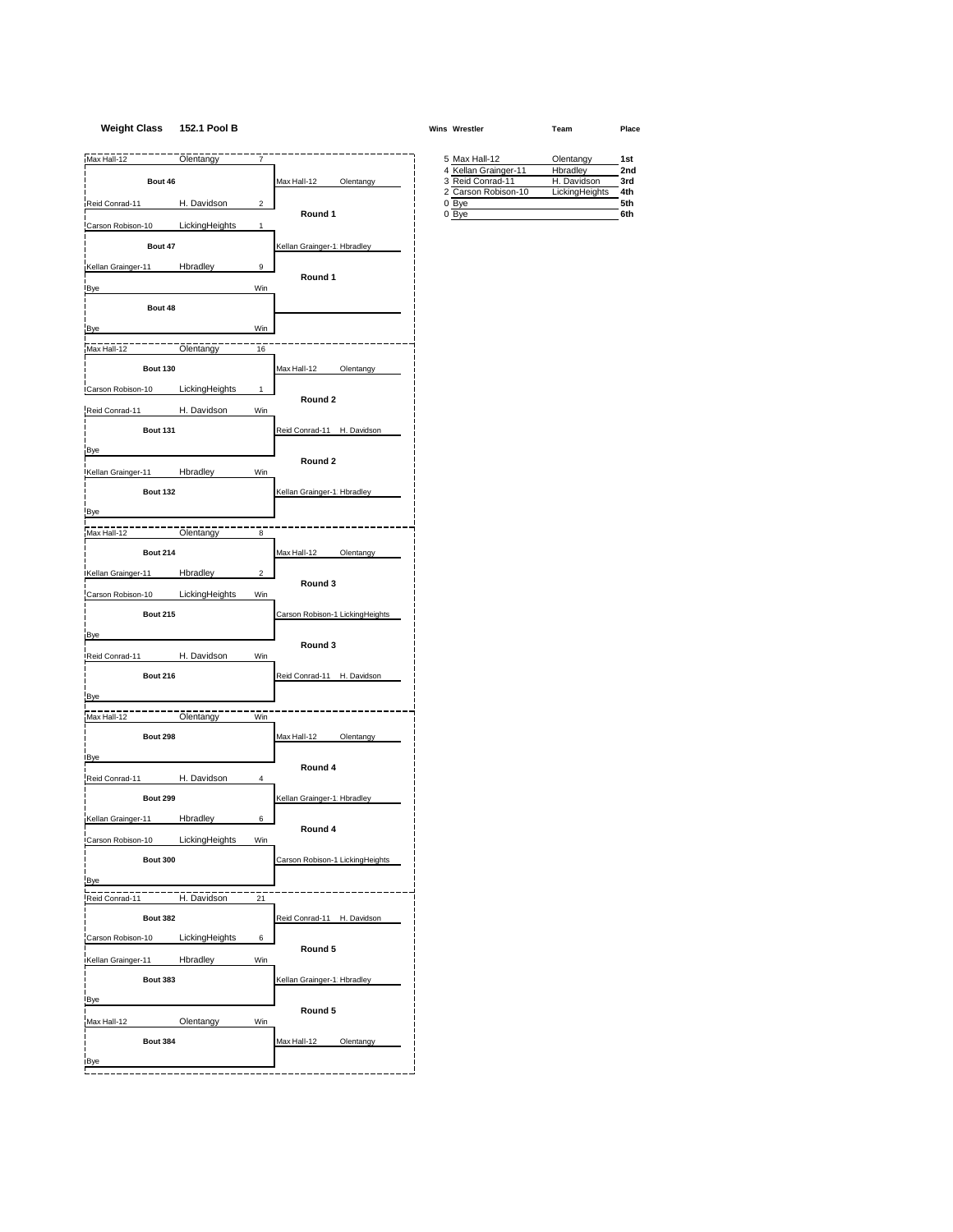# **Weight Class 152.1 Pool B Wins Wrestler Team Place**

| Olentangy<br>Max Hall-12<br>$\overline{7}$                |                                 | 5 Max Hall-12                                                   | Olentangy                                 | 1st               |
|-----------------------------------------------------------|---------------------------------|-----------------------------------------------------------------|-------------------------------------------|-------------------|
| Bout 46                                                   | Max Hall-12<br>Olentangy        | 4 Kellan Grainger-11<br>3 Reid Conrad-11<br>2 Carson Robison-10 | Hbradley<br>H. Davidson<br>LickingHeights | 2no<br>3rd<br>4th |
| H. Davidson<br>Reid Conrad-11<br>2                        |                                 | 0 Bye                                                           |                                           | 5th               |
| LickingHeights<br>Carson Robison-10<br>$\mathbf{1}$       | Round 1                         | 0 Bye                                                           |                                           | 6th               |
| Bout 47                                                   | Kellan Grainger-1 Hbradley      |                                                                 |                                           |                   |
| Hbradley<br>Kellan Grainger-11<br>9                       |                                 |                                                                 |                                           |                   |
| Win<br>Bye                                                | Round 1                         |                                                                 |                                           |                   |
| Ĩ.<br>Bout 48                                             |                                 |                                                                 |                                           |                   |
| Win<br>Bye                                                |                                 |                                                                 |                                           |                   |
| Olentangy<br>Max Hall-12<br>16                            |                                 |                                                                 |                                           |                   |
| <b>Bout 130</b>                                           | Max Hall-12<br>Olentangy        |                                                                 |                                           |                   |
| LickingHeights<br>Carson Robison-10<br>$\mathbf{1}$       |                                 |                                                                 |                                           |                   |
|                                                           | Round 2                         |                                                                 |                                           |                   |
| Reid Conrad-11<br>H. Davidson<br>Win                      |                                 |                                                                 |                                           |                   |
| <b>Bout 131</b>                                           | Reid Conrad-11 H. Davidson      |                                                                 |                                           |                   |
| Bye                                                       | Round 2                         |                                                                 |                                           |                   |
| Kellan Grainger-11 Hbradley<br>Win<br>ļ                   |                                 |                                                                 |                                           |                   |
| <b>Bout 132</b>                                           | Kellan Grainger-1 Hbradley      |                                                                 |                                           |                   |
| Bye                                                       |                                 |                                                                 |                                           |                   |
| Max Hall-12<br>Olentangy<br>8                             |                                 |                                                                 |                                           |                   |
| <b>Bout 214</b>                                           | Max Hall-12<br>Olentangy        |                                                                 |                                           |                   |
| Kellan Grainger-11<br>Hbradley<br>$\overline{\mathbf{c}}$ | Round 3                         |                                                                 |                                           |                   |
| LickingHeights<br>Carson Robison-10<br>Win                |                                 |                                                                 |                                           |                   |
| <b>Bout 215</b>                                           | Carson Robison-1 LickingHeights |                                                                 |                                           |                   |
| Bye                                                       |                                 |                                                                 |                                           |                   |
| Reid Conrad-11<br>H. Davidson<br>Win                      | Round 3                         |                                                                 |                                           |                   |
| Ť.<br><b>Bout 216</b>                                     | Reid Conrad-11 H. Davidson      |                                                                 |                                           |                   |
| Bye                                                       |                                 |                                                                 |                                           |                   |
| Max Hall-12<br>Olentangy<br>Win                           |                                 |                                                                 |                                           |                   |
| п<br><b>Bout 298</b>                                      | Max Hall-12<br>Olentangy        |                                                                 |                                           |                   |
| Bye                                                       |                                 |                                                                 |                                           |                   |
| H. Davidson<br>Reid Conrad-11<br>$\overline{4}$           | Round 4                         |                                                                 |                                           |                   |
| <b>Bout 299</b>                                           | Kellan Grainger-1 Hbradley      |                                                                 |                                           |                   |
| Kellan Grainger-11<br>Hbradley<br>6                       |                                 |                                                                 |                                           |                   |
| LickingHeights<br>Carson Robison-10<br>Win                | Round 4                         |                                                                 |                                           |                   |
| <b>Bout 300</b>                                           | Carson Robison-1 LickingHeights |                                                                 |                                           |                   |
| Bye                                                       |                                 |                                                                 |                                           |                   |
| H. Davidson<br>Reid Conrad-11<br>21                       |                                 |                                                                 |                                           |                   |
| <b>Bout 382</b>                                           | Reid Conrad-11 H. Davidson      |                                                                 |                                           |                   |
| Carson Robison-10<br>LickingHeights<br>6                  |                                 |                                                                 |                                           |                   |
| Win                                                       | Round 5                         |                                                                 |                                           |                   |
| Hbradley<br>Kellan Grainger-11<br><b>Bout 383</b>         |                                 |                                                                 |                                           |                   |
|                                                           | Kellan Grainger-1 Hbradley      |                                                                 |                                           |                   |
| <b>Bye</b>                                                | Round 5                         |                                                                 |                                           |                   |
| Olentangy<br>Max Hall-12<br>Win                           |                                 |                                                                 |                                           |                   |
| <b>Bout 384</b>                                           | Max Hall-12<br>Olentangy        |                                                                 |                                           |                   |
| <b>Bye</b>                                                |                                 |                                                                 |                                           |                   |

|                        | 5 Max Hall-12        | Olentangy      | 1st |
|------------------------|----------------------|----------------|-----|
|                        | 4 Kellan Grainger-11 | Hbradlev       | 2nd |
| $II - 12$<br>Olentangy | 3 Reid Conrad-11     | H. Davidson    | 3rd |
|                        | 2 Carson Robison-10  | LickingHeights | 4th |
|                        | 0 Bve                |                | 5th |
| Round 1                | 0 Bve                |                | 6th |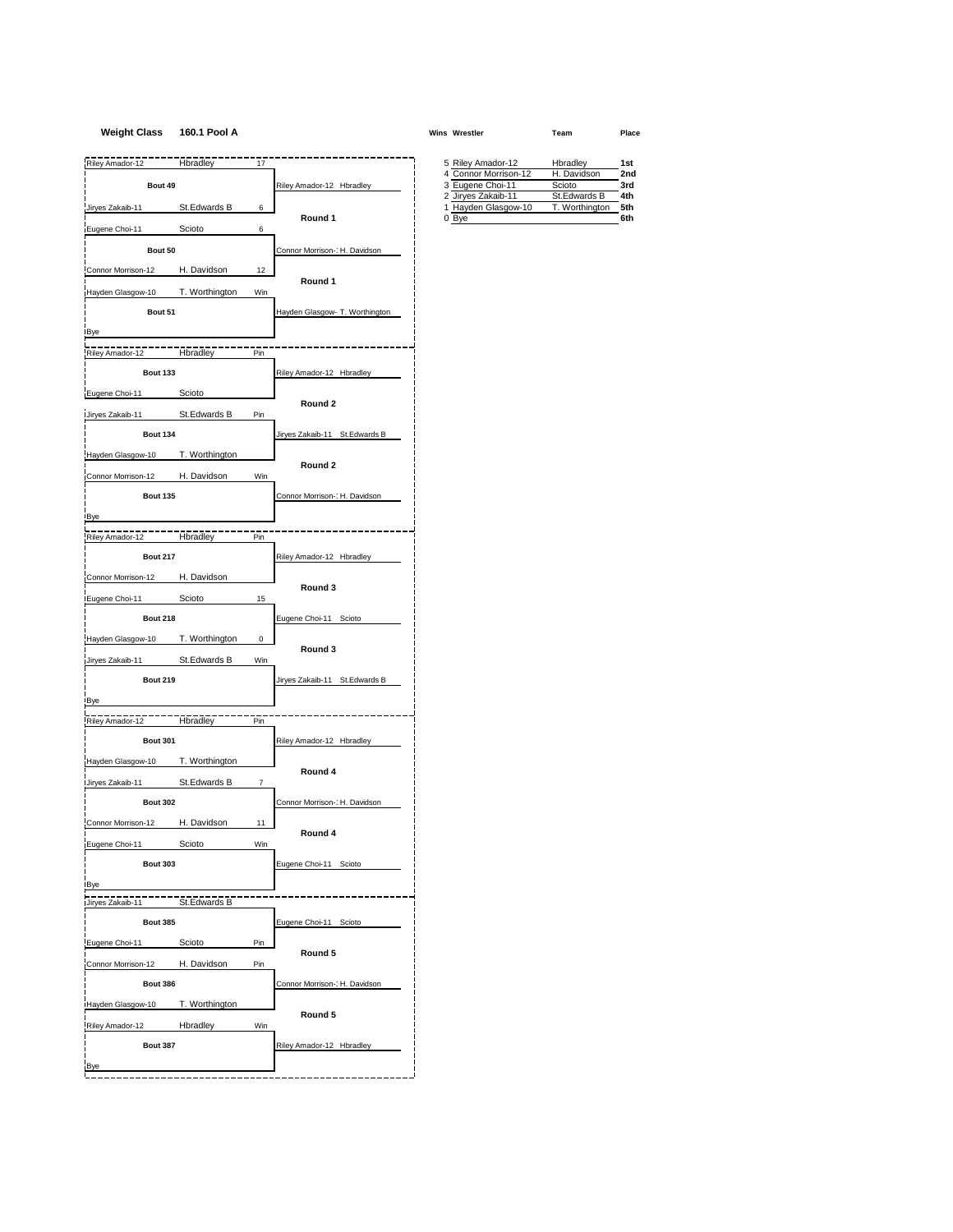## **Weight Class 160.1 Pool A Wins Wrestler Team Place**

| Riley Amador-12          | Hbradley<br>17                 |                                | 5 Riley Amador-12                        | Hbradley               |
|--------------------------|--------------------------------|--------------------------------|------------------------------------------|------------------------|
| Bout 49                  |                                |                                | 4 Connor Morrison-12<br>3 Eugene Choi-11 | H. Davidson            |
|                          |                                | Riley Amador-12 Hbradley       | 2 Jiryes Zakaib-11                       | Scioto<br>St.Edwards B |
| Jiryes Zakaib-11         | St.Edwards B<br>6              |                                | 1 Hayden Glasgow-10                      | T. Worthington         |
| Eugene Choi-11           | 6<br>Scioto                    | Round 1                        | 0 Bye                                    |                        |
| Bout 50                  |                                | Connor Morrison-1 H. Davidson  |                                          |                        |
| Connor Morrison-12       | H. Davidson<br>12              |                                |                                          |                        |
| Hayden Glasgow-10        | T. Worthington<br>Win          | Round 1                        |                                          |                        |
| Bout 51                  |                                | Hayden Glasgow- T. Worthington |                                          |                        |
| Bye                      |                                |                                |                                          |                        |
| Riley Amador-12 Hbradley | Pin                            |                                |                                          |                        |
| <b>Bout 133</b>          |                                | Riley Amador-12 Hbradley       |                                          |                        |
| Eugene Choi-11           | Scioto                         |                                |                                          |                        |
| Jiryes Zakaib-11         | St.Edwards B<br>Pin            | Round 2                        |                                          |                        |
|                          |                                |                                |                                          |                        |
| <b>Bout 134</b>          | T. Worthington                 | Jiryes Zakaib-11 St.Edwards B  |                                          |                        |
| Hayden Glasgow-10        |                                | Round 2                        |                                          |                        |
| Connor Morrison-12       | H. Davidson<br>Win             |                                |                                          |                        |
| <b>Bout 135</b>          |                                | Connor Morrison-1 H. Davidson  |                                          |                        |
| Bye                      |                                |                                |                                          |                        |
| Riley Amador-12          | Hbradley<br>Pin                |                                |                                          |                        |
| <b>Bout 217</b>          |                                | Riley Amador-12 Hbradley       |                                          |                        |
| Connor Morrison-12       | H. Davidson                    |                                |                                          |                        |
| Eugene Choi-11           | Scioto<br>15                   | Round 3                        |                                          |                        |
| <b>Bout 218</b>          |                                | Eugene Choi-11 Scioto          |                                          |                        |
| Hayden Glasgow-10        | T. Worthington<br>0            |                                |                                          |                        |
| Jiryes Zakaib-11         | St.Edwards B<br>Win            | Round 3                        |                                          |                        |
| <b>Bout 219</b>          |                                | Jiryes Zakaib-11 St.Edwards B  |                                          |                        |
| <b>Bye</b>               |                                |                                |                                          |                        |
|                          | Hbradley<br>Pin                |                                |                                          |                        |
| Riley Amador-12          |                                |                                |                                          |                        |
| <b>Bout 301</b>          |                                | Riley Amador-12 Hbradley       |                                          |                        |
| Hayden Glasgow-10        | T. Worthington                 | Round 4                        |                                          |                        |
| Jiryes Zakaib-11         | St.Edwards B<br>$\overline{7}$ |                                |                                          |                        |
| <b>Bout 302</b>          |                                | Connor Morrison-1 H. Davidson  |                                          |                        |
| Connor Morrison-12       | H. Davidson<br>11              | Round 4                        |                                          |                        |
| Eugene Choi-11           | Scioto<br>Win                  |                                |                                          |                        |
| <b>Bout 303</b>          |                                | Eugene Choi-11 Scioto          |                                          |                        |
| Bye                      |                                |                                |                                          |                        |
| Jiryes Zakaib-11         | St.Edwards B                   |                                |                                          |                        |
| <b>Bout 385</b>          |                                | Eugene Choi-11 Scioto          |                                          |                        |
| Eugene Choi-11           | Scioto<br>Pin                  |                                |                                          |                        |
| Connor Morrison-12       | H. Davidson<br>Pin             | Round 5                        |                                          |                        |
| <b>Bout 386</b>          |                                | Connor Morrison-1 H. Davidson  |                                          |                        |
| Hayden Glasgow-10        | T. Worthington                 |                                |                                          |                        |
| Riley Amador-12          | Hbradley<br>Win                | Round 5                        |                                          |                        |
|                          |                                |                                |                                          |                        |
| <b>Bout 387</b>          |                                | Riley Amador-12 Hbradley       |                                          |                        |
| Bye                      |                                |                                |                                          |                        |

| 5 Riley Amador-12    | Hbradley       | 1st             |
|----------------------|----------------|-----------------|
| 4 Connor Morrison-12 | H. Davidson    | 2 <sub>nd</sub> |
| 3 Eugene Choi-11     | Scioto         | 3rd             |
| 2 Jiryes Zakaib-11   | St.Edwards B   | 4th             |
| 1 Hayden Glasgow-10  | T. Worthington | 5th             |
| 0.84a                |                | <b>Gth</b>      |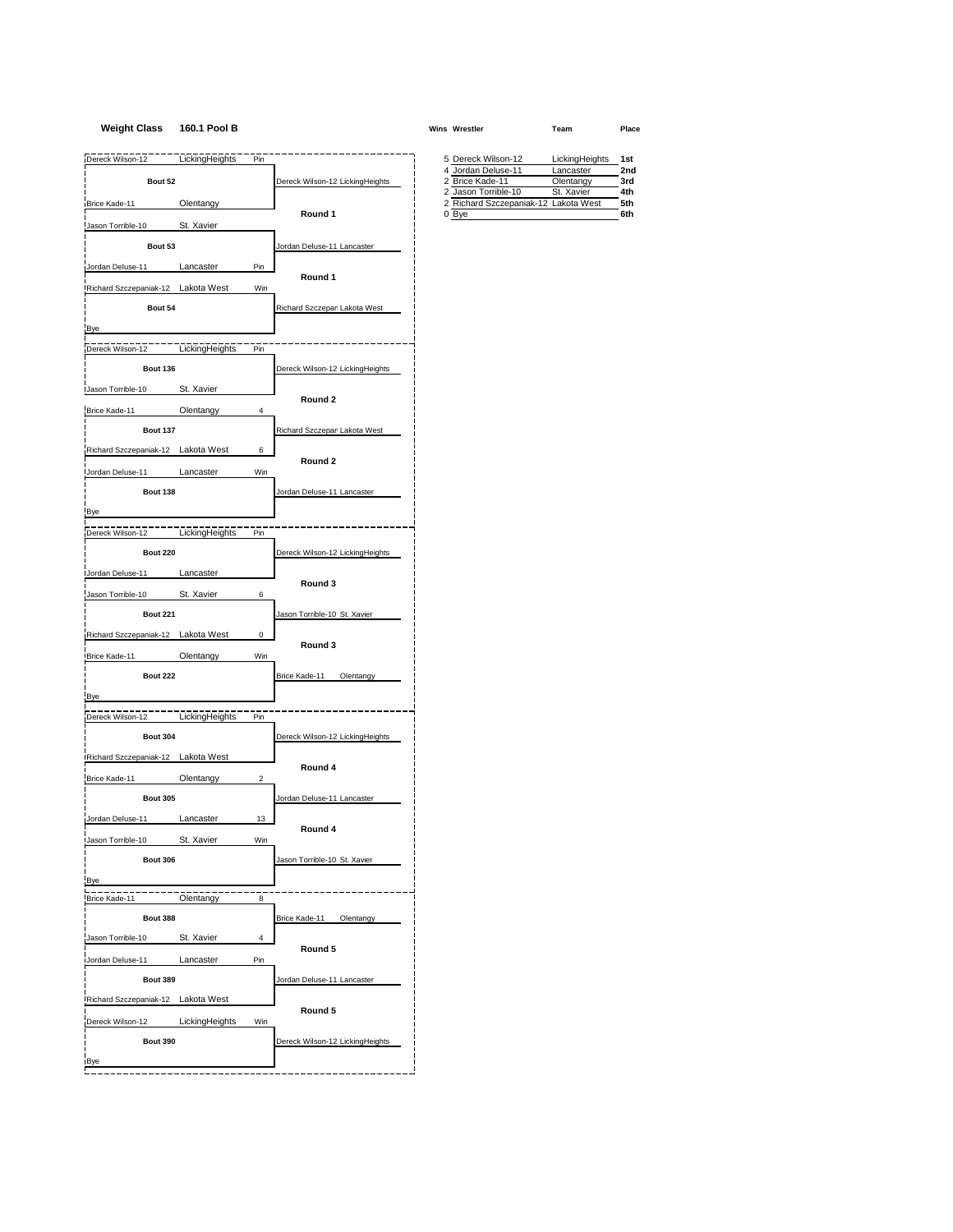# **Weight Class 160.1 Pool B Wins Wrestler Team Place**

| Bout 52                                                         | LickingHeights<br>Pin   |                                 | 5 Dereck Wilson-12                    | LickingHeights         | 1st        |
|-----------------------------------------------------------------|-------------------------|---------------------------------|---------------------------------------|------------------------|------------|
|                                                                 |                         | Dereck Wilson-12 LickingHeights | 4 Jordan Deluse-11<br>2 Brice Kade-11 | Lancaster<br>Olentangy | 2nc<br>3rd |
|                                                                 |                         |                                 | 2 Jason Torrible-10                   | St. Xavier             | 4th        |
| Brice Kade-11                                                   | Olentangy               | Round 1                         | 2 Richard Szczepaniak-12<br>0 Bye     | Lakota West            | 5th<br>6th |
| Jason Torrible-10                                               | St. Xavier              |                                 |                                       |                        |            |
| Bout 53                                                         |                         | Jordan Deluse-11 Lancaster      |                                       |                        |            |
| Jordan Deluse-11                                                | Lancaster<br>Pin        |                                 |                                       |                        |            |
| Richard Szczepaniak-12 Lakota West                              | Win                     | Round 1                         |                                       |                        |            |
| Bout 54                                                         |                         | Richard Szczepan Lakota West    |                                       |                        |            |
| Bye                                                             |                         |                                 |                                       |                        |            |
| Dereck Wilson-12                                                | LickingHeights<br>Pin   |                                 |                                       |                        |            |
| <b>Bout 136</b>                                                 |                         | Dereck Wilson-12 LickingHeights |                                       |                        |            |
|                                                                 |                         |                                 |                                       |                        |            |
| <b>Jason Torrible-10</b>                                        | St. Xavier              | Round 2                         |                                       |                        |            |
| Brice Kade-11                                                   | Olentangy<br>$\sqrt{4}$ |                                 |                                       |                        |            |
| <b>Bout 137</b>                                                 |                         | Richard Szczepan Lakota West    |                                       |                        |            |
| Richard Szczepaniak-12 Lakota West                              | 6                       |                                 |                                       |                        |            |
| Jordan Deluse-11                                                | Lancaster<br>Win        | Round 2                         |                                       |                        |            |
| <b>Bout 138</b>                                                 |                         | Jordan Deluse-11 Lancaster      |                                       |                        |            |
| <b>Bye</b>                                                      |                         |                                 |                                       |                        |            |
| Dereck Wilson-12                                                | LickingHeights<br>Pin   |                                 |                                       |                        |            |
| <b>Bout 220</b>                                                 |                         | Dereck Wilson-12 LickingHeights |                                       |                        |            |
|                                                                 |                         |                                 |                                       |                        |            |
| Jordan Deluse-11                                                | Lancaster               | Round 3                         |                                       |                        |            |
| Jason Torrible-10                                               | St. Xavier<br>6         |                                 |                                       |                        |            |
| <b>Bout 221</b>                                                 |                         | Jason Torrible-10 St. Xavier    |                                       |                        |            |
| Richard Szczepaniak-12 Lakota West                              | $\mathsf 0$             |                                 |                                       |                        |            |
| Brice Kade-11                                                   | Olentangy<br>Win        | Round 3                         |                                       |                        |            |
| <b>Bout 222</b>                                                 |                         | Brice Kade-11<br>Olentangy      |                                       |                        |            |
| <b>Bye</b>                                                      |                         |                                 |                                       |                        |            |
| Dereck Wilson-12                                                | LickingHeights<br>Pin   |                                 |                                       |                        |            |
| <b>Bout 304</b>                                                 |                         | Dereck Wilson-12 LickingHeights |                                       |                        |            |
|                                                                 |                         |                                 |                                       |                        |            |
| Richard Szczepaniak-12 Lakota West                              |                         | Round 4                         |                                       |                        |            |
| Brice Kade-11                                                   | Olentangy<br>2          |                                 |                                       |                        |            |
| <b>Bout 305</b>                                                 |                         | Jordan Deluse-11 Lancaster      |                                       |                        |            |
| Jordan Deluse-11                                                | Lancaster<br>13         | Round 4                         |                                       |                        |            |
| Jason Torrible-10                                               | Win<br>St. Xavier       |                                 |                                       |                        |            |
| <b>Bout 306</b>                                                 |                         | Jason Torrible-10 St. Xavier    |                                       |                        |            |
| <b>Bye</b>                                                      |                         |                                 |                                       |                        |            |
| Brice Kade-11                                                   | Olentangy<br>8          |                                 |                                       |                        |            |
| <b>Bout 388</b>                                                 |                         | Brice Kade-11<br>Olentangy      |                                       |                        |            |
|                                                                 | St. Xavier<br>4         |                                 |                                       |                        |            |
|                                                                 |                         | Round 5                         |                                       |                        |            |
|                                                                 | Pin<br>Lancaster        |                                 |                                       |                        |            |
|                                                                 |                         |                                 |                                       |                        |            |
| Jason Torrible-10<br><b>Jordan Deluse-11</b><br><b>Bout 389</b> |                         | Jordan Deluse-11 Lancaster      |                                       |                        |            |
| Richard Szczepaniak-12 Lakota West                              |                         | Round 5                         |                                       |                        |            |
| Dereck Wilson-12                                                | LickingHeights<br>Win   |                                 |                                       |                        |            |
| <b>Bout 390</b>                                                 |                         | Dereck Wilson-12 LickingHeights |                                       |                        |            |

| 5 Dereck Wilson-12                   | LickingHeights | 1st    |
|--------------------------------------|----------------|--------|
| 4 Jordan Deluse-11                   | Lancaster      | 2nd    |
| 2 Brice Kade-11                      | Olentangy      | 3rd    |
| 2 Jason Torrible-10                  | St. Xavier     | 4th    |
| 2 Richard Szczepaniak-12 Lakota West |                | 5th    |
| $\wedge$ $\wedge$                    |                | $\sim$ |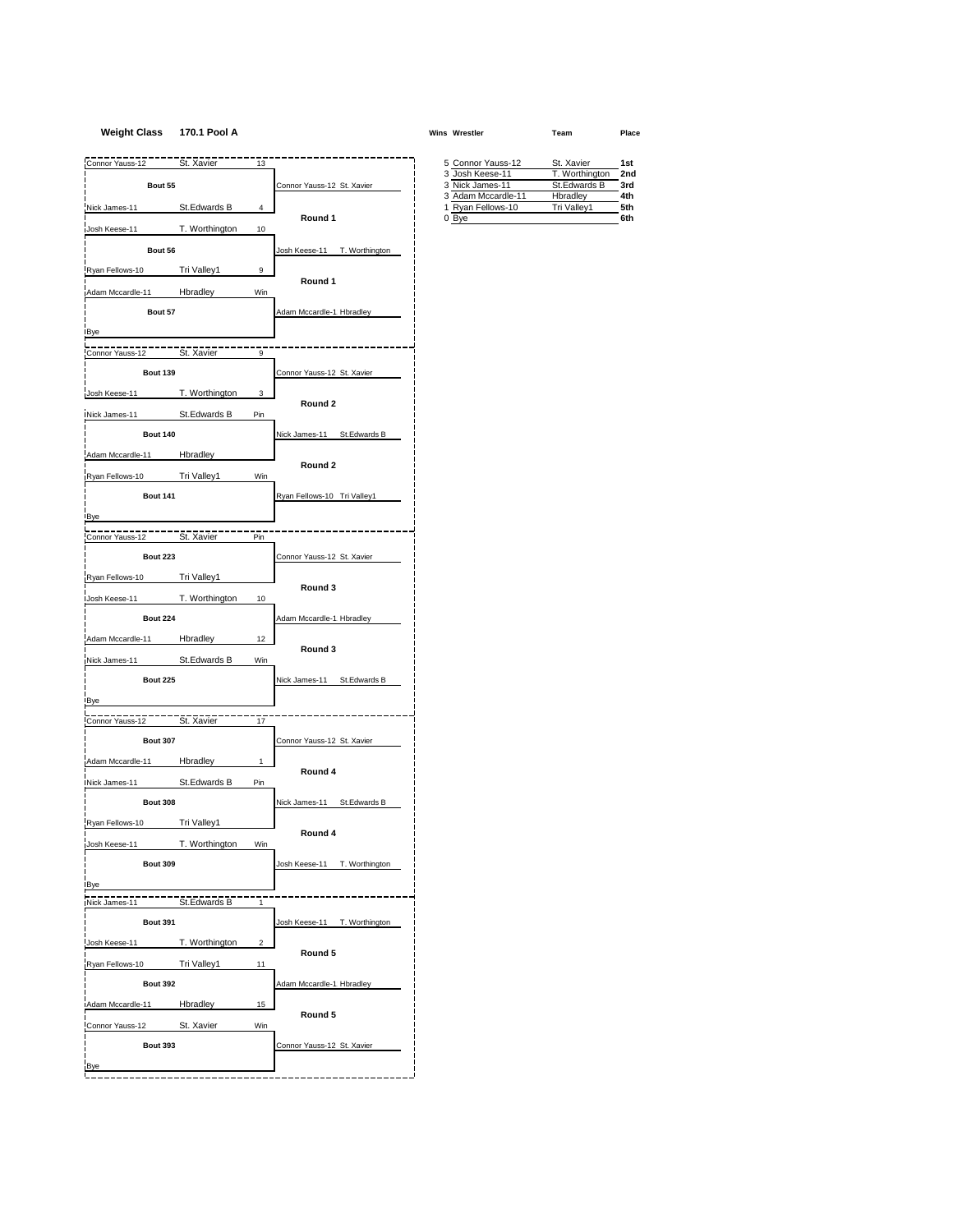# **Weight Class 170.1 Pool A Wins Wrestler Team Place**

| Connor Yauss-12  | St. Xavier     | 13               |                                 | 5 Connor Yauss-12<br>3 Josh Keese-11 | St. Xavier                     | 1st<br>2nc |
|------------------|----------------|------------------|---------------------------------|--------------------------------------|--------------------------------|------------|
| Bout 55          |                |                  | Connor Yauss-12 St. Xavier      | 3 Nick James-11                      | T. Worthington<br>St.Edwards B | 3rd        |
|                  |                |                  |                                 | 3 Adam Mccardle-11                   | Hbradley                       | 4th        |
| Nick James-11    | St.Edwards B   | 4                | Round 1                         | 1 Ryan Fellows-10<br>0 Bye           | Tri Valley1                    | 5th<br>6th |
| Josh Keese-11    | T. Worthington | 10               |                                 |                                      |                                |            |
| Bout 56          |                |                  | Josh Keese-11 T. Worthington    |                                      |                                |            |
| Ryan Fellows-10  | Tri Valley1    | 9                |                                 |                                      |                                |            |
| Adam Mccardle-11 | Hbradley       | Win              | Round 1                         |                                      |                                |            |
| Bout 57          |                |                  | Adam Mccardle-1 Hbradley        |                                      |                                |            |
| Bye              |                |                  |                                 |                                      |                                |            |
| Connor Yauss-12  | St. Xavier     | 9                |                                 |                                      |                                |            |
| <b>Bout 139</b>  |                |                  |                                 |                                      |                                |            |
|                  |                |                  | Connor Yauss-12 St. Xavier      |                                      |                                |            |
| Josh Keese-11    | T. Worthington | 3                | Round 2                         |                                      |                                |            |
| Nick James-11    | St.Edwards B   | Pin              |                                 |                                      |                                |            |
| <b>Bout 140</b>  |                |                  | Nick James-11<br>St.Edwards B   |                                      |                                |            |
| Adam Mccardle-11 | Hbradley       |                  |                                 |                                      |                                |            |
| Ryan Fellows-10  | Tri Valley1    | Win              | Round 2                         |                                      |                                |            |
| <b>Bout 141</b>  |                |                  | Ryan Fellows-10 Tri Valley1     |                                      |                                |            |
|                  |                |                  |                                 |                                      |                                |            |
| , Bye            |                |                  |                                 |                                      |                                |            |
| Connor Yauss-12  | St. Xavier     | Pin              |                                 |                                      |                                |            |
| <b>Bout 223</b>  |                |                  | Connor Yauss-12 St. Xavier      |                                      |                                |            |
| Ryan Fellows-10  | Tri Valley1    |                  |                                 |                                      |                                |            |
| Josh Keese-11    | T. Worthington | 10               | Round 3                         |                                      |                                |            |
| <b>Bout 224</b>  |                |                  | Adam Mccardle-1 Hbradley        |                                      |                                |            |
| Adam Mccardle-11 | Hbradley       | 12               |                                 |                                      |                                |            |
|                  |                |                  | Round 3                         |                                      |                                |            |
| Nick James-11    | St.Edwards B   | Win              |                                 |                                      |                                |            |
| <b>Bout 225</b>  |                |                  | Nick James-11<br>St.Edwards B   |                                      |                                |            |
| <b>Bye</b>       |                |                  |                                 |                                      |                                |            |
| Connor Yauss-12  | St. Xavier     | 17               |                                 |                                      |                                |            |
| <b>Bout 307</b>  |                |                  | Connor Yauss-12 St. Xavier      |                                      |                                |            |
| Adam Mccardle-11 | Hbradley       | 1                |                                 |                                      |                                |            |
| Nick James-11    | St.Edwards B   | Pin              | Round 4                         |                                      |                                |            |
| <b>Bout 308</b>  |                |                  | Nick James-11<br>St.Edwards B   |                                      |                                |            |
| Ryan Fellows-10  |                |                  |                                 |                                      |                                |            |
|                  | Tri Valley1    |                  | Round 4                         |                                      |                                |            |
| Josh Keese-11    | T. Worthington | Win              |                                 |                                      |                                |            |
| <b>Bout 309</b>  |                |                  | Josh Keese-11<br>T. Worthington |                                      |                                |            |
| Bye              |                |                  |                                 |                                      |                                |            |
| Nick James-11    | St.Edwards B   | $\overline{1}$   |                                 |                                      |                                |            |
| <b>Bout 391</b>  |                |                  | Josh Keese-11<br>T. Worthington |                                      |                                |            |
| Josh Keese-11    | T. Worthington | $\boldsymbol{2}$ |                                 |                                      |                                |            |
| Ryan Fellows-10  | Tri Valley1    | 11               | Round 5                         |                                      |                                |            |
| <b>Bout 392</b>  |                |                  | Adam Mccardle-1 Hbradley        |                                      |                                |            |
|                  |                |                  |                                 |                                      |                                |            |
| Adam Mccardle-11 | Hbradley       | 15               | Round 5                         |                                      |                                |            |
| Connor Yauss-12  | St. Xavier     | Win              |                                 |                                      |                                |            |

**Bout 393** Connor Yauss-12 St. Xavier

Bye

|                     | 5 Connor Yauss-12  | St. Xavier     | 1st |
|---------------------|--------------------|----------------|-----|
|                     | 3 Josh Keese-11    | T. Worthington | 2nd |
| Yauss-12 St. Xavier | 3 Nick James-11    | St.Edwards B   | 3rd |
|                     | 3 Adam Mccardle-11 | Hbradlev       | 4th |
|                     | 1 Rvan Fellows-10  | Tri Vallev1    | 5th |
| Round 1             | 0 Bye              |                | 6th |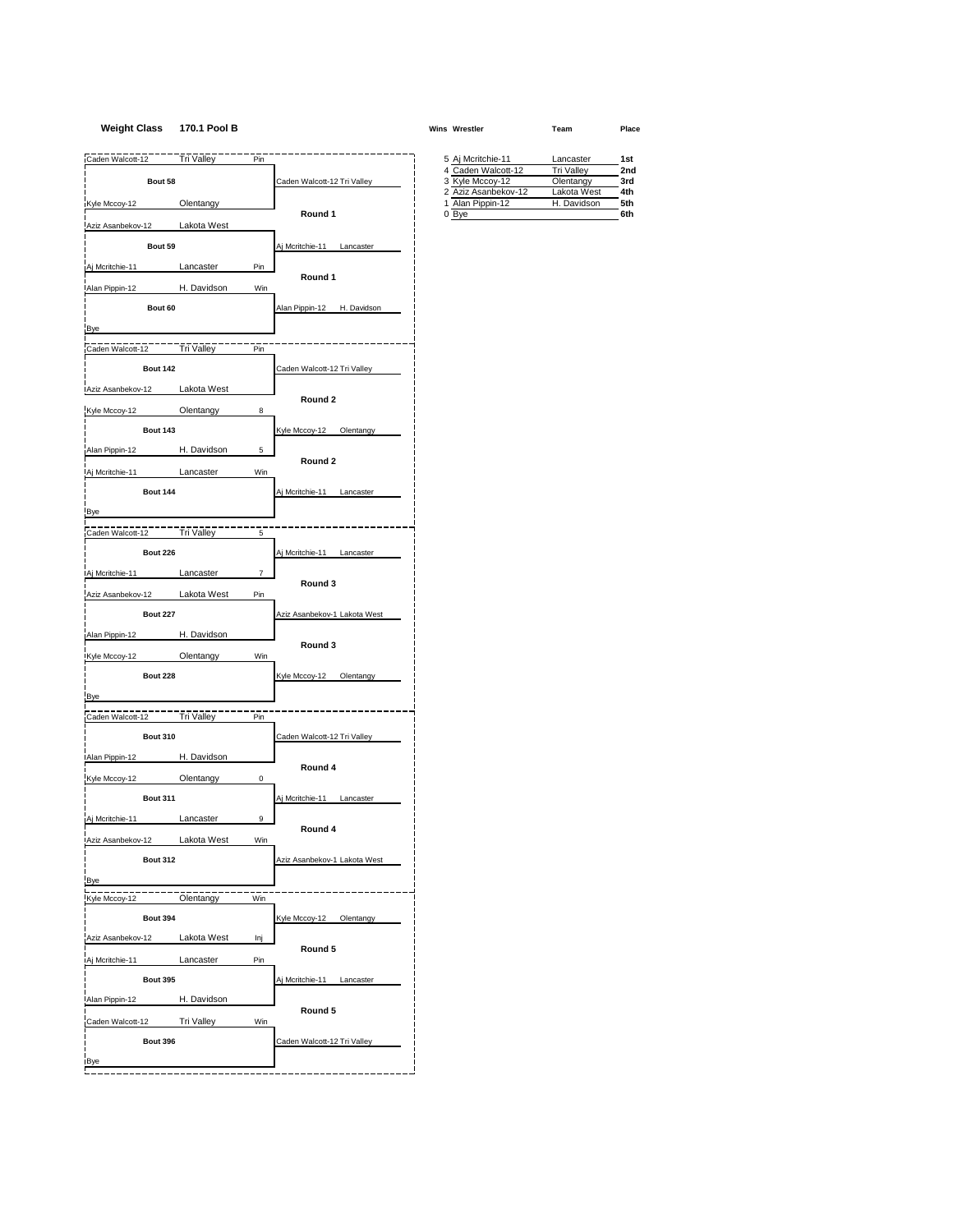# **Weight Class 170.1 Pool B Wins Wrestler Team Place**

| Caden Walcott-12 Tri Valley |             | Pin            |                               | 5 Aj Mcritchie-11                      | Lancaster                | 1st        |
|-----------------------------|-------------|----------------|-------------------------------|----------------------------------------|--------------------------|------------|
|                             |             |                |                               | 4 Caden Walcott-12                     | <b>Tri Valley</b>        | 2nc        |
| Bout 58                     |             |                | Caden Walcott-12 Tri Valley   | 3 Kyle Mccoy-12<br>2 Aziz Asanbekov-12 | Olentangy<br>Lakota West | 3rd<br>4th |
| Kyle Mccoy-12               | Olentangy   |                |                               | 1 Alan Pippin-12                       | H. Davidson              | 5th        |
| Aziz Asanbekov-12           | Lakota West |                | Round 1                       | 0 Bye                                  |                          | 6th        |
|                             |             |                |                               |                                        |                          |            |
| Bout 59                     |             |                | Aj Mcritchie-11<br>Lancaster  |                                        |                          |            |
| Aj Mcritchie-11             | Lancaster   | Pin            |                               |                                        |                          |            |
| Alan Pippin-12              | H. Davidson | Win            | Round 1                       |                                        |                          |            |
| Bout 60                     |             |                | Alan Pippin-12 H. Davidson    |                                        |                          |            |
|                             |             |                |                               |                                        |                          |            |
| Bye                         |             |                |                               |                                        |                          |            |
| Caden Walcott-12            | Tri Valley  | Pin            |                               |                                        |                          |            |
| <b>Bout 142</b>             |             |                | Caden Walcott-12 Tri Valley   |                                        |                          |            |
| Aziz Asanbekov-12           | Lakota West |                |                               |                                        |                          |            |
| Kyle Mccoy-12               | Olentangy   | 8              | Round 2                       |                                        |                          |            |
|                             |             |                |                               |                                        |                          |            |
| <b>Bout 143</b>             |             |                | Kyle Mccoy-12 Olentangy       |                                        |                          |            |
| Alan Pippin-12              | H. Davidson | 5              | Round 2                       |                                        |                          |            |
| Aj Mcritchie-11             | Lancaster   | Win            |                               |                                        |                          |            |
| <b>Bout 144</b>             |             |                | Aj Mcritchie-11 Lancaster     |                                        |                          |            |
|                             |             |                |                               |                                        |                          |            |
| <b>Bye</b>                  |             |                |                               |                                        |                          |            |
| Caden Walcott-12 Tri Valley |             | $\,$ 5 $\,$    |                               |                                        |                          |            |
| <b>Bout 226</b>             |             |                | Aj Mcritchie-11<br>Lancaster  |                                        |                          |            |
| Aj Mcritchie-11             | Lancaster   | $\overline{7}$ |                               |                                        |                          |            |
| Aziz Asanbekov-12           | Lakota West | Pin            | Round 3                       |                                        |                          |            |
|                             |             |                |                               |                                        |                          |            |
| <b>Bout 227</b>             |             |                | Aziz Asanbekov-1: Lakota West |                                        |                          |            |
| Alan Pippin-12              | H. Davidson |                | Round 3                       |                                        |                          |            |
| Kyle Mccoy-12               | Olentangy   | Win            |                               |                                        |                          |            |
| <b>Bout 228</b>             |             |                | Kyle Mccoy-12<br>Olentangy    |                                        |                          |            |
|                             |             |                |                               |                                        |                          |            |
| Bye                         |             |                |                               |                                        |                          |            |
| Caden Walcott-12 Tri Valley |             | Pin            |                               |                                        |                          |            |
| <b>Bout 310</b>             |             |                | Caden Walcott-12 Tri Valley   |                                        |                          |            |
| Alan Pippin-12              | H. Davidson |                |                               |                                        |                          |            |
| Kyle Mccoy-12               | Olentangy   | 0              | Round 4                       |                                        |                          |            |
|                             |             |                |                               |                                        |                          |            |
| <b>Bout 311</b>             |             |                | Aj Mcritchie-11 Lancaster     |                                        |                          |            |
| Aj Mcritchie-11             | Lancaster   | 9              | Round 4                       |                                        |                          |            |
| Aziz Asanbekov-12           | Lakota West | Win            |                               |                                        |                          |            |
| <b>Bout 312</b>             |             |                | Aziz Asanbekov-1: Lakota West |                                        |                          |            |
|                             |             |                |                               |                                        |                          |            |
| Bye<br>L                    |             |                |                               |                                        |                          |            |
| Kyle Mccoy-12               | Olentangy   | Win            |                               |                                        |                          |            |
| <b>Bout 394</b>             |             |                | Olentangy<br>Kyle Mccoy-12    |                                        |                          |            |
| Aziz Asanbekov-12           | Lakota West | Inj            |                               |                                        |                          |            |
| Aj Mcritchie-11             | Lancaster   | Pin            | Round 5                       |                                        |                          |            |
| <b>Bout 395</b>             |             |                |                               |                                        |                          |            |
|                             |             |                | Aj Mcritchie-11<br>Lancaster  |                                        |                          |            |
| Alan Pippin-12              | H. Davidson |                | Round 5                       |                                        |                          |            |
| Caden Walcott-12            | Tri Valley  | Win            |                               |                                        |                          |            |
| <b>Bout 396</b>             |             |                | Caden Walcott-12 Tri Valley   |                                        |                          |            |
|                             |             |                |                               |                                        |                          |            |
| Bye                         |             |                |                               |                                        |                          |            |

|                       | 5 Ai Mcritchie-11   | Lancaster         | 1st |
|-----------------------|---------------------|-------------------|-----|
|                       | 4 Caden Walcott-12  | <b>Tri Vallev</b> | 2nd |
| Walcott-12 Tri Valley | 3 Kyle Mccoy-12     | Olentangy         | 3rd |
|                       | 2 Aziz Asanbekov-12 | Lakota West       | 4th |
|                       | 1 Alan Pippin-12    | H. Davidson       | 5th |
| Round 1               | 0 Bye               |                   | 6th |
|                       |                     |                   |     |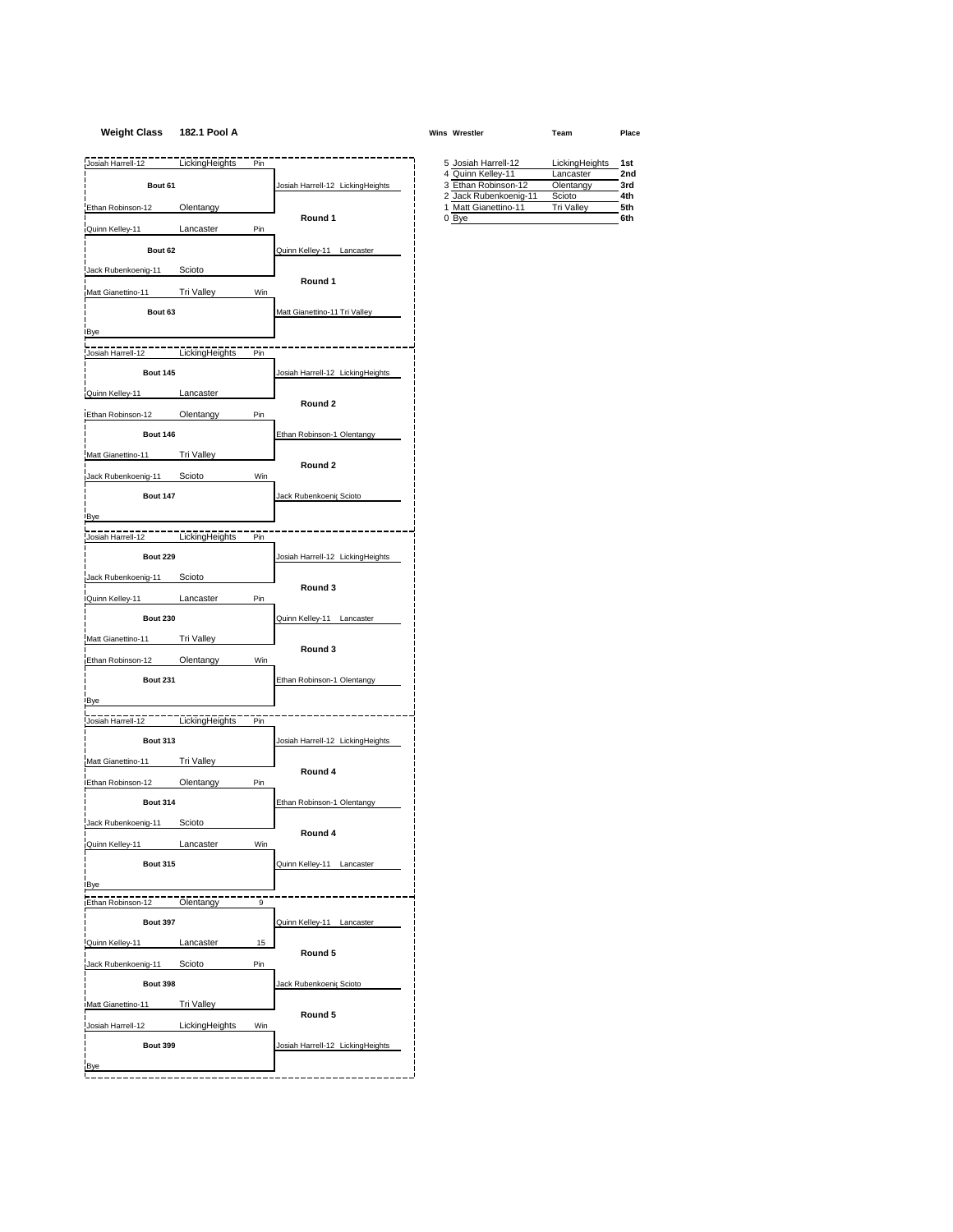## **Weight Class 182.1 Pool A Wins Wrestler Team Place**

| 3 Ethan Robinson-12<br>Bout 61<br>Josiah Harrell-12 LickingHeights<br>Olentangy<br>2 Jack Rubenkoenig-11<br>Scioto<br>1 Matt Gianettino-11<br><b>Tri Valley</b><br>Ethan Robinson-12<br>Olentangy<br>Round 1<br>0 Bye<br>Lancaster<br>Quinn Kelley-11<br>Pin<br>Bout 62<br>Quinn Kelley-11 Lancaster<br>Jack Rubenkoenig-11<br>Scioto<br>Round 1<br><b>Tri Valley</b><br>Matt Gianettino-11<br>Win<br>Matt Gianettino-11 Tri Valley<br>Bout 63<br>Bye<br>LickingHeights<br>Josiah Harrell-12<br>Pin<br><b>Bout 145</b><br>Josiah Harrell-12 LickingHeights<br>Quinn Kelley-11<br>Lancaster<br>Round 2<br>Ethan Robinson-12<br>Olentangy<br>Pin<br><b>Bout 146</b><br>Ethan Robinson-1. Olentangy<br><b>Tri Valley</b><br>Matt Gianettino-11<br>Round 2<br>Scioto<br>Win<br><b>Bout 147</b><br>Jack Rubenkoenic Scioto<br>Josiah Harrell-12<br>LickingHeights<br>Pin<br><b>Bout 229</b><br>Josiah Harrell-12 LickingHeights<br>Jack Rubenkoenig-11<br>Scioto<br>Round 3<br>Lancaster<br>Pin<br><b>Bout 230</b><br>Quinn Kelley-11 Lancaster<br>Matt Gianettino-11<br><b>Tri Valley</b><br>Round 3<br>Ethan Robinson-12<br>Olentangy<br>Win<br><b>Bout 231</b><br>Ethan Robinson-1 Olentangy<br>Josiah Harrell-12<br>LickingHeights<br>Pin<br><b>Bout 313</b><br>Josiah Harrell-12 LickingHeights<br>Tri Valley<br>Round 4<br>Olentangy<br>Pin<br><b>Bout 314</b><br>Ethan Robinson-1 Olentangy<br>Jack Rubenkoenig-11<br>Scioto<br>Round 4<br>Quinn Kelley-11<br>Lancaster<br>Win<br><b>Bout 315</b><br>Quinn Kelley-11 Lancaster<br>Olentangy<br>Ethan Robinson-12<br>9<br><b>Bout 397</b><br>Quinn Kelley-11 Lancaster<br>Quinn Kelley-11<br>Lancaster<br>15<br>Round 5<br>Jack Rubenkoenig-11<br>Scioto<br>Pin<br><b>Bout 398</b><br>Jack Rubenkoeniç Scioto<br>Tri Valley<br>Round 5<br>LickingHeights<br>Win<br>Josiah Harrell-12<br>Josiah Harrell-12 LickingHeights<br><b>Bout 399</b> | LickingHeights<br>Josiah Harrell-12<br>Pin | 5 Josiah Harrell-12 | LickingHeights | 1st        |
|----------------------------------------------------------------------------------------------------------------------------------------------------------------------------------------------------------------------------------------------------------------------------------------------------------------------------------------------------------------------------------------------------------------------------------------------------------------------------------------------------------------------------------------------------------------------------------------------------------------------------------------------------------------------------------------------------------------------------------------------------------------------------------------------------------------------------------------------------------------------------------------------------------------------------------------------------------------------------------------------------------------------------------------------------------------------------------------------------------------------------------------------------------------------------------------------------------------------------------------------------------------------------------------------------------------------------------------------------------------------------------------------------------------------------------------------------------------------------------------------------------------------------------------------------------------------------------------------------------------------------------------------------------------------------------------------------------------------------------------------------------------------------------------------------------------------------------------------------------------------------------------------|--------------------------------------------|---------------------|----------------|------------|
|                                                                                                                                                                                                                                                                                                                                                                                                                                                                                                                                                                                                                                                                                                                                                                                                                                                                                                                                                                                                                                                                                                                                                                                                                                                                                                                                                                                                                                                                                                                                                                                                                                                                                                                                                                                                                                                                                              |                                            | 4 Quinn Kelley-11   | Lancaster      | 2nc<br>3rd |
|                                                                                                                                                                                                                                                                                                                                                                                                                                                                                                                                                                                                                                                                                                                                                                                                                                                                                                                                                                                                                                                                                                                                                                                                                                                                                                                                                                                                                                                                                                                                                                                                                                                                                                                                                                                                                                                                                              |                                            |                     |                | 4th<br>5th |
|                                                                                                                                                                                                                                                                                                                                                                                                                                                                                                                                                                                                                                                                                                                                                                                                                                                                                                                                                                                                                                                                                                                                                                                                                                                                                                                                                                                                                                                                                                                                                                                                                                                                                                                                                                                                                                                                                              |                                            |                     |                | 6th        |
|                                                                                                                                                                                                                                                                                                                                                                                                                                                                                                                                                                                                                                                                                                                                                                                                                                                                                                                                                                                                                                                                                                                                                                                                                                                                                                                                                                                                                                                                                                                                                                                                                                                                                                                                                                                                                                                                                              |                                            |                     |                |            |
|                                                                                                                                                                                                                                                                                                                                                                                                                                                                                                                                                                                                                                                                                                                                                                                                                                                                                                                                                                                                                                                                                                                                                                                                                                                                                                                                                                                                                                                                                                                                                                                                                                                                                                                                                                                                                                                                                              |                                            |                     |                |            |
|                                                                                                                                                                                                                                                                                                                                                                                                                                                                                                                                                                                                                                                                                                                                                                                                                                                                                                                                                                                                                                                                                                                                                                                                                                                                                                                                                                                                                                                                                                                                                                                                                                                                                                                                                                                                                                                                                              |                                            |                     |                |            |
|                                                                                                                                                                                                                                                                                                                                                                                                                                                                                                                                                                                                                                                                                                                                                                                                                                                                                                                                                                                                                                                                                                                                                                                                                                                                                                                                                                                                                                                                                                                                                                                                                                                                                                                                                                                                                                                                                              |                                            |                     |                |            |
|                                                                                                                                                                                                                                                                                                                                                                                                                                                                                                                                                                                                                                                                                                                                                                                                                                                                                                                                                                                                                                                                                                                                                                                                                                                                                                                                                                                                                                                                                                                                                                                                                                                                                                                                                                                                                                                                                              |                                            |                     |                |            |
|                                                                                                                                                                                                                                                                                                                                                                                                                                                                                                                                                                                                                                                                                                                                                                                                                                                                                                                                                                                                                                                                                                                                                                                                                                                                                                                                                                                                                                                                                                                                                                                                                                                                                                                                                                                                                                                                                              |                                            |                     |                |            |
|                                                                                                                                                                                                                                                                                                                                                                                                                                                                                                                                                                                                                                                                                                                                                                                                                                                                                                                                                                                                                                                                                                                                                                                                                                                                                                                                                                                                                                                                                                                                                                                                                                                                                                                                                                                                                                                                                              |                                            |                     |                |            |
|                                                                                                                                                                                                                                                                                                                                                                                                                                                                                                                                                                                                                                                                                                                                                                                                                                                                                                                                                                                                                                                                                                                                                                                                                                                                                                                                                                                                                                                                                                                                                                                                                                                                                                                                                                                                                                                                                              |                                            |                     |                |            |
|                                                                                                                                                                                                                                                                                                                                                                                                                                                                                                                                                                                                                                                                                                                                                                                                                                                                                                                                                                                                                                                                                                                                                                                                                                                                                                                                                                                                                                                                                                                                                                                                                                                                                                                                                                                                                                                                                              |                                            |                     |                |            |
|                                                                                                                                                                                                                                                                                                                                                                                                                                                                                                                                                                                                                                                                                                                                                                                                                                                                                                                                                                                                                                                                                                                                                                                                                                                                                                                                                                                                                                                                                                                                                                                                                                                                                                                                                                                                                                                                                              |                                            |                     |                |            |
|                                                                                                                                                                                                                                                                                                                                                                                                                                                                                                                                                                                                                                                                                                                                                                                                                                                                                                                                                                                                                                                                                                                                                                                                                                                                                                                                                                                                                                                                                                                                                                                                                                                                                                                                                                                                                                                                                              |                                            |                     |                |            |
| Jack Rubenkoenig-11<br>Bye<br>Quinn Kelley-11<br>Bye<br>Matt Gianettino-11<br>Ethan Robinson-12<br>Bye<br>Matt Gianettino-11                                                                                                                                                                                                                                                                                                                                                                                                                                                                                                                                                                                                                                                                                                                                                                                                                                                                                                                                                                                                                                                                                                                                                                                                                                                                                                                                                                                                                                                                                                                                                                                                                                                                                                                                                                 |                                            |                     |                |            |
|                                                                                                                                                                                                                                                                                                                                                                                                                                                                                                                                                                                                                                                                                                                                                                                                                                                                                                                                                                                                                                                                                                                                                                                                                                                                                                                                                                                                                                                                                                                                                                                                                                                                                                                                                                                                                                                                                              |                                            |                     |                |            |
|                                                                                                                                                                                                                                                                                                                                                                                                                                                                                                                                                                                                                                                                                                                                                                                                                                                                                                                                                                                                                                                                                                                                                                                                                                                                                                                                                                                                                                                                                                                                                                                                                                                                                                                                                                                                                                                                                              |                                            |                     |                |            |
|                                                                                                                                                                                                                                                                                                                                                                                                                                                                                                                                                                                                                                                                                                                                                                                                                                                                                                                                                                                                                                                                                                                                                                                                                                                                                                                                                                                                                                                                                                                                                                                                                                                                                                                                                                                                                                                                                              |                                            |                     |                |            |
|                                                                                                                                                                                                                                                                                                                                                                                                                                                                                                                                                                                                                                                                                                                                                                                                                                                                                                                                                                                                                                                                                                                                                                                                                                                                                                                                                                                                                                                                                                                                                                                                                                                                                                                                                                                                                                                                                              |                                            |                     |                |            |
|                                                                                                                                                                                                                                                                                                                                                                                                                                                                                                                                                                                                                                                                                                                                                                                                                                                                                                                                                                                                                                                                                                                                                                                                                                                                                                                                                                                                                                                                                                                                                                                                                                                                                                                                                                                                                                                                                              |                                            |                     |                |            |
|                                                                                                                                                                                                                                                                                                                                                                                                                                                                                                                                                                                                                                                                                                                                                                                                                                                                                                                                                                                                                                                                                                                                                                                                                                                                                                                                                                                                                                                                                                                                                                                                                                                                                                                                                                                                                                                                                              |                                            |                     |                |            |
|                                                                                                                                                                                                                                                                                                                                                                                                                                                                                                                                                                                                                                                                                                                                                                                                                                                                                                                                                                                                                                                                                                                                                                                                                                                                                                                                                                                                                                                                                                                                                                                                                                                                                                                                                                                                                                                                                              |                                            |                     |                |            |
|                                                                                                                                                                                                                                                                                                                                                                                                                                                                                                                                                                                                                                                                                                                                                                                                                                                                                                                                                                                                                                                                                                                                                                                                                                                                                                                                                                                                                                                                                                                                                                                                                                                                                                                                                                                                                                                                                              |                                            |                     |                |            |
|                                                                                                                                                                                                                                                                                                                                                                                                                                                                                                                                                                                                                                                                                                                                                                                                                                                                                                                                                                                                                                                                                                                                                                                                                                                                                                                                                                                                                                                                                                                                                                                                                                                                                                                                                                                                                                                                                              |                                            |                     |                |            |
|                                                                                                                                                                                                                                                                                                                                                                                                                                                                                                                                                                                                                                                                                                                                                                                                                                                                                                                                                                                                                                                                                                                                                                                                                                                                                                                                                                                                                                                                                                                                                                                                                                                                                                                                                                                                                                                                                              |                                            |                     |                |            |
|                                                                                                                                                                                                                                                                                                                                                                                                                                                                                                                                                                                                                                                                                                                                                                                                                                                                                                                                                                                                                                                                                                                                                                                                                                                                                                                                                                                                                                                                                                                                                                                                                                                                                                                                                                                                                                                                                              |                                            |                     |                |            |
|                                                                                                                                                                                                                                                                                                                                                                                                                                                                                                                                                                                                                                                                                                                                                                                                                                                                                                                                                                                                                                                                                                                                                                                                                                                                                                                                                                                                                                                                                                                                                                                                                                                                                                                                                                                                                                                                                              |                                            |                     |                |            |
|                                                                                                                                                                                                                                                                                                                                                                                                                                                                                                                                                                                                                                                                                                                                                                                                                                                                                                                                                                                                                                                                                                                                                                                                                                                                                                                                                                                                                                                                                                                                                                                                                                                                                                                                                                                                                                                                                              |                                            |                     |                |            |
|                                                                                                                                                                                                                                                                                                                                                                                                                                                                                                                                                                                                                                                                                                                                                                                                                                                                                                                                                                                                                                                                                                                                                                                                                                                                                                                                                                                                                                                                                                                                                                                                                                                                                                                                                                                                                                                                                              |                                            |                     |                |            |
|                                                                                                                                                                                                                                                                                                                                                                                                                                                                                                                                                                                                                                                                                                                                                                                                                                                                                                                                                                                                                                                                                                                                                                                                                                                                                                                                                                                                                                                                                                                                                                                                                                                                                                                                                                                                                                                                                              |                                            |                     |                |            |
|                                                                                                                                                                                                                                                                                                                                                                                                                                                                                                                                                                                                                                                                                                                                                                                                                                                                                                                                                                                                                                                                                                                                                                                                                                                                                                                                                                                                                                                                                                                                                                                                                                                                                                                                                                                                                                                                                              |                                            |                     |                |            |
|                                                                                                                                                                                                                                                                                                                                                                                                                                                                                                                                                                                                                                                                                                                                                                                                                                                                                                                                                                                                                                                                                                                                                                                                                                                                                                                                                                                                                                                                                                                                                                                                                                                                                                                                                                                                                                                                                              |                                            |                     |                |            |
|                                                                                                                                                                                                                                                                                                                                                                                                                                                                                                                                                                                                                                                                                                                                                                                                                                                                                                                                                                                                                                                                                                                                                                                                                                                                                                                                                                                                                                                                                                                                                                                                                                                                                                                                                                                                                                                                                              |                                            |                     |                |            |
|                                                                                                                                                                                                                                                                                                                                                                                                                                                                                                                                                                                                                                                                                                                                                                                                                                                                                                                                                                                                                                                                                                                                                                                                                                                                                                                                                                                                                                                                                                                                                                                                                                                                                                                                                                                                                                                                                              |                                            |                     |                |            |
|                                                                                                                                                                                                                                                                                                                                                                                                                                                                                                                                                                                                                                                                                                                                                                                                                                                                                                                                                                                                                                                                                                                                                                                                                                                                                                                                                                                                                                                                                                                                                                                                                                                                                                                                                                                                                                                                                              |                                            |                     |                |            |
|                                                                                                                                                                                                                                                                                                                                                                                                                                                                                                                                                                                                                                                                                                                                                                                                                                                                                                                                                                                                                                                                                                                                                                                                                                                                                                                                                                                                                                                                                                                                                                                                                                                                                                                                                                                                                                                                                              |                                            |                     |                |            |
|                                                                                                                                                                                                                                                                                                                                                                                                                                                                                                                                                                                                                                                                                                                                                                                                                                                                                                                                                                                                                                                                                                                                                                                                                                                                                                                                                                                                                                                                                                                                                                                                                                                                                                                                                                                                                                                                                              |                                            |                     |                |            |
|                                                                                                                                                                                                                                                                                                                                                                                                                                                                                                                                                                                                                                                                                                                                                                                                                                                                                                                                                                                                                                                                                                                                                                                                                                                                                                                                                                                                                                                                                                                                                                                                                                                                                                                                                                                                                                                                                              |                                            |                     |                |            |
|                                                                                                                                                                                                                                                                                                                                                                                                                                                                                                                                                                                                                                                                                                                                                                                                                                                                                                                                                                                                                                                                                                                                                                                                                                                                                                                                                                                                                                                                                                                                                                                                                                                                                                                                                                                                                                                                                              |                                            |                     |                |            |
|                                                                                                                                                                                                                                                                                                                                                                                                                                                                                                                                                                                                                                                                                                                                                                                                                                                                                                                                                                                                                                                                                                                                                                                                                                                                                                                                                                                                                                                                                                                                                                                                                                                                                                                                                                                                                                                                                              |                                            |                     |                |            |
|                                                                                                                                                                                                                                                                                                                                                                                                                                                                                                                                                                                                                                                                                                                                                                                                                                                                                                                                                                                                                                                                                                                                                                                                                                                                                                                                                                                                                                                                                                                                                                                                                                                                                                                                                                                                                                                                                              |                                            |                     |                |            |
|                                                                                                                                                                                                                                                                                                                                                                                                                                                                                                                                                                                                                                                                                                                                                                                                                                                                                                                                                                                                                                                                                                                                                                                                                                                                                                                                                                                                                                                                                                                                                                                                                                                                                                                                                                                                                                                                                              |                                            |                     |                |            |
|                                                                                                                                                                                                                                                                                                                                                                                                                                                                                                                                                                                                                                                                                                                                                                                                                                                                                                                                                                                                                                                                                                                                                                                                                                                                                                                                                                                                                                                                                                                                                                                                                                                                                                                                                                                                                                                                                              |                                            |                     |                |            |
|                                                                                                                                                                                                                                                                                                                                                                                                                                                                                                                                                                                                                                                                                                                                                                                                                                                                                                                                                                                                                                                                                                                                                                                                                                                                                                                                                                                                                                                                                                                                                                                                                                                                                                                                                                                                                                                                                              |                                            |                     |                |            |
|                                                                                                                                                                                                                                                                                                                                                                                                                                                                                                                                                                                                                                                                                                                                                                                                                                                                                                                                                                                                                                                                                                                                                                                                                                                                                                                                                                                                                                                                                                                                                                                                                                                                                                                                                                                                                                                                                              |                                            |                     |                |            |
| <b>Bye</b>                                                                                                                                                                                                                                                                                                                                                                                                                                                                                                                                                                                                                                                                                                                                                                                                                                                                                                                                                                                                                                                                                                                                                                                                                                                                                                                                                                                                                                                                                                                                                                                                                                                                                                                                                                                                                                                                                   |                                            |                     |                |            |

| 5 Josiah Harrell-12   | LickingHeights    | 1st             |
|-----------------------|-------------------|-----------------|
| 4 Quinn Kelley-11     | Lancaster         | 2 <sub>nd</sub> |
| 3 Ethan Robinson-12   | Olentangy         | 3rd             |
| 2 Jack Rubenkoenig-11 | Scioto            | 4th             |
| 1 Matt Gianettino-11  | <b>Tri Valley</b> | 5th             |
|                       |                   |                 |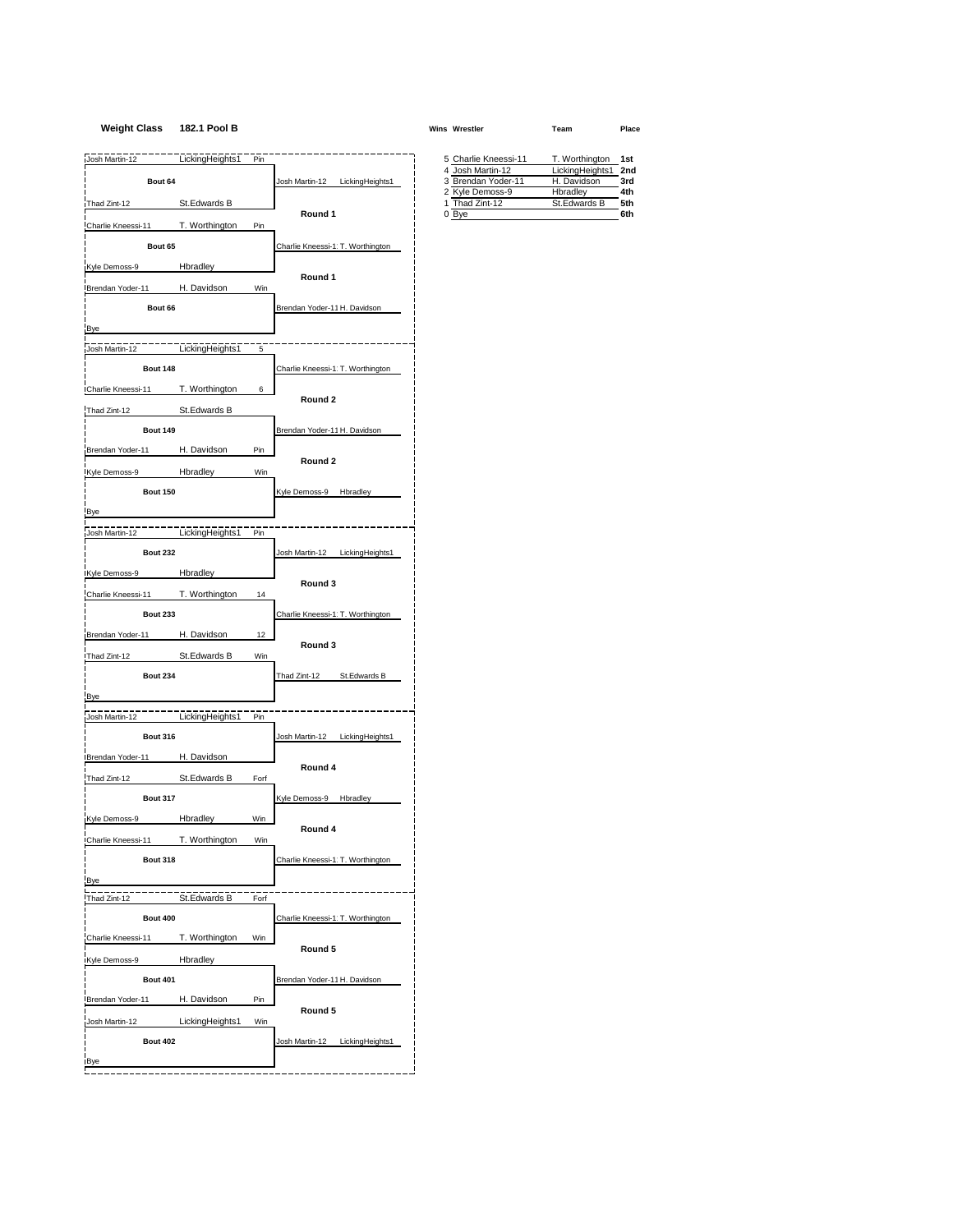# **Weight Class 182.1 Pool B Wins Wrestler Team Place**

| Josh Martin-12               | LickingHeights1 Pin    |                                   | 5 Charlie Kneessi-11                   | T. Worthington                 | 1st        |
|------------------------------|------------------------|-----------------------------------|----------------------------------------|--------------------------------|------------|
| Bout 64                      |                        | Josh Martin-12<br>LickingHeights1 | 4 Josh Martin-12<br>3 Brendan Yoder-11 | LickingHeights1<br>H. Davidson | 2nc<br>3rd |
|                              |                        |                                   | 2 Kyle Demoss-9                        | Hbradley                       | 4th        |
| Thad Zint-12                 | St.Edwards B           |                                   | 1 Thad Zint-12                         | St.Edwards B                   | 5th        |
| Charlie Kneessi-11           | T. Worthington<br>Pin  | Round 1                           | 0 Bye                                  |                                | 6th        |
| Bout 65                      |                        | Charlie Kneessi-1 T. Worthington  |                                        |                                |            |
|                              |                        |                                   |                                        |                                |            |
| Kyle Demoss-9                | Hbradley               | Round 1                           |                                        |                                |            |
| Brendan Yoder-11             | H. Davidson<br>Win     |                                   |                                        |                                |            |
| Bout 66                      |                        | Brendan Yoder-11 H. Davidson      |                                        |                                |            |
| Bye                          |                        |                                   |                                        |                                |            |
|                              |                        |                                   |                                        |                                |            |
| Josh Martin-12               | LickingHeights1<br>5   |                                   |                                        |                                |            |
| <b>Bout 148</b>              |                        | Charlie Kneessi-1 T. Worthington  |                                        |                                |            |
| Charlie Kneessi-11           | T. Worthington<br>6    |                                   |                                        |                                |            |
| Thad Zint-12                 | St.Edwards B           | Round 2                           |                                        |                                |            |
| <b>Bout 149</b>              |                        | Brendan Yoder-11 H. Davidson      |                                        |                                |            |
|                              |                        |                                   |                                        |                                |            |
| Brendan Yoder-11             | H. Davidson<br>Pin     | Round 2                           |                                        |                                |            |
| Kyle Demoss-9                | Hbradley<br>Win        |                                   |                                        |                                |            |
| <b>Bout 150</b>              |                        | Kyle Demoss-9 Hbradley            |                                        |                                |            |
| Bye                          |                        |                                   |                                        |                                |            |
| Josh Martin-12               | LickingHeights1 Pin    |                                   |                                        |                                |            |
|                              |                        |                                   |                                        |                                |            |
| <b>Bout 232</b>              |                        | LickingHeights1<br>Josh Martin-12 |                                        |                                |            |
| Kyle Demoss-9                | Hbradley               |                                   |                                        |                                |            |
| Charlie Kneessi-11           | T. Worthington<br>14   | Round 3                           |                                        |                                |            |
| <b>Bout 233</b>              |                        | Charlie Kneessi-1 T. Worthington  |                                        |                                |            |
|                              |                        |                                   |                                        |                                |            |
| Brendan Yoder-11             | H. Davidson<br>12      | Round 3                           |                                        |                                |            |
| Thad Zint-12                 | St.Edwards B<br>Win    |                                   |                                        |                                |            |
| <b>Bout 234</b>              |                        | Thad Zint-12<br>St.Edwards B      |                                        |                                |            |
| <b>Bye</b>                   |                        |                                   |                                        |                                |            |
|                              |                        |                                   |                                        |                                |            |
| Josh Martin-12               | LickingHeights1<br>Pin |                                   |                                        |                                |            |
| <b>Bout 316</b>              |                        | Josh Martin-12 LickingHeights1    |                                        |                                |            |
| Brendan Yoder-11 H. Davidson |                        |                                   |                                        |                                |            |
| Thad Zint-12                 | St.Edwards B<br>Forf   | Round 4                           |                                        |                                |            |
| <b>Bout 317</b>              |                        | Kyle Demoss-9 Hbradley            |                                        |                                |            |
|                              |                        |                                   |                                        |                                |            |
| Kyle Demoss-9                | Hbradley<br>Win        | Round 4                           |                                        |                                |            |
| Charlie Kneessi-11           | T. Worthington<br>Win  |                                   |                                        |                                |            |
| <b>Bout 318</b>              |                        | Charlie Kneessi-1 T. Worthington  |                                        |                                |            |
| Bye                          |                        |                                   |                                        |                                |            |
| Thad Zint-12                 | St.Edwards B<br>Forf   |                                   |                                        |                                |            |
| <b>Bout 400</b>              |                        |                                   |                                        |                                |            |
|                              |                        | Charlie Kneessi-1 T. Worthington  |                                        |                                |            |
| Charlie Kneessi-11           | T. Worthington<br>Win  | Round 5                           |                                        |                                |            |
| Kyle Demoss-9                | Hbradley               |                                   |                                        |                                |            |
| <b>Bout 401</b>              |                        | Brendan Yoder-11 H. Davidson      |                                        |                                |            |
| Brendan Yoder-11             | H. Davidson<br>Pin     |                                   |                                        |                                |            |
|                              |                        | Round 5                           |                                        |                                |            |
| Josh Martin-12               | LickingHeights1<br>Win |                                   |                                        |                                |            |
| <b>Bout 402</b>              |                        | Josh Martin-12<br>LickingHeights1 |                                        |                                |            |
| Bye                          |                        |                                   |                                        |                                |            |
| г                            |                        |                                   |                                        |                                |            |

|                             | 5 Charlie Kneessi-11 | T. Worthington  | 1st |
|-----------------------------|----------------------|-----------------|-----|
|                             | 4 Josh Martin-12     | LickingHeights1 | 2nd |
| artin-12<br>LickingHeights1 | 3 Brendan Yoder-11   | H. Davidson     | 3rd |
|                             | 2 Kyle Demoss-9      | Hbradlev        | 4th |
|                             | 1 Thad Zint-12       | St.Edwards B    | 5th |
| Round 1                     | 0 Bye                |                 | 6th |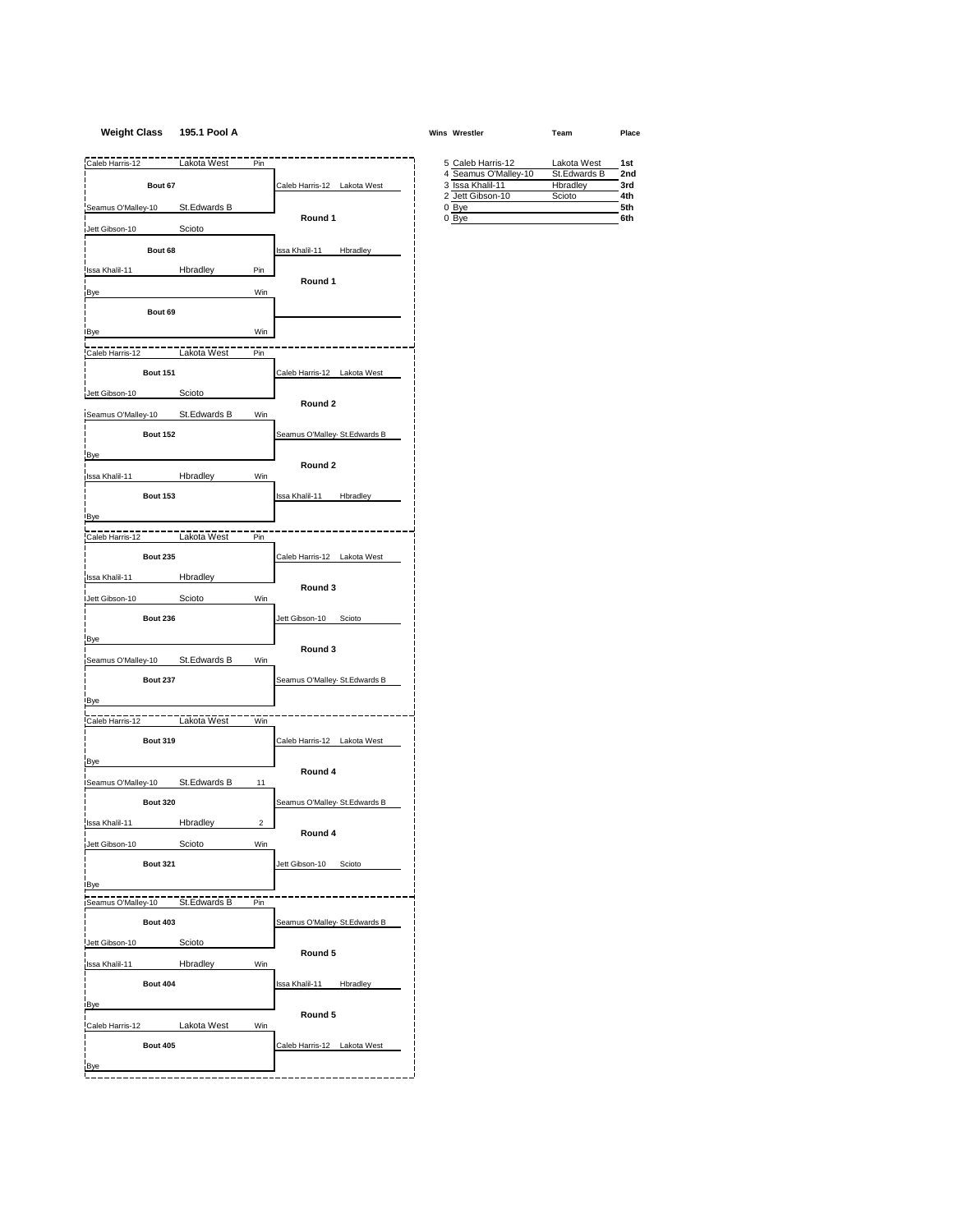## **Weight Class 195.1 Pool A Wins Wrestler Team Place**

| Caleb Harris-12 Lakota West      | Pin                 |                              | 5 Caleb Harris-12                        | Lakota West              | 1st        |
|----------------------------------|---------------------|------------------------------|------------------------------------------|--------------------------|------------|
| Bout 67                          |                     | Caleb Harris-12 Lakota West  | 4 Seamus O'Malley-10<br>3 Issa Khalil-11 | St.Edwards B<br>Hbradley | 2nc<br>3rd |
| Seamus O'Malley-10 St.Edwards B  |                     |                              | 2 Jett Gibson-10<br>0 Bye                | Scioto                   | 4th<br>5th |
|                                  |                     | Round 1                      | 0 Bye                                    |                          | 6th        |
| Jett Gibson-10                   | Scioto              |                              |                                          |                          |            |
| Bout 68                          |                     | Issa Khalil-11 Hbradley      |                                          |                          |            |
| Issa Khalil-11                   | Hbradley<br>Pin     | Round 1                      |                                          |                          |            |
| Bye<br>г                         | Win                 |                              |                                          |                          |            |
| Bout 69                          |                     |                              |                                          |                          |            |
| <b>Bye</b>                       | Win                 |                              |                                          |                          |            |
| Caleb Harris-12                  | Lakota West<br>Pin  |                              |                                          |                          |            |
| <b>Bout 151</b>                  |                     | Caleb Harris-12 Lakota West  |                                          |                          |            |
| Jett Gibson-10                   | Scioto              |                              |                                          |                          |            |
|                                  |                     | Round 2                      |                                          |                          |            |
| Seamus O'Malley-10 St. Edwards B | Win                 |                              |                                          |                          |            |
| <b>Bout 152</b>                  |                     | Seamus O'Malley-St.Edwards B |                                          |                          |            |
| Bye                              |                     | Round 2                      |                                          |                          |            |
| Issa Khalil-11<br>H              | Hbradley<br>Win     |                              |                                          |                          |            |
| <b>Bout 153</b>                  |                     | Issa Khalil-11<br>Hbradley   |                                          |                          |            |
| Bye                              |                     |                              |                                          |                          |            |
| Caleb Harris-12 Lakota West      | Pin                 |                              |                                          |                          |            |
| <b>Bout 235</b>                  |                     | Caleb Harris-12 Lakota West  |                                          |                          |            |
| Issa Khalil-11<br>Hbradley       |                     |                              |                                          |                          |            |
|                                  |                     | Round 3                      |                                          |                          |            |
| Jett Gibson-10                   | Scioto<br>Win       |                              |                                          |                          |            |
| <b>Bout 236</b>                  |                     | Jett Gibson-10 Scioto        |                                          |                          |            |
| Bye                              |                     | Round 3                      |                                          |                          |            |
| Seamus O'Malley-10 St. Edwards B | Win                 |                              |                                          |                          |            |
| <b>Bout 237</b>                  |                     | Seamus O'Malley-St.Edwards B |                                          |                          |            |
| Bye                              |                     |                              |                                          |                          |            |
| Caleb Harris-12 Lakota West      | Win                 |                              |                                          |                          |            |
| <b>Bout 319</b>                  |                     | Caleb Harris-12 Lakota West  |                                          |                          |            |
| Bye                              |                     |                              |                                          |                          |            |
|                                  |                     | Round 4                      |                                          |                          |            |
| Seamus O'Malley-10 St. Edwards B | 11                  |                              |                                          |                          |            |
| <b>Bout 320</b>                  |                     | Seamus O'Malley-St.Edwards B |                                          |                          |            |
| Issa Khalil-11                   | Hbradley<br>2       | Round 4                      |                                          |                          |            |
| Jett Gibson-10                   | Scioto<br>Win       |                              |                                          |                          |            |
| <b>Bout 321</b>                  |                     | Jett Gibson-10<br>Scioto     |                                          |                          |            |
| <b>Bye</b>                       |                     |                              |                                          |                          |            |
| Seamus O'Malley-10               | St.Edwards B<br>Pin |                              |                                          |                          |            |
| <b>Bout 403</b>                  |                     | Seamus O'Malley-St.Edwards B |                                          |                          |            |
| Jett Gibson-10                   | Scioto              |                              |                                          |                          |            |
| Issa Khalil-11                   | Hbradley<br>Win     | Round 5                      |                                          |                          |            |
| <b>Bout 404</b>                  |                     | Issa Khalil-11 Hbradley      |                                          |                          |            |
| Bye                              |                     |                              |                                          |                          |            |
|                                  |                     | Round 5                      |                                          |                          |            |
| Caleb Harris-12                  | Lakota West<br>Win  |                              |                                          |                          |            |
| <b>Bout 405</b>                  |                     | Caleb Harris-12 Lakota West  |                                          |                          |            |
| Bye                              |                     |                              |                                          |                          |            |

|                          | 5 Caleb Harris-12    | Lakota West  | 1st             |
|--------------------------|----------------------|--------------|-----------------|
|                          | 4 Seamus O'Malley-10 | St.Edwards B | 2 <sub>nd</sub> |
| larris-12<br>Lakota West | 3 Issa Khalil-11     | Hbradlev     | 3rd             |
|                          | 2 Jett Gibson-10     | Scioto       | 4th             |
|                          | 0 Bye                |              | 5th             |
| Round 1                  | 0 Bve                |              | 6th             |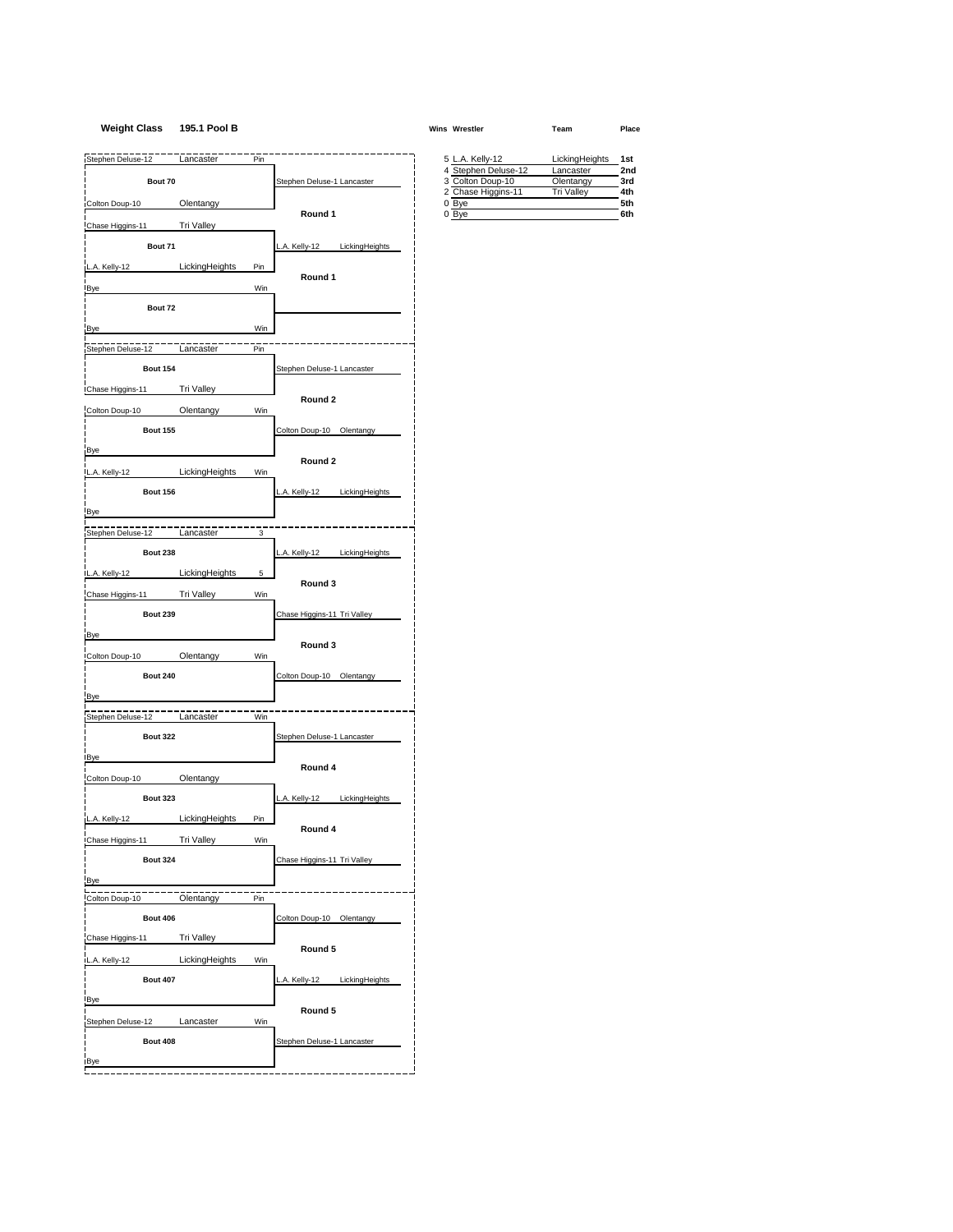# **Weight Class 195.1 Pool B Wins Wrestler Team Place**

| Stephen Deluse-12           | Lancaster      | Pin |                                 | 5 L.A. Kelly-12                         | LickingHeights         | 1st        |
|-----------------------------|----------------|-----|---------------------------------|-----------------------------------------|------------------------|------------|
| Bout 70                     |                |     | Stephen Deluse-1 Lancaster      | 4 Stephen Deluse-12<br>3 Colton Doup-10 | Lancaster<br>Olentangy | 2nc<br>3rd |
|                             |                |     |                                 | 2 Chase Higgins-11                      | Tri Valley             | 4th        |
| Colton Doup-10              | Olentangy      |     | Round 1                         | 0 Bye<br>0 Bye                          |                        | 5th<br>6th |
| Chase Higgins-11            | Tri Valley     |     |                                 |                                         |                        |            |
| Bout 71                     |                |     | L.A. Kelly-12 LickingHeights    |                                         |                        |            |
| L.A. Kelly-12               | LickingHeights | Pin |                                 |                                         |                        |            |
|                             |                |     | Round 1                         |                                         |                        |            |
| Bye                         |                | Win |                                 |                                         |                        |            |
| Bout 72                     |                |     |                                 |                                         |                        |            |
| Bye                         |                | Win |                                 |                                         |                        |            |
| Stephen Deluse-12           | Lancaster      | Pin |                                 |                                         |                        |            |
| <b>Bout 154</b>             |                |     | Stephen Deluse-1 Lancaster      |                                         |                        |            |
|                             |                |     |                                 |                                         |                        |            |
| Chase Higgins-11 Tri Valley |                |     | Round 2                         |                                         |                        |            |
| Colton Doup-10              | Olentangy      | Win |                                 |                                         |                        |            |
| <b>Bout 155</b>             |                |     | Colton Doup-10 Olentangy        |                                         |                        |            |
| Bye                         |                |     |                                 |                                         |                        |            |
|                             |                |     | Round 2                         |                                         |                        |            |
| L.A. Kelly-12               | LickingHeights | Win |                                 |                                         |                        |            |
| <b>Bout 156</b>             |                |     | L.A. Kelly-12<br>LickingHeights |                                         |                        |            |
| Bye                         |                |     |                                 |                                         |                        |            |
| Stephen Deluse-12           | Lancaster      | 3   |                                 |                                         |                        |            |
| <b>Bout 238</b>             |                |     | L.A. Kelly-12<br>LickingHeights |                                         |                        |            |
|                             |                |     |                                 |                                         |                        |            |
| L.A. Kelly-12               | LickingHeights | 5   | Round 3                         |                                         |                        |            |
| Chase Higgins-11            | Tri Valley     | Win |                                 |                                         |                        |            |
| Ш<br><b>Bout 239</b>        |                |     | Chase Higgins-11 Tri Valley     |                                         |                        |            |
| Bye                         |                |     |                                 |                                         |                        |            |
|                             |                |     | Round 3                         |                                         |                        |            |
| Colton Doup-10              | Olentangy      | Win |                                 |                                         |                        |            |
| <b>Bout 240</b>             |                |     | Colton Doup-10 Olentangy        |                                         |                        |            |
| Bye                         |                |     |                                 |                                         |                        |            |
| Stephen Deluse-12           | Lancaster      | Win |                                 |                                         |                        |            |
| <b>Bout 322</b>             |                |     | Stephen Deluse-1 Lancaster      |                                         |                        |            |
|                             |                |     |                                 |                                         |                        |            |
| Bye                         |                |     | Round 4                         |                                         |                        |            |
| Colton Doup-10              | Olentangy      |     |                                 |                                         |                        |            |
| <b>Bout 323</b>             |                |     | L.A. Kelly-12 LickingHeights    |                                         |                        |            |
| L.A. Kelly-12               | LickingHeights | Pin |                                 |                                         |                        |            |
| Chase Higgins-11            | Tri Valley     | Win | Round 4                         |                                         |                        |            |
|                             |                |     |                                 |                                         |                        |            |
| <b>Bout 324</b>             |                |     | Chase Higgins-11 Tri Valley     |                                         |                        |            |
| Bye                         |                |     |                                 |                                         |                        |            |
| Colton Doup-10              | Olentangy      | Pin |                                 |                                         |                        |            |
| <b>Bout 406</b>             |                |     | Colton Doup-10 Olentangy        |                                         |                        |            |
| Chase Higgins-11            | Tri Valley     |     |                                 |                                         |                        |            |
|                             |                |     | Round 5                         |                                         |                        |            |
| L.A. Kelly-12               | LickingHeights | Win |                                 |                                         |                        |            |
| <b>Bout 407</b>             |                |     | .A. Kelly-12<br>LickingHeights  |                                         |                        |            |
| Bye                         |                |     |                                 |                                         |                        |            |
| Stephen Deluse-12           | Lancaster      | Win | Round 5                         |                                         |                        |            |
| <b>Bout 408</b>             |                |     | Stephen Deluse-1 Lancaster      |                                         |                        |            |
|                             |                |     |                                 |                                         |                        |            |
| Bye<br>г                    |                |     |                                 |                                         |                        |            |

|                      | 5 L.A. Kelly-12     | LickingHeights    | 1st |
|----------------------|---------------------|-------------------|-----|
|                      | 4 Stephen Deluse-12 | Lancaster         | 2nd |
| n Deluse-1 Lancaster | 3 Colton Doup-10    | Olentangy         | 3rd |
|                      | 2 Chase Higgins-11  | <b>Tri Vallev</b> | 4th |
|                      | 0 Bye               |                   | 5th |
| Round 1              | 0 Bye               |                   | 6th |
|                      |                     |                   |     |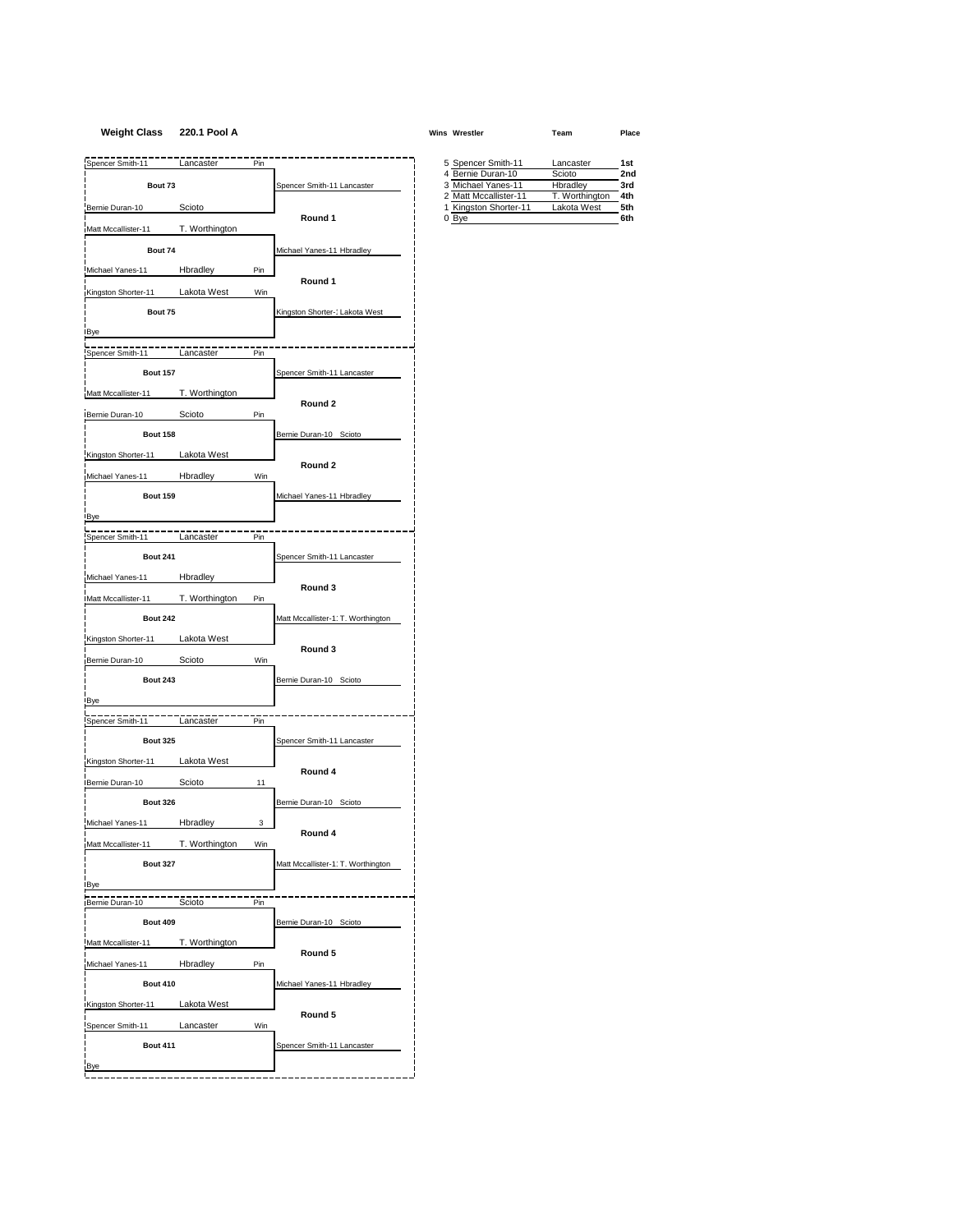## **Weight Class 220.1 Pool A Wins Wrestler Team Place**

| Spencer Smith-11                                                   | Lancaster             | Pin                        |                                    |                  | 5 Spencer Smith-11                      | Lancaster          | 1st        |
|--------------------------------------------------------------------|-----------------------|----------------------------|------------------------------------|------------------|-----------------------------------------|--------------------|------------|
| Bout 73                                                            |                       |                            | Spencer Smith-11 Lancaster         |                  | 4 Bernie Duran-10<br>3 Michael Yanes-11 | Scioto<br>Hbradley | 2nc<br>3rd |
|                                                                    |                       |                            |                                    |                  | 2 Matt Mccallister-11                   | T. Worthington     | 4th        |
| Bernie Duran-10                                                    | Scioto                |                            | Round 1                            | 0 <sub>Bye</sub> | 1 Kingston Shorter-11                   | Lakota West        | 5th<br>6th |
| Matt Mccallister-11                                                | T. Worthington        |                            |                                    |                  |                                         |                    |            |
| Bout 74                                                            |                       |                            | Michael Yanes-11 Hbradley          |                  |                                         |                    |            |
| Michael Yanes-11                                                   | Hbradley              | Pin                        |                                    |                  |                                         |                    |            |
|                                                                    |                       |                            | Round 1                            |                  |                                         |                    |            |
| Kingston Shorter-11                                                | Lakota West           | Win                        |                                    |                  |                                         |                    |            |
| Bout 75                                                            |                       |                            | Kingston Shorter-1 Lakota West     |                  |                                         |                    |            |
| Bye                                                                |                       |                            |                                    |                  |                                         |                    |            |
|                                                                    | Lancaster             | Pin                        |                                    |                  |                                         |                    |            |
| Spencer Smith-11                                                   |                       |                            |                                    |                  |                                         |                    |            |
| <b>Bout 157</b>                                                    |                       |                            | Spencer Smith-11 Lancaster         |                  |                                         |                    |            |
| Matt Mccallister-11 T. Worthington                                 |                       |                            |                                    |                  |                                         |                    |            |
| Bernie Duran-10                                                    | Scioto                | Pin                        | Round 2                            |                  |                                         |                    |            |
|                                                                    |                       |                            |                                    |                  |                                         |                    |            |
| <b>Bout 158</b>                                                    |                       |                            | Bernie Duran-10 Scioto             |                  |                                         |                    |            |
| Kingston Shorter-11                                                | Lakota West           |                            | Round 2                            |                  |                                         |                    |            |
| Michael Yanes-11                                                   | Hbradley              | Win                        |                                    |                  |                                         |                    |            |
| <b>Bout 159</b>                                                    |                       |                            | Michael Yanes-11 Hbradley          |                  |                                         |                    |            |
| Bye                                                                |                       |                            |                                    |                  |                                         |                    |            |
|                                                                    |                       |                            |                                    |                  |                                         |                    |            |
| Spencer Smith-11                                                   | Lancaster             | Pin                        |                                    |                  |                                         |                    |            |
| <b>Bout 241</b>                                                    |                       |                            | Spencer Smith-11 Lancaster         |                  |                                         |                    |            |
| Michael Yanes-11                                                   | Hbradley              |                            |                                    |                  |                                         |                    |            |
| Matt Mccallister-11 T. Worthington                                 |                       | Pin                        | Round 3                            |                  |                                         |                    |            |
|                                                                    |                       |                            |                                    |                  |                                         |                    |            |
| <b>Bout 242</b>                                                    |                       |                            | Matt Mccallister-11 T. Worthington |                  |                                         |                    |            |
| Kingston Shorter-11 Lakota West                                    |                       |                            |                                    |                  |                                         |                    |            |
| Bernie Duran-10                                                    | Scioto                | Win                        | Round 3                            |                  |                                         |                    |            |
| <b>Bout 243</b>                                                    |                       |                            | Bernie Duran-10 Scioto             |                  |                                         |                    |            |
|                                                                    |                       |                            |                                    |                  |                                         |                    |            |
| <b>Bye</b>                                                         |                       |                            |                                    |                  |                                         |                    |            |
| Spencer Smith-11                                                   | Lancaster             | Pin                        |                                    |                  |                                         |                    |            |
| <b>Bout 325</b>                                                    |                       |                            | Spencer Smith-11 Lancaster         |                  |                                         |                    |            |
| Kingston Shorter-11 Lakota West                                    |                       |                            |                                    |                  |                                         |                    |            |
|                                                                    |                       |                            | Round 4                            |                  |                                         |                    |            |
| Bernie Duran-10                                                    | Scioto                | 11                         |                                    |                  |                                         |                    |            |
| <b>Bout 326</b>                                                    |                       |                            | Bernie Duran-10 Scioto             |                  |                                         |                    |            |
| Michael Yanes-11 Hbradley                                          |                       | $\overline{\phantom{a}}$ 3 |                                    |                  |                                         |                    |            |
| Matt Mccallister-11                                                | T. Worthington        | Win                        | Round 4                            |                  |                                         |                    |            |
|                                                                    |                       |                            |                                    |                  |                                         |                    |            |
| <b>Bout 327</b>                                                    |                       |                            | Matt Mccallister-11 T. Worthington |                  |                                         |                    |            |
| Bye                                                                |                       |                            |                                    |                  |                                         |                    |            |
| Bernie Duran-10 Scioto                                             |                       | Pin                        |                                    |                  |                                         |                    |            |
| <b>Bout 409</b>                                                    |                       |                            | Bernie Duran-10 Scioto             |                  |                                         |                    |            |
| Matt Mccallister-11                                                | T. Worthington        |                            |                                    |                  |                                         |                    |            |
|                                                                    |                       |                            | Round 5                            |                  |                                         |                    |            |
|                                                                    |                       |                            |                                    |                  |                                         |                    |            |
| <b>Bout 410</b>                                                    |                       |                            | Michael Yanes-11 Hbradley          |                  |                                         |                    |            |
|                                                                    | Lakota West           |                            |                                    |                  |                                         |                    |            |
|                                                                    |                       |                            | Round 5                            |                  |                                         |                    |            |
|                                                                    |                       |                            |                                    |                  |                                         |                    |            |
| <b>Bout 411</b>                                                    |                       |                            | Spencer Smith-11 Lancaster         |                  |                                         |                    |            |
|                                                                    |                       |                            |                                    |                  |                                         |                    |            |
| Michael Yanes-11<br>Kingston Shorter-11<br>Spencer Smith-11<br>Bye | Hbradley<br>Lancaster | Pin<br>Win                 |                                    |                  |                                         |                    |            |
|                                                                    |                       |                            |                                    |                  |                                         |                    |            |

| 5 Spencer Smith-11    | Lancaster      | 1st |
|-----------------------|----------------|-----|
| 4 Bernie Duran-10     | Scioto         | 2nd |
| 3 Michael Yanes-11    | Hbradlev       | 3rd |
| 2 Matt Mccallister-11 | T. Worthington | 4th |
| 1 Kingston Shorter-11 | Lakota West    | 5th |
| <b>B</b> ve           |                | 6th |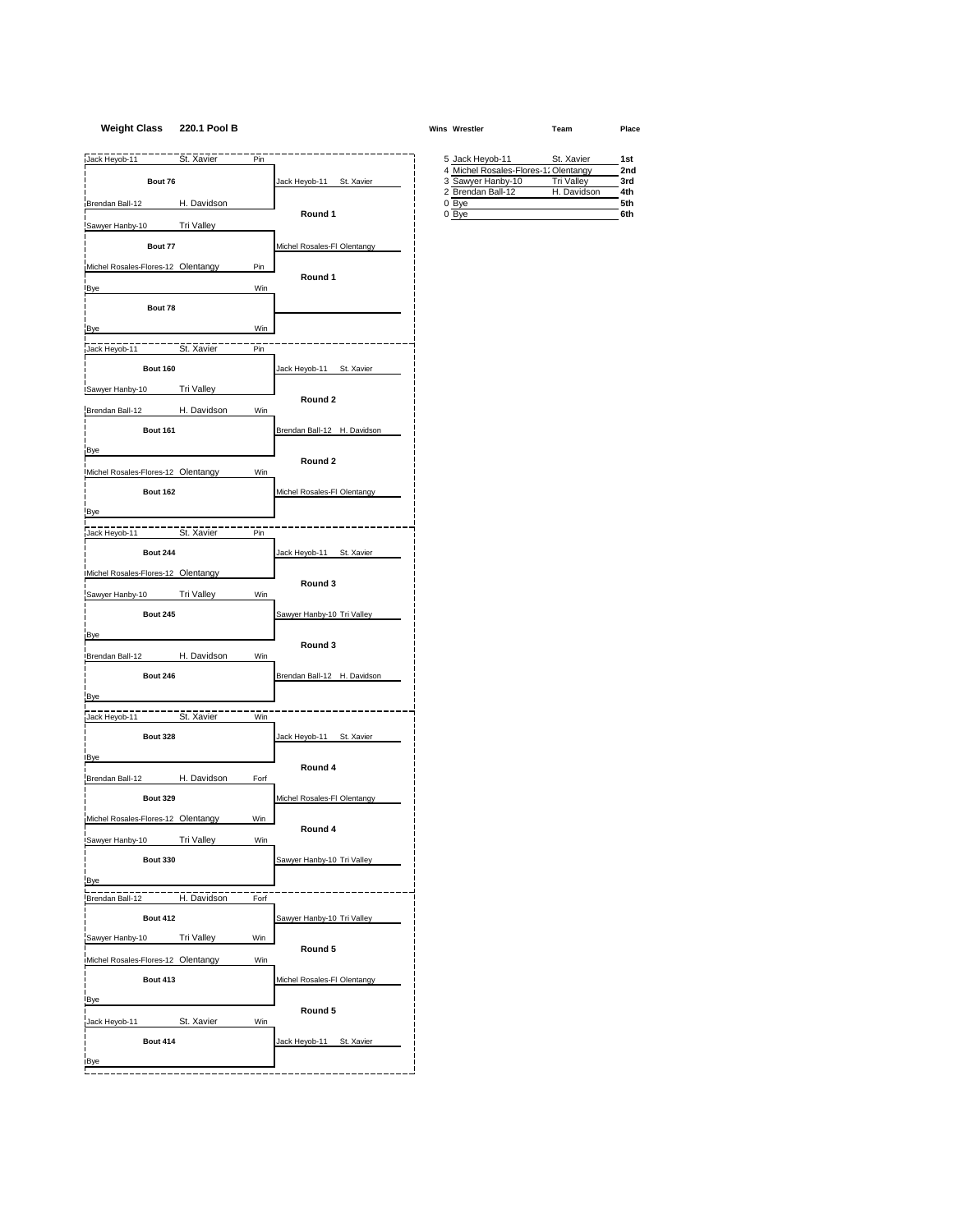# **Weight Class 220.1 Pool B Wins Wrestler Team Place**

| 5 Jack Heyob-11                      | St. Xavier        |  |
|--------------------------------------|-------------------|--|
| 4 Michel Rosales-Flores-1, Olentangy |                   |  |
| 3 Sawyer Hanby-10                    | <b>Tri Valley</b> |  |
| 2 Brendan Ball-12                    | H. Davidson       |  |
| 0 Bye                                |                   |  |
| 0 Bye                                |                   |  |

| Jack Heyob-11                      | St. Xavier<br>Pin        |                             | 5 Jack Heyob-11                                           | St. Xavier        | 1st        |
|------------------------------------|--------------------------|-----------------------------|-----------------------------------------------------------|-------------------|------------|
| Bout 76                            |                          | Jack Heyob-11<br>St. Xavier | 4 Michel Rosales-Flores-1: Olentangy<br>3 Sawyer Hanby-10 | <b>Tri Valley</b> | 2nc<br>3rd |
|                                    |                          |                             | 2 Brendan Ball-12                                         | H. Davidson       | 4th<br>5th |
| Brendan Ball-12                    | H. Davidson              | Round 1                     | 0 Bye<br>0 Bye                                            |                   | 6th        |
| Sawyer Hanby-10                    | <b>Tri Valley</b>        |                             |                                                           |                   |            |
| Bout 77                            |                          | Michel Rosales-Fl Olentangy |                                                           |                   |            |
| Michel Rosales-Flores-12 Olentangy | Pin                      | Round 1                     |                                                           |                   |            |
| Bye                                | Win                      |                             |                                                           |                   |            |
| Bout 78                            |                          |                             |                                                           |                   |            |
| Bye                                | Win                      |                             |                                                           |                   |            |
| Jack Heyob-11                      | St. Xavier<br>Pin        |                             |                                                           |                   |            |
| <b>Bout 160</b>                    |                          | Jack Heyob-11<br>St. Xavier |                                                           |                   |            |
| Sawyer Hanby-10                    | Tri Valley               |                             |                                                           |                   |            |
|                                    | Win                      | Round 2                     |                                                           |                   |            |
| Brendan Ball-12                    | H. Davidson              |                             |                                                           |                   |            |
| <b>Bout 161</b>                    |                          | Brendan Ball-12 H. Davidson |                                                           |                   |            |
| Bye                                |                          | Round 2                     |                                                           |                   |            |
| Michel Rosales-Flores-12 Olentangy | Win                      |                             |                                                           |                   |            |
| <b>Bout 162</b>                    |                          | Michel Rosales-Fl Olentangy |                                                           |                   |            |
| <b>Bye</b>                         |                          |                             |                                                           |                   |            |
| Jack Heyob-11                      | St. Xavier<br>Pin        |                             |                                                           |                   |            |
| <b>Bout 244</b>                    |                          | Jack Heyob-11<br>St. Xavier |                                                           |                   |            |
| Michel Rosales-Flores-12 Olentangy |                          |                             |                                                           |                   |            |
| Sawyer Hanby-10                    | <b>Tri Valley</b><br>Win | Round 3                     |                                                           |                   |            |
| <b>Bout 245</b>                    |                          | Sawyer Hanby-10 Tri Valley  |                                                           |                   |            |
| <b>Bye</b>                         |                          |                             |                                                           |                   |            |
|                                    |                          | Round 3                     |                                                           |                   |            |
| Brendan Ball-12 H. Davidson        | Win                      |                             |                                                           |                   |            |
| <b>Bout 246</b>                    |                          | Brendan Ball-12 H. Davidson |                                                           |                   |            |
| Bye                                |                          |                             |                                                           |                   |            |
| Jack Heyob-11                      | St. Xavier<br>Win        |                             |                                                           |                   |            |
| <b>Bout 328</b>                    |                          | Jack Heyob-11 St. Xavier    |                                                           |                   |            |
| <b>Bye</b>                         |                          | Round 4                     |                                                           |                   |            |
| Brendan Ball-12                    | H. Davidson<br>Forf      |                             |                                                           |                   |            |
| <b>Bout 329</b>                    |                          | Michel Rosales-Fl Olentangy |                                                           |                   |            |
| Michel Rosales-Flores-12 Olentangy | Win                      |                             |                                                           |                   |            |
| Sawver Hanby-10                    | Tri Vallev<br>Win        | Round 4                     |                                                           |                   |            |
| <b>Bout 330</b>                    |                          | Sawyer Hanby-10 Tri Valley  |                                                           |                   |            |
| Bye                                |                          |                             |                                                           |                   |            |
| Brendan Ball-12                    | H. Davidson<br>Forf      |                             |                                                           |                   |            |
| <b>Bout 412</b>                    |                          | Sawyer Hanby-10 Tri Valley  |                                                           |                   |            |
| Sawyer Hanby-10                    | Tri Valley<br>Win        |                             |                                                           |                   |            |
|                                    |                          | Round 5                     |                                                           |                   |            |
| Michel Rosales-Flores-12 Olentangy | Win                      |                             |                                                           |                   |            |
| <b>Bout 413</b>                    |                          | Michel Rosales-Fl Olentangy |                                                           |                   |            |
| Bye                                |                          | Round 5                     |                                                           |                   |            |
| Jack Heyob-11                      | St. Xavier<br>Win        |                             |                                                           |                   |            |
| <b>Bout 414</b>                    |                          | Jack Heyob-11<br>St. Xavier |                                                           |                   |            |
| Bye<br>г                           |                          |                             |                                                           |                   |            |
|                                    |                          |                             |                                                           |                   |            |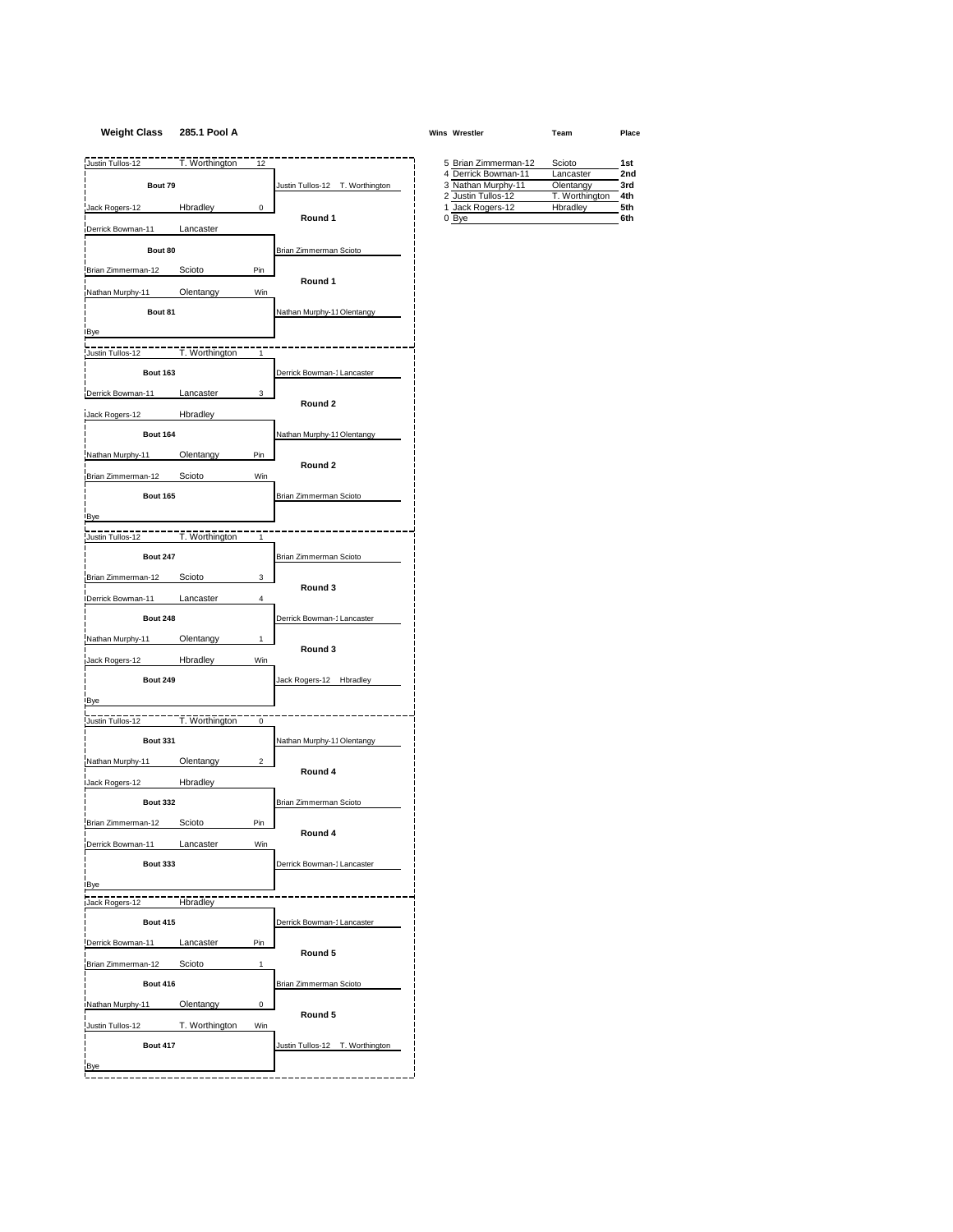## **Weight Class 285.1 Pool A Wins Wrestler Team Place**

| Justin Tullos-12   | T. Worthington<br>12           |                                 | 5 Brian Zimmerman-12                      | Scioto                     | 1st        |
|--------------------|--------------------------------|---------------------------------|-------------------------------------------|----------------------------|------------|
| Bout 79            |                                | Justin Tullos-12 T. Worthington | 4 Derrick Bowman-11<br>3 Nathan Murphy-11 | Lancaster<br>Olentangy     | 2nc<br>3rd |
| Jack Rogers-12     | Hbradley<br>0                  |                                 | 2 Justin Tullos-12<br>1 Jack Rogers-12    | T. Worthington<br>Hbradley | 4th<br>5th |
|                    |                                | Round 1                         | 0 Bye                                     |                            | 6th        |
| Derrick Bowman-11  | Lancaster                      |                                 |                                           |                            |            |
| Bout 80            |                                | Brian Zimmerman Scioto          |                                           |                            |            |
| Brian Zimmerman-12 | Scioto<br>Pin                  | Round 1                         |                                           |                            |            |
| Nathan Murphy-11   | Olentangy<br>Win               |                                 |                                           |                            |            |
| Bout 81            |                                | Nathan Murphy-11 Olentangy      |                                           |                            |            |
| Bye                |                                |                                 |                                           |                            |            |
| Justin Tullos-12   | T. Worthington<br>$\mathbf{1}$ |                                 |                                           |                            |            |
| <b>Bout 163</b>    |                                | Derrick Bowman-1 Lancaster      |                                           |                            |            |
| Derrick Bowman-11  | Lancaster<br>3                 |                                 |                                           |                            |            |
| Jack Rogers-12     | Hbradley                       | Round 2                         |                                           |                            |            |
| <b>Bout 164</b>    |                                | Nathan Murphy-11 Olentangy      |                                           |                            |            |
| Nathan Murphy-11   | Olentangy<br>Pin               |                                 |                                           |                            |            |
| Brian Zimmerman-12 | Scioto<br>Win                  | Round 2                         |                                           |                            |            |
| <b>Bout 165</b>    |                                | Brian Zimmerman Scioto          |                                           |                            |            |
|                    |                                |                                 |                                           |                            |            |
| <b>Bye</b>         |                                |                                 |                                           |                            |            |
| Justin Tullos-12   | T. Worthington<br>1            |                                 |                                           |                            |            |
| <b>Bout 247</b>    |                                | Brian Zimmerman Scioto          |                                           |                            |            |
| Brian Zimmerman-12 | Scioto<br>3                    | Round 3                         |                                           |                            |            |
| Derrick Bowman-11  | Lancaster<br>4                 |                                 |                                           |                            |            |
| <b>Bout 248</b>    |                                | Derrick Bowman-1 Lancaster      |                                           |                            |            |
| Nathan Murphy-11   | Olentangy<br>1                 |                                 |                                           |                            |            |
| Jack Rogers-12     | Hbradley<br>Win                | Round 3                         |                                           |                            |            |
| <b>Bout 249</b>    |                                | Jack Rogers-12 Hbradley         |                                           |                            |            |
| Bye                |                                |                                 |                                           |                            |            |
| Justin Tullos-12   | T. Worthington<br>0            |                                 |                                           |                            |            |
| <b>Bout 331</b>    |                                | Nathan Murphy-11 Olentangy      |                                           |                            |            |
| Nathan Murphy-11   | Olentangy<br>$\overline{c}$    |                                 |                                           |                            |            |
|                    |                                | Round 4                         |                                           |                            |            |
| Jack Rogers-12     | Hbradley                       |                                 |                                           |                            |            |
| <b>Bout 332</b>    |                                | Brian Zimmerman Scioto          |                                           |                            |            |
| Brian Zimmerman-12 | Scioto<br>Pin                  | Round 4                         |                                           |                            |            |
| Derrick Bowman-11  | Lancaster<br>Win               |                                 |                                           |                            |            |
| <b>Bout 333</b>    |                                | Derrick Bowman-1 Lancaster      |                                           |                            |            |
| Bye                |                                |                                 |                                           |                            |            |
| Jack Rogers-12     | <b>Hbradley</b>                |                                 |                                           |                            |            |
| <b>Bout 415</b>    |                                | Derrick Bowman-1 Lancaster      |                                           |                            |            |
| Derrick Bowman-11  | Pin<br>Lancaster               |                                 |                                           |                            |            |
| Brian Zimmerman-12 | Scioto<br>1                    | Round 5                         |                                           |                            |            |
| <b>Bout 416</b>    |                                | Brian Zimmerman Scioto          |                                           |                            |            |
| Nathan Murphy-11   | Olentangy<br>0                 |                                 |                                           |                            |            |
| Justin Tullos-12   | T. Worthington<br>Win          | Round 5                         |                                           |                            |            |
| <b>Bout 417</b>    |                                | Justin Tullos-12 T. Worthington |                                           |                            |            |
|                    |                                |                                 |                                           |                            |            |
| Bye                |                                |                                 |                                           |                            |            |

| 5 Brian Zimmerman-12 | Scioto         | 1st             |
|----------------------|----------------|-----------------|
| 4 Derrick Bowman-11  | Lancaster      | 2 <sub>nd</sub> |
| 3 Nathan Murphy-11   | Olentangy      | 3rd             |
| 2 Justin Tullos-12   | T. Worthington | 4th             |
| 1 Jack Rogers-12     | Hbradley       | 5th             |
| R۱/A                 |                | <b>Gth</b>      |